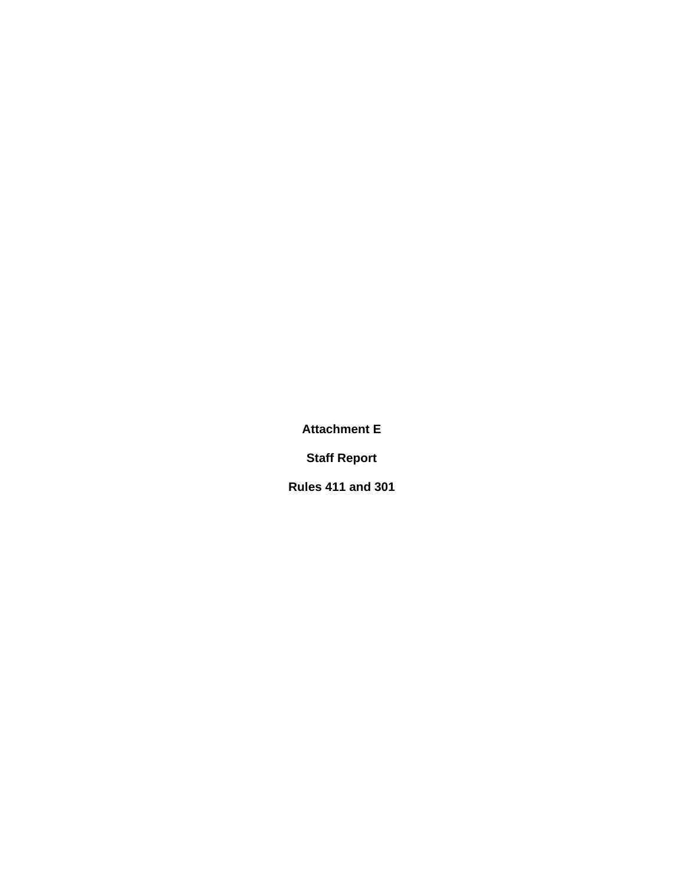**Attachment E** 

**Staff Report** 

**Rules 411 and 301**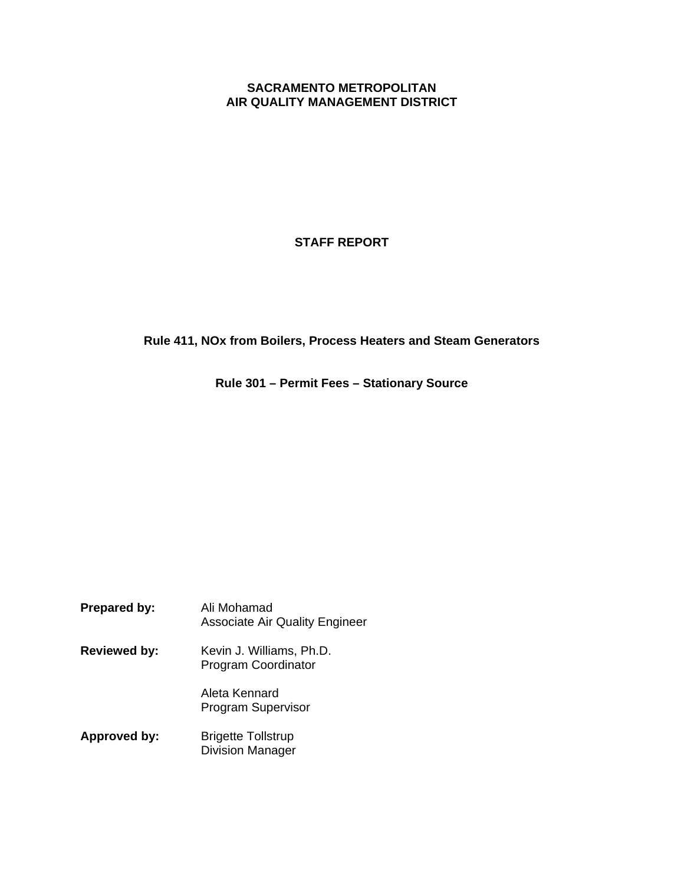### **SACRAMENTO METROPOLITAN AIR QUALITY MANAGEMENT DISTRICT**

**STAFF REPORT** 

**Rule 411, NOx from Boilers, Process Heaters and Steam Generators**

**Rule 301 – Permit Fees – Stationary Source** 

| <b>Prepared by:</b> | Ali Mohamad<br><b>Associate Air Quality Engineer</b>   |
|---------------------|--------------------------------------------------------|
| <b>Reviewed by:</b> | Kevin J. Williams, Ph.D.<br><b>Program Coordinator</b> |
|                     | Aleta Kennard<br><b>Program Supervisor</b>             |
| Approved by:        | <b>Brigette Tollstrup</b><br><b>Division Manager</b>   |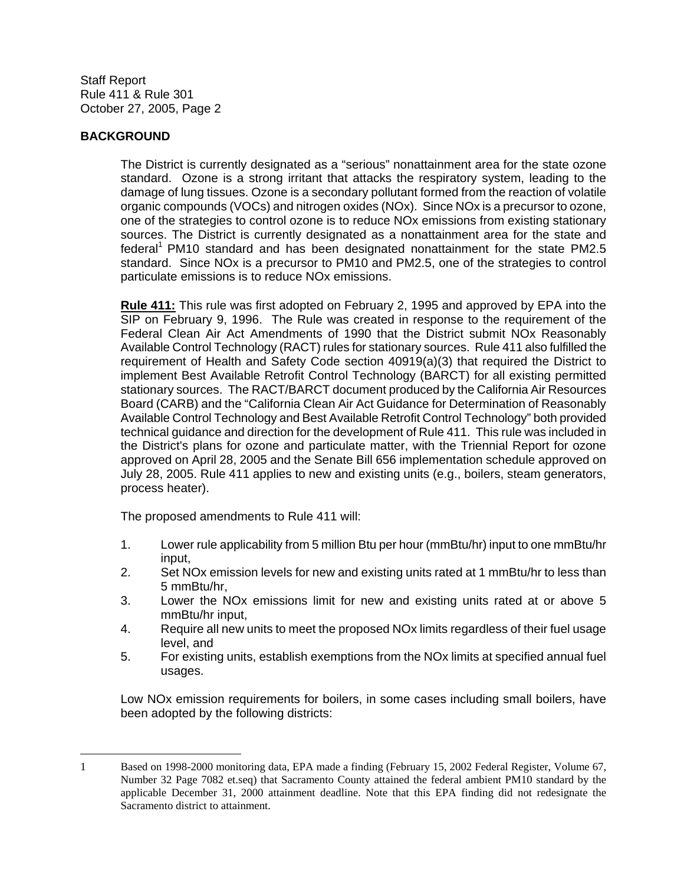### **BACKGROUND**

 $\overline{a}$ 

The District is currently designated as a "serious" nonattainment area for the state ozone standard. Ozone is a strong irritant that attacks the respiratory system, leading to the damage of lung tissues. Ozone is a secondary pollutant formed from the reaction of volatile organic compounds (VOCs) and nitrogen oxides (NOx). Since NOx is a precursor to ozone, one of the strategies to control ozone is to reduce NOx emissions from existing stationary sources. The District is currently designated as a nonattainment area for the state and federal<sup>1</sup> PM10 standard and has been designated nonattainment for the state PM2.5 standard. Since NOx is a precursor to PM10 and PM2.5, one of the strategies to control particulate emissions is to reduce NOx emissions.

**Rule 411:** This rule was first adopted on February 2, 1995 and approved by EPA into the SIP on February 9, 1996. The Rule was created in response to the requirement of the Federal Clean Air Act Amendments of 1990 that the District submit NOx Reasonably Available Control Technology (RACT) rules for stationary sources. Rule 411 also fulfilled the requirement of Health and Safety Code section 40919(a)(3) that required the District to implement Best Available Retrofit Control Technology (BARCT) for all existing permitted stationary sources. The RACT/BARCT document produced by the California Air Resources Board (CARB) and the "California Clean Air Act Guidance for Determination of Reasonably Available Control Technology and Best Available Retrofit Control Technology" both provided technical guidance and direction for the development of Rule 411. This rule was included in the District's plans for ozone and particulate matter, with the Triennial Report for ozone approved on April 28, 2005 and the Senate Bill 656 implementation schedule approved on July 28, 2005. Rule 411 applies to new and existing units (e.g., boilers, steam generators, process heater).

The proposed amendments to Rule 411 will:

- 1. Lower rule applicability from 5 million Btu per hour (mmBtu/hr) input to one mmBtu/hr input,
- 2. Set NOx emission levels for new and existing units rated at 1 mmBtu/hr to less than 5 mmBtu/hr,
- 3. Lower the NOx emissions limit for new and existing units rated at or above 5 mmBtu/hr input,
- 4. Require all new units to meet the proposed NOx limits regardless of their fuel usage level, and
- 5. For existing units, establish exemptions from the NOx limits at specified annual fuel usages.

Low NOx emission requirements for boilers, in some cases including small boilers, have been adopted by the following districts:

<sup>1</sup> Based on 1998-2000 monitoring data, EPA made a finding (February 15, 2002 Federal Register, Volume 67, Number 32 Page 7082 et.seq) that Sacramento County attained the federal ambient PM10 standard by the applicable December 31, 2000 attainment deadline. Note that this EPA finding did not redesignate the Sacramento district to attainment.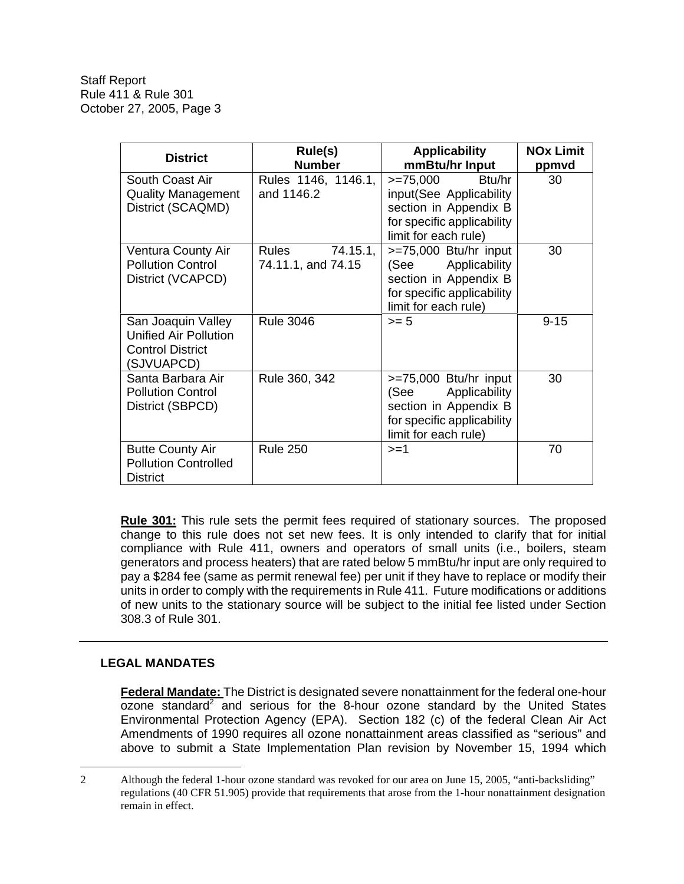| <b>District</b>                                                                             | Rule(s)<br><b>Number</b>                | <b>Applicability</b><br>mmBtu/hr Input                                                                                        | <b>NOx Limit</b><br>ppmvd |
|---------------------------------------------------------------------------------------------|-----------------------------------------|-------------------------------------------------------------------------------------------------------------------------------|---------------------------|
| South Coast Air<br><b>Quality Management</b><br>District (SCAQMD)                           | Rules 1146, 1146.1,<br>and 1146.2       | >=75,000 Btu/hr<br>input(See Applicability<br>section in Appendix B<br>for specific applicability<br>limit for each rule)     | 30                        |
| Ventura County Air<br><b>Pollution Control</b><br>District (VCAPCD)                         | Rules<br>74.15.1,<br>74.11.1, and 74.15 | >=75,000 Btu/hr input<br>(See<br>Applicability<br>section in Appendix B<br>for specific applicability<br>limit for each rule) | 30                        |
| San Joaquin Valley<br><b>Unified Air Pollution</b><br><b>Control District</b><br>(SJVUAPCD) | <b>Rule 3046</b>                        | $>= 5$                                                                                                                        | $9 - 15$                  |
| Santa Barbara Air<br><b>Pollution Control</b><br>District (SBPCD)                           | Rule 360, 342                           | >=75,000 Btu/hr input<br>(See<br>Applicability<br>section in Appendix B<br>for specific applicability<br>limit for each rule) | 30                        |
| <b>Butte County Air</b><br><b>Pollution Controlled</b><br><b>District</b>                   | <b>Rule 250</b>                         | $>=1$                                                                                                                         | 70                        |

**Rule 301:** This rule sets the permit fees required of stationary sources. The proposed change to this rule does not set new fees. It is only intended to clarify that for initial compliance with Rule 411, owners and operators of small units (i.e., boilers, steam generators and process heaters) that are rated below 5 mmBtu/hr input are only required to pay a \$284 fee (same as permit renewal fee) per unit if they have to replace or modify their units in order to comply with the requirements in Rule 411. Future modifications or additions of new units to the stationary source will be subject to the initial fee listed under Section 308.3 of Rule 301.

## **LEGAL MANDATES**

 $\overline{a}$ 

**Federal Mandate:** The District is designated severe nonattainment for the federal one-hour  $\alpha$ zone standard<sup>2</sup> and serious for the 8-hour ozone standard by the United States Environmental Protection Agency (EPA). Section 182 (c) of the federal Clean Air Act Amendments of 1990 requires all ozone nonattainment areas classified as "serious" and above to submit a State Implementation Plan revision by November 15, 1994 which

<sup>2</sup> Although the federal 1-hour ozone standard was revoked for our area on June 15, 2005, "anti-backsliding" regulations (40 CFR 51.905) provide that requirements that arose from the 1-hour nonattainment designation remain in effect.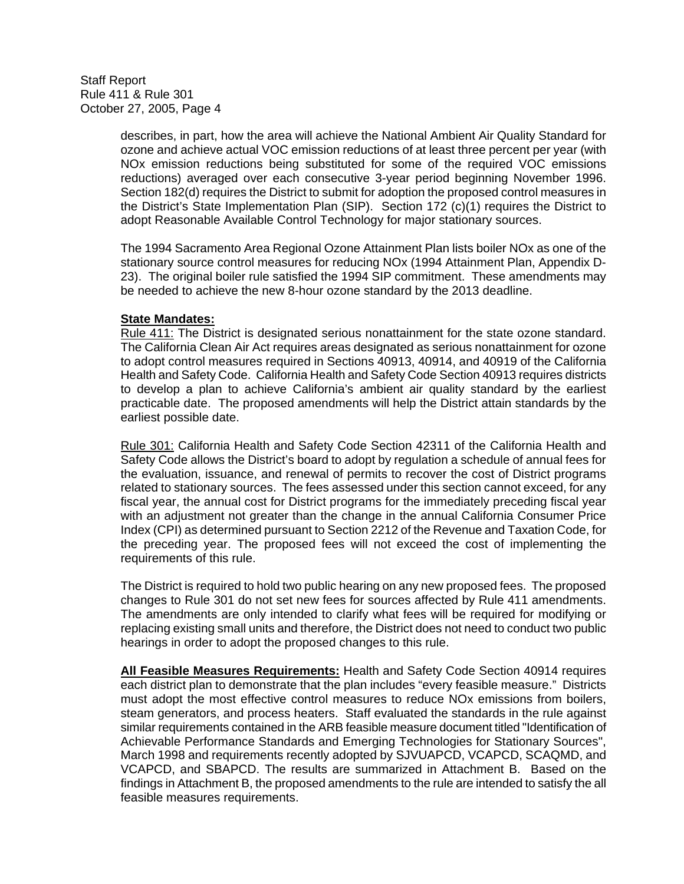> describes, in part, how the area will achieve the National Ambient Air Quality Standard for ozone and achieve actual VOC emission reductions of at least three percent per year (with NOx emission reductions being substituted for some of the required VOC emissions reductions) averaged over each consecutive 3-year period beginning November 1996. Section 182(d) requires the District to submit for adoption the proposed control measures in the District's State Implementation Plan (SIP). Section 172 (c)(1) requires the District to adopt Reasonable Available Control Technology for major stationary sources.

> The 1994 Sacramento Area Regional Ozone Attainment Plan lists boiler NOx as one of the stationary source control measures for reducing NOx (1994 Attainment Plan, Appendix D-23). The original boiler rule satisfied the 1994 SIP commitment. These amendments may be needed to achieve the new 8-hour ozone standard by the 2013 deadline.

#### **State Mandates:**

 Rule 411: The District is designated serious nonattainment for the state ozone standard. The California Clean Air Act requires areas designated as serious nonattainment for ozone to adopt control measures required in Sections 40913, 40914, and 40919 of the California Health and Safety Code. California Health and Safety Code Section 40913 requires districts to develop a plan to achieve California's ambient air quality standard by the earliest practicable date. The proposed amendments will help the District attain standards by the earliest possible date.

 Rule 301: California Health and Safety Code Section 42311 of the California Health and Safety Code allows the District's board to adopt by regulation a schedule of annual fees for the evaluation, issuance, and renewal of permits to recover the cost of District programs related to stationary sources. The fees assessed under this section cannot exceed, for any fiscal year, the annual cost for District programs for the immediately preceding fiscal year with an adjustment not greater than the change in the annual California Consumer Price Index (CPI) as determined pursuant to Section 2212 of the Revenue and Taxation Code, for the preceding year. The proposed fees will not exceed the cost of implementing the requirements of this rule.

 The District is required to hold two public hearing on any new proposed fees. The proposed changes to Rule 301 do not set new fees for sources affected by Rule 411 amendments. The amendments are only intended to clarify what fees will be required for modifying or replacing existing small units and therefore, the District does not need to conduct two public hearings in order to adopt the proposed changes to this rule.

**All Feasible Measures Requirements:** Health and Safety Code Section 40914 requires each district plan to demonstrate that the plan includes "every feasible measure." Districts must adopt the most effective control measures to reduce NOx emissions from boilers, steam generators, and process heaters. Staff evaluated the standards in the rule against similar requirements contained in the ARB feasible measure document titled "Identification of Achievable Performance Standards and Emerging Technologies for Stationary Sources", March 1998 and requirements recently adopted by SJVUAPCD, VCAPCD, SCAQMD, and VCAPCD, and SBAPCD. The results are summarized in Attachment B. Based on the findings in Attachment B, the proposed amendments to the rule are intended to satisfy the all feasible measures requirements.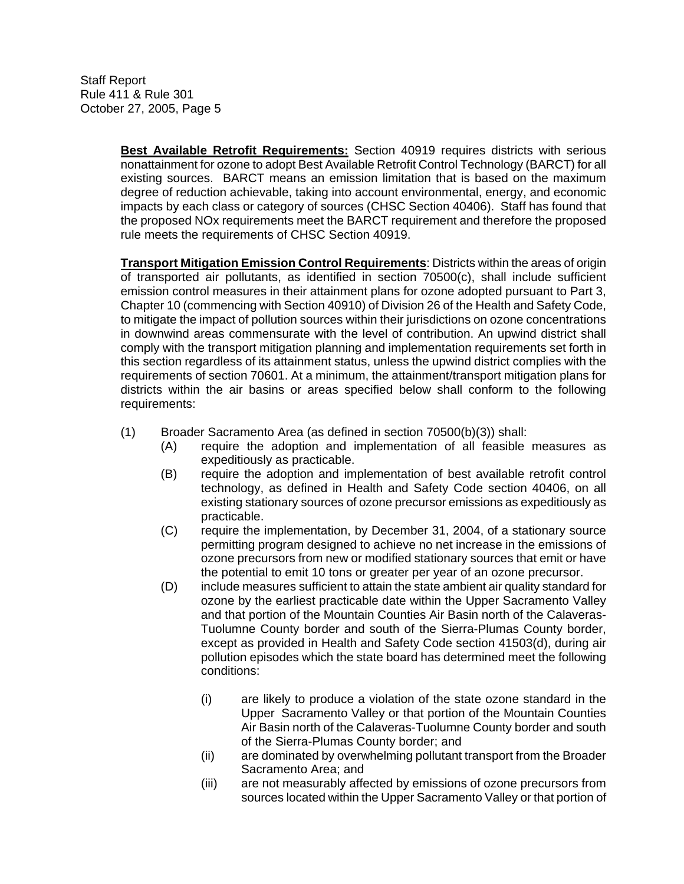> **Best Available Retrofit Requirements:** Section 40919 requires districts with serious nonattainment for ozone to adopt Best Available Retrofit Control Technology (BARCT) for all existing sources. BARCT means an emission limitation that is based on the maximum degree of reduction achievable, taking into account environmental, energy, and economic impacts by each class or category of sources (CHSC Section 40406). Staff has found that the proposed NOx requirements meet the BARCT requirement and therefore the proposed rule meets the requirements of CHSC Section 40919.

> **Transport Mitigation Emission Control Requirements**: Districts within the areas of origin of transported air pollutants, as identified in section 70500(c), shall include sufficient emission control measures in their attainment plans for ozone adopted pursuant to Part 3, Chapter 10 (commencing with Section 40910) of Division 26 of the Health and Safety Code, to mitigate the impact of pollution sources within their jurisdictions on ozone concentrations in downwind areas commensurate with the level of contribution. An upwind district shall comply with the transport mitigation planning and implementation requirements set forth in this section regardless of its attainment status, unless the upwind district complies with the requirements of section 70601. At a minimum, the attainment/transport mitigation plans for districts within the air basins or areas specified below shall conform to the following requirements:

- (1) Broader Sacramento Area (as defined in section 70500(b)(3)) shall:
	- (A) require the adoption and implementation of all feasible measures as expeditiously as practicable.
	- (B) require the adoption and implementation of best available retrofit control technology, as defined in Health and Safety Code section 40406, on all existing stationary sources of ozone precursor emissions as expeditiously as practicable.
	- (C) require the implementation, by December 31, 2004, of a stationary source permitting program designed to achieve no net increase in the emissions of ozone precursors from new or modified stationary sources that emit or have the potential to emit 10 tons or greater per year of an ozone precursor.
	- (D) include measures sufficient to attain the state ambient air quality standard for ozone by the earliest practicable date within the Upper Sacramento Valley and that portion of the Mountain Counties Air Basin north of the Calaveras-Tuolumne County border and south of the Sierra-Plumas County border, except as provided in Health and Safety Code section 41503(d), during air pollution episodes which the state board has determined meet the following conditions:
		- (i) are likely to produce a violation of the state ozone standard in the Upper Sacramento Valley or that portion of the Mountain Counties Air Basin north of the Calaveras-Tuolumne County border and south of the Sierra-Plumas County border; and
		- (ii) are dominated by overwhelming pollutant transport from the Broader Sacramento Area; and
		- (iii) are not measurably affected by emissions of ozone precursors from sources located within the Upper Sacramento Valley or that portion of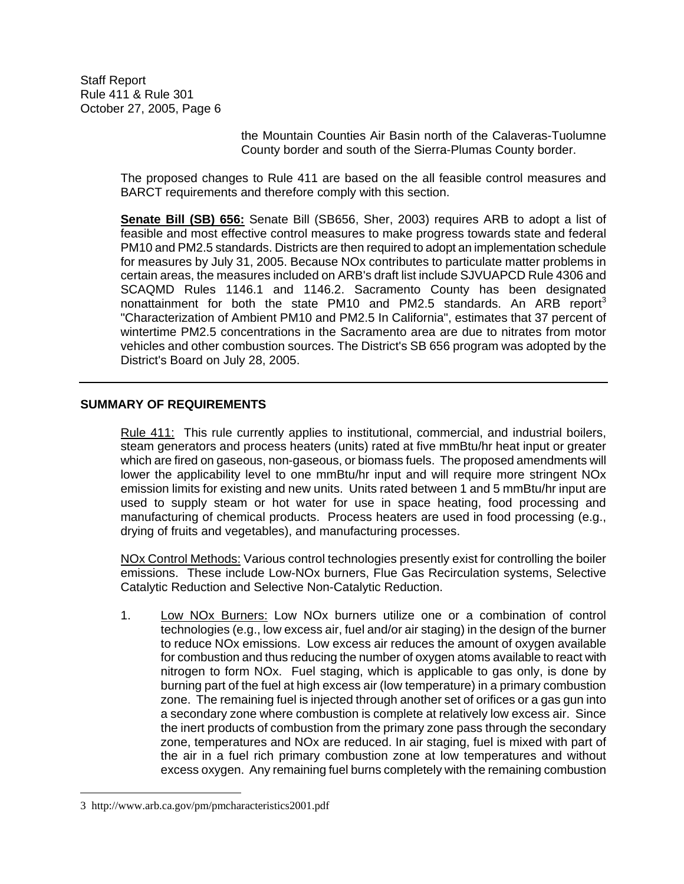> the Mountain Counties Air Basin north of the Calaveras-Tuolumne County border and south of the Sierra-Plumas County border.

The proposed changes to Rule 411 are based on the all feasible control measures and BARCT requirements and therefore comply with this section.

**Senate Bill (SB) 656:** Senate Bill (SB656, Sher, 2003) requires ARB to adopt a list of feasible and most effective control measures to make progress towards state and federal PM10 and PM2.5 standards. Districts are then required to adopt an implementation schedule for measures by July 31, 2005. Because NOx contributes to particulate matter problems in certain areas, the measures included on ARB's draft list include SJVUAPCD Rule 4306 and SCAQMD Rules 1146.1 and 1146.2. Sacramento County has been designated nonattainment for both the state PM10 and PM2.5 standards. An ARB report<sup>3</sup> "Characterization of Ambient PM10 and PM2.5 In California", estimates that 37 percent of wintertime PM2.5 concentrations in the Sacramento area are due to nitrates from motor vehicles and other combustion sources. The District's SB 656 program was adopted by the District's Board on July 28, 2005.

#### **SUMMARY OF REQUIREMENTS**

Rule 411: This rule currently applies to institutional, commercial, and industrial boilers, steam generators and process heaters (units) rated at five mmBtu/hr heat input or greater which are fired on gaseous, non-gaseous, or biomass fuels. The proposed amendments will lower the applicability level to one mmBtu/hr input and will require more stringent NOx emission limits for existing and new units. Units rated between 1 and 5 mmBtu/hr input are used to supply steam or hot water for use in space heating, food processing and manufacturing of chemical products. Process heaters are used in food processing (e.g., drying of fruits and vegetables), and manufacturing processes.

NOx Control Methods: Various control technologies presently exist for controlling the boiler emissions. These include Low-NOx burners, Flue Gas Recirculation systems, Selective Catalytic Reduction and Selective Non-Catalytic Reduction.

1. Low NOx Burners: Low NOx burners utilize one or a combination of control technologies (e.g., low excess air, fuel and/or air staging) in the design of the burner to reduce NOx emissions. Low excess air reduces the amount of oxygen available for combustion and thus reducing the number of oxygen atoms available to react with nitrogen to form NOx. Fuel staging, which is applicable to gas only, is done by burning part of the fuel at high excess air (low temperature) in a primary combustion zone. The remaining fuel is injected through another set of orifices or a gas gun into a secondary zone where combustion is complete at relatively low excess air. Since the inert products of combustion from the primary zone pass through the secondary zone, temperatures and NOx are reduced. In air staging, fuel is mixed with part of the air in a fuel rich primary combustion zone at low temperatures and without excess oxygen. Any remaining fuel burns completely with the remaining combustion

 $\overline{a}$ 

<sup>3</sup> http://www.arb.ca.gov/pm/pmcharacteristics2001.pdf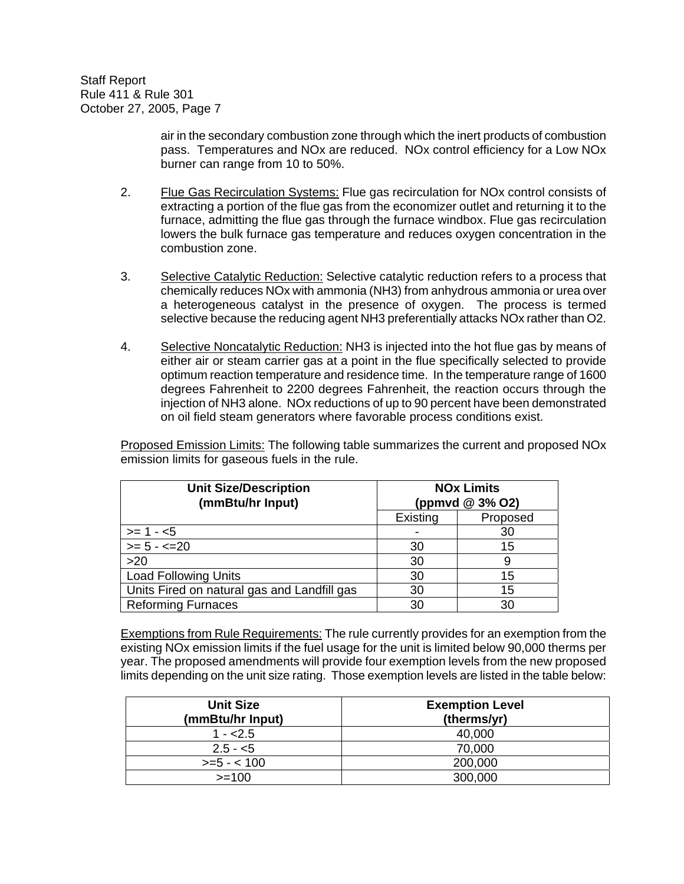> air in the secondary combustion zone through which the inert products of combustion pass. Temperatures and NOx are reduced. NOx control efficiency for a Low NOx burner can range from 10 to 50%.

- 2. Flue Gas Recirculation Systems: Flue gas recirculation for NOx control consists of extracting a portion of the flue gas from the economizer outlet and returning it to the furnace, admitting the flue gas through the furnace windbox. Flue gas recirculation lowers the bulk furnace gas temperature and reduces oxygen concentration in the combustion zone.
- 3. Selective Catalytic Reduction: Selective catalytic reduction refers to a process that chemically reduces NOx with ammonia (NH3) from anhydrous ammonia or urea over a heterogeneous catalyst in the presence of oxygen. The process is termed selective because the reducing agent NH3 preferentially attacks NOx rather than O2.
- 4. Selective Noncatalytic Reduction: NH3 is injected into the hot flue gas by means of either air or steam carrier gas at a point in the flue specifically selected to provide optimum reaction temperature and residence time. In the temperature range of 1600 degrees Fahrenheit to 2200 degrees Fahrenheit, the reaction occurs through the injection of NH3 alone. NOx reductions of up to 90 percent have been demonstrated on oil field steam generators where favorable process conditions exist.

Proposed Emission Limits: The following table summarizes the current and proposed NOx emission limits for gaseous fuels in the rule.

| <b>Unit Size/Description</b><br>(mmBtu/hr Input) | <b>NOx Limits</b><br>(ppmvd @ 3% O2) |          |
|--------------------------------------------------|--------------------------------------|----------|
|                                                  | Existing                             | Proposed |
| $>= 1 - 5$                                       |                                      | 30       |
| $\overline{\phantom{0}}$ = 5 - <= 20             | 30                                   | 15       |
| >20                                              | 30                                   | 9        |
| <b>Load Following Units</b>                      | 30                                   | 15       |
| Units Fired on natural gas and Landfill gas      | 30                                   | 15       |
| <b>Reforming Furnaces</b><br>30<br>30            |                                      |          |

Exemptions from Rule Requirements: The rule currently provides for an exemption from the existing NOx emission limits if the fuel usage for the unit is limited below 90,000 therms per year. The proposed amendments will provide four exemption levels from the new proposed limits depending on the unit size rating. Those exemption levels are listed in the table below:

| <b>Unit Size</b><br>(mmBtu/hr Input) | <b>Exemption Level</b><br>(therms/yr) |  |
|--------------------------------------|---------------------------------------|--|
| $1 - 2.5$                            | 40,000                                |  |
| $2.5 - 5$                            | 70,000                                |  |
| $>= 5 - < 100$                       | 200,000                               |  |
| $>=100$                              | 300,000                               |  |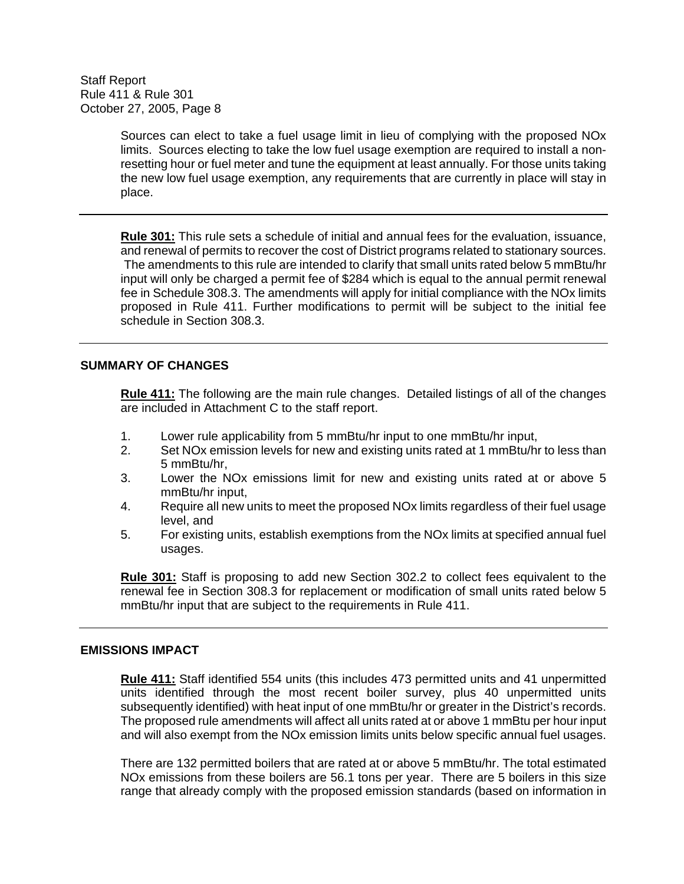> Sources can elect to take a fuel usage limit in lieu of complying with the proposed NOx limits. Sources electing to take the low fuel usage exemption are required to install a nonresetting hour or fuel meter and tune the equipment at least annually. For those units taking the new low fuel usage exemption, any requirements that are currently in place will stay in place.

> **Rule 301:** This rule sets a schedule of initial and annual fees for the evaluation, issuance, and renewal of permits to recover the cost of District programs related to stationary sources. The amendments to this rule are intended to clarify that small units rated below 5 mmBtu/hr input will only be charged a permit fee of \$284 which is equal to the annual permit renewal fee in Schedule 308.3. The amendments will apply for initial compliance with the NOx limits proposed in Rule 411. Further modifications to permit will be subject to the initial fee schedule in Section 308.3.

#### **SUMMARY OF CHANGES**

**Rule 411:** The following are the main rule changes. Detailed listings of all of the changes are included in Attachment C to the staff report.

- 1. Lower rule applicability from 5 mmBtu/hr input to one mmBtu/hr input,
- 2. Set NOx emission levels for new and existing units rated at 1 mmBtu/hr to less than 5 mmBtu/hr,
- 3. Lower the NOx emissions limit for new and existing units rated at or above 5 mmBtu/hr input,
- 4. Require all new units to meet the proposed NOx limits regardless of their fuel usage level, and
- 5. For existing units, establish exemptions from the NOx limits at specified annual fuel usages.

**Rule 301:** Staff is proposing to add new Section 302.2 to collect fees equivalent to the renewal fee in Section 308.3 for replacement or modification of small units rated below 5 mmBtu/hr input that are subject to the requirements in Rule 411.

#### **EMISSIONS IMPACT**

**Rule 411:** Staff identified 554 units (this includes 473 permitted units and 41 unpermitted units identified through the most recent boiler survey, plus 40 unpermitted units subsequently identified) with heat input of one mmBtu/hr or greater in the District's records. The proposed rule amendments will affect all units rated at or above 1 mmBtu per hour input and will also exempt from the NOx emission limits units below specific annual fuel usages.

There are 132 permitted boilers that are rated at or above 5 mmBtu/hr. The total estimated NOx emissions from these boilers are 56.1 tons per year. There are 5 boilers in this size range that already comply with the proposed emission standards (based on information in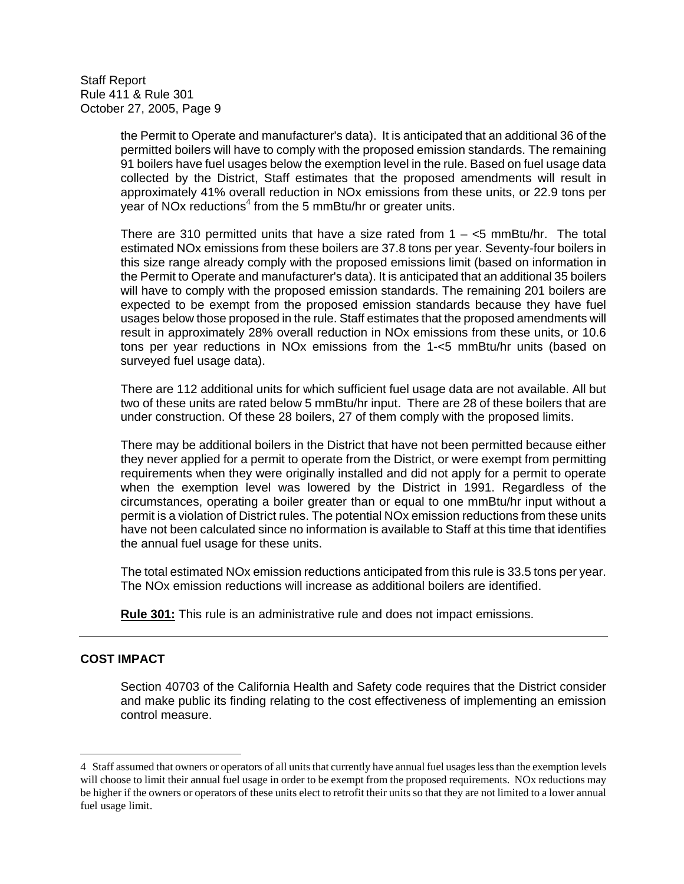> the Permit to Operate and manufacturer's data). It is anticipated that an additional 36 of the permitted boilers will have to comply with the proposed emission standards. The remaining 91 boilers have fuel usages below the exemption level in the rule. Based on fuel usage data collected by the District, Staff estimates that the proposed amendments will result in approximately 41% overall reduction in NOx emissions from these units, or 22.9 tons per year of NOx reductions<sup>4</sup> from the 5 mmBtu/hr or greater units.

> There are 310 permitted units that have a size rated from  $1 - \le 5$  mmBtu/hr. The total estimated NOx emissions from these boilers are 37.8 tons per year. Seventy-four boilers in this size range already comply with the proposed emissions limit (based on information in the Permit to Operate and manufacturer's data). It is anticipated that an additional 35 boilers will have to comply with the proposed emission standards. The remaining 201 boilers are expected to be exempt from the proposed emission standards because they have fuel usages below those proposed in the rule. Staff estimates that the proposed amendments will result in approximately 28% overall reduction in NOx emissions from these units, or 10.6 tons per year reductions in NOx emissions from the 1-<5 mmBtu/hr units (based on surveyed fuel usage data).

> There are 112 additional units for which sufficient fuel usage data are not available. All but two of these units are rated below 5 mmBtu/hr input. There are 28 of these boilers that are under construction. Of these 28 boilers, 27 of them comply with the proposed limits.

> There may be additional boilers in the District that have not been permitted because either they never applied for a permit to operate from the District, or were exempt from permitting requirements when they were originally installed and did not apply for a permit to operate when the exemption level was lowered by the District in 1991. Regardless of the circumstances, operating a boiler greater than or equal to one mmBtu/hr input without a permit is a violation of District rules. The potential NOx emission reductions from these units have not been calculated since no information is available to Staff at this time that identifies the annual fuel usage for these units.

> The total estimated NOx emission reductions anticipated from this rule is 33.5 tons per year. The NOx emission reductions will increase as additional boilers are identified.

**Rule 301:** This rule is an administrative rule and does not impact emissions.

## **COST IMPACT**

 $\overline{a}$ 

Section 40703 of the California Health and Safety code requires that the District consider and make public its finding relating to the cost effectiveness of implementing an emission control measure.

<sup>4</sup> Staff assumed that owners or operators of all units that currently have annual fuel usages less than the exemption levels will choose to limit their annual fuel usage in order to be exempt from the proposed requirements. NOx reductions may be higher if the owners or operators of these units elect to retrofit their units so that they are not limited to a lower annual fuel usage limit.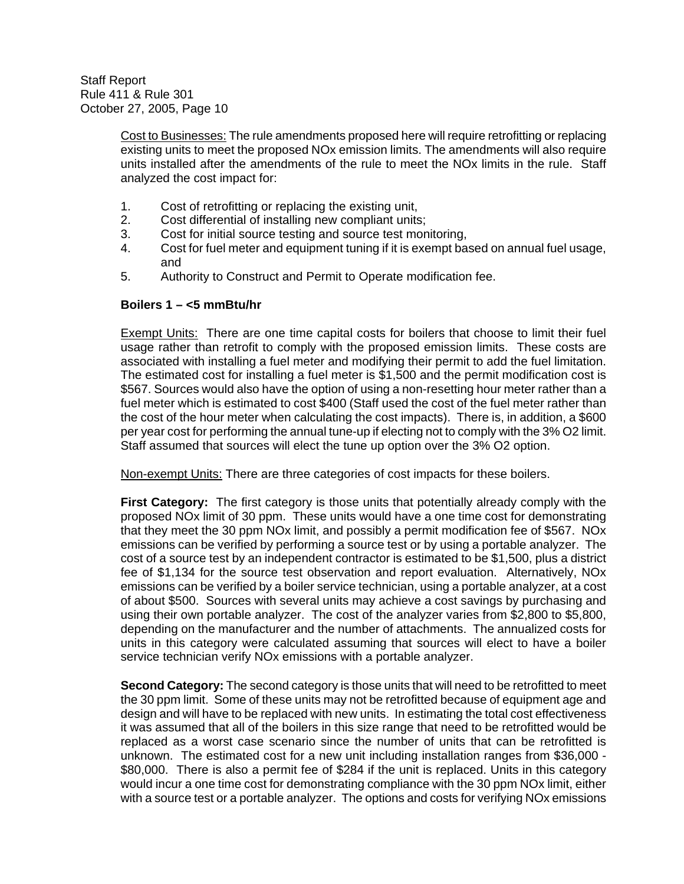> Cost to Businesses: The rule amendments proposed here will require retrofitting or replacing existing units to meet the proposed NOx emission limits. The amendments will also require units installed after the amendments of the rule to meet the NOx limits in the rule. Staff analyzed the cost impact for:

- 1. Cost of retrofitting or replacing the existing unit,
- 2. Cost differential of installing new compliant units;
- 3. Cost for initial source testing and source test monitoring,
- 4. Cost for fuel meter and equipment tuning if it is exempt based on annual fuel usage, and
- 5. Authority to Construct and Permit to Operate modification fee.

#### **Boilers 1 – <5 mmBtu/hr**

Exempt Units: There are one time capital costs for boilers that choose to limit their fuel usage rather than retrofit to comply with the proposed emission limits. These costs are associated with installing a fuel meter and modifying their permit to add the fuel limitation. The estimated cost for installing a fuel meter is \$1,500 and the permit modification cost is \$567. Sources would also have the option of using a non-resetting hour meter rather than a fuel meter which is estimated to cost \$400 (Staff used the cost of the fuel meter rather than the cost of the hour meter when calculating the cost impacts). There is, in addition, a \$600 per year cost for performing the annual tune-up if electing not to comply with the 3% O2 limit. Staff assumed that sources will elect the tune up option over the 3% O2 option.

Non-exempt Units: There are three categories of cost impacts for these boilers.

**First Category:** The first category is those units that potentially already comply with the proposed NOx limit of 30 ppm. These units would have a one time cost for demonstrating that they meet the 30 ppm NOx limit, and possibly a permit modification fee of \$567. NOx emissions can be verified by performing a source test or by using a portable analyzer. The cost of a source test by an independent contractor is estimated to be \$1,500, plus a district fee of \$1,134 for the source test observation and report evaluation. Alternatively, NOx emissions can be verified by a boiler service technician, using a portable analyzer, at a cost of about \$500. Sources with several units may achieve a cost savings by purchasing and using their own portable analyzer. The cost of the analyzer varies from \$2,800 to \$5,800, depending on the manufacturer and the number of attachments. The annualized costs for units in this category were calculated assuming that sources will elect to have a boiler service technician verify NOx emissions with a portable analyzer.

**Second Category:** The second category is those units that will need to be retrofitted to meet the 30 ppm limit. Some of these units may not be retrofitted because of equipment age and design and will have to be replaced with new units. In estimating the total cost effectiveness it was assumed that all of the boilers in this size range that need to be retrofitted would be replaced as a worst case scenario since the number of units that can be retrofitted is unknown. The estimated cost for a new unit including installation ranges from \$36,000 - \$80,000. There is also a permit fee of \$284 if the unit is replaced. Units in this category would incur a one time cost for demonstrating compliance with the 30 ppm NOx limit, either with a source test or a portable analyzer. The options and costs for verifying NOx emissions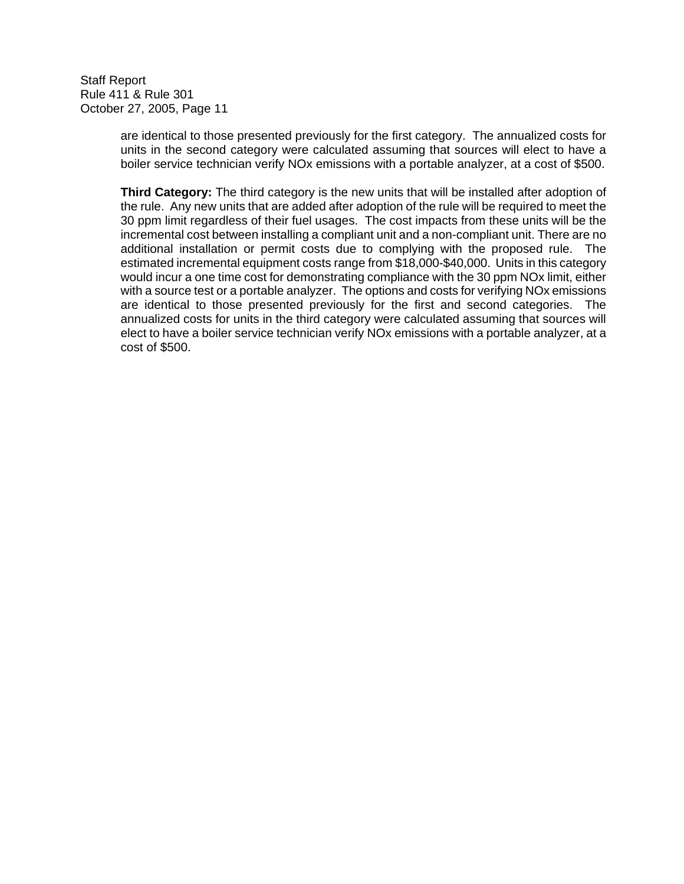> are identical to those presented previously for the first category. The annualized costs for units in the second category were calculated assuming that sources will elect to have a boiler service technician verify NOx emissions with a portable analyzer, at a cost of \$500.

> **Third Category:** The third category is the new units that will be installed after adoption of the rule. Any new units that are added after adoption of the rule will be required to meet the 30 ppm limit regardless of their fuel usages. The cost impacts from these units will be the incremental cost between installing a compliant unit and a non-compliant unit. There are no additional installation or permit costs due to complying with the proposed rule. The estimated incremental equipment costs range from \$18,000-\$40,000. Units in this category would incur a one time cost for demonstrating compliance with the 30 ppm NOx limit, either with a source test or a portable analyzer. The options and costs for verifying NOx emissions are identical to those presented previously for the first and second categories. The annualized costs for units in the third category were calculated assuming that sources will elect to have a boiler service technician verify NOx emissions with a portable analyzer, at a cost of \$500.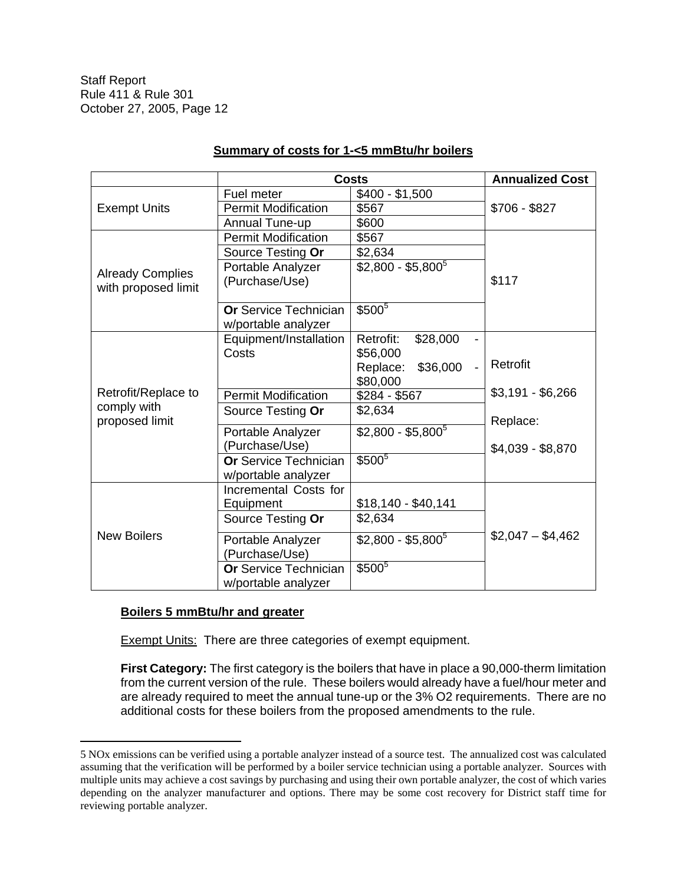|                               | <b>Costs</b>                                        | <b>Annualized Cost</b>         |                   |
|-------------------------------|-----------------------------------------------------|--------------------------------|-------------------|
|                               | Fuel meter                                          | $$400 - $1,500$                |                   |
| <b>Exempt Units</b>           | <b>Permit Modification</b>                          | \$567                          | $$706 - $827$     |
|                               | Annual Tune-up                                      | \$600                          |                   |
|                               | <b>Permit Modification</b>                          | \$567                          |                   |
|                               | Source Testing Or                                   | \$2,634                        |                   |
| <b>Already Complies</b>       | Portable Analyzer                                   | $$2,800 - $5,800$ <sup>5</sup> |                   |
| with proposed limit           | (Purchase/Use)                                      |                                | \$117             |
|                               | <b>Or Service Technician</b><br>w/portable analyzer | $$500^5$                       |                   |
|                               | Equipment/Installation                              | Retrofit:<br>\$28,000          |                   |
|                               | Costs                                               | \$56,000                       |                   |
|                               |                                                     | Replace:<br>\$36,000           | Retrofit          |
|                               |                                                     | \$80,000                       |                   |
| Retrofit/Replace to           | <b>Permit Modification</b>                          | $$284 - $567$                  | $$3,191 - $6,266$ |
| comply with<br>proposed limit | Source Testing Or                                   | \$2,634                        | Replace:          |
|                               | Portable Analyzer                                   | $$2,800 - $5,800^5$            |                   |
|                               | (Purchase/Use)                                      |                                | \$4,039 - \$8,870 |
|                               | <b>Or Service Technician</b><br>w/portable analyzer | $$500^5$                       |                   |
|                               | Incremental Costs for                               |                                |                   |
| <b>New Boilers</b>            | Equipment                                           | $$18,140 - $40,141$            |                   |
|                               | Source Testing Or                                   | \$2,634                        |                   |
|                               | Portable Analyzer<br>(Purchase/Use)                 | $$2,800 - $5,800^5$            | $$2,047 - $4,462$ |
|                               | <b>Or Service Technician</b><br>w/portable analyzer | \$5005                         |                   |

## **Summary of costs for 1-<5 mmBtu/hr boilers**

### **Boilers 5 mmBtu/hr and greater**

 $\overline{a}$ 

**Exempt Units: There are three categories of exempt equipment.** 

**First Category:** The first category is the boilers that have in place a 90,000-therm limitation from the current version of the rule. These boilers would already have a fuel/hour meter and are already required to meet the annual tune-up or the 3% O2 requirements. There are no additional costs for these boilers from the proposed amendments to the rule.

<sup>5</sup> NOx emissions can be verified using a portable analyzer instead of a source test. The annualized cost was calculated assuming that the verification will be performed by a boiler service technician using a portable analyzer. Sources with multiple units may achieve a cost savings by purchasing and using their own portable analyzer, the cost of which varies depending on the analyzer manufacturer and options. There may be some cost recovery for District staff time for reviewing portable analyzer.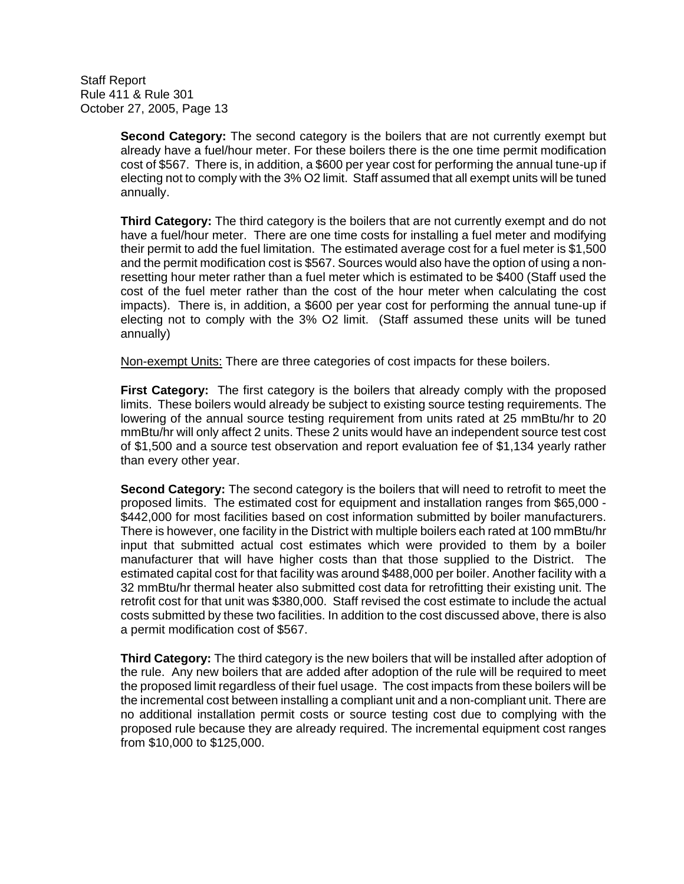> **Second Category:** The second category is the boilers that are not currently exempt but already have a fuel/hour meter. For these boilers there is the one time permit modification cost of \$567. There is, in addition, a \$600 per year cost for performing the annual tune-up if electing not to comply with the 3% O2 limit. Staff assumed that all exempt units will be tuned annually.

> **Third Category:** The third category is the boilers that are not currently exempt and do not have a fuel/hour meter. There are one time costs for installing a fuel meter and modifying their permit to add the fuel limitation. The estimated average cost for a fuel meter is \$1,500 and the permit modification cost is \$567. Sources would also have the option of using a nonresetting hour meter rather than a fuel meter which is estimated to be \$400 (Staff used the cost of the fuel meter rather than the cost of the hour meter when calculating the cost impacts). There is, in addition, a \$600 per year cost for performing the annual tune-up if electing not to comply with the 3% O2 limit. (Staff assumed these units will be tuned annually)

Non-exempt Units: There are three categories of cost impacts for these boilers.

**First Category:** The first category is the boilers that already comply with the proposed limits. These boilers would already be subject to existing source testing requirements. The lowering of the annual source testing requirement from units rated at 25 mmBtu/hr to 20 mmBtu/hr will only affect 2 units. These 2 units would have an independent source test cost of \$1,500 and a source test observation and report evaluation fee of \$1,134 yearly rather than every other year.

**Second Category:** The second category is the boilers that will need to retrofit to meet the proposed limits. The estimated cost for equipment and installation ranges from \$65,000 - \$442,000 for most facilities based on cost information submitted by boiler manufacturers. There is however, one facility in the District with multiple boilers each rated at 100 mmBtu/hr input that submitted actual cost estimates which were provided to them by a boiler manufacturer that will have higher costs than that those supplied to the District. The estimated capital cost for that facility was around \$488,000 per boiler. Another facility with a 32 mmBtu/hr thermal heater also submitted cost data for retrofitting their existing unit. The retrofit cost for that unit was \$380,000. Staff revised the cost estimate to include the actual costs submitted by these two facilities. In addition to the cost discussed above, there is also a permit modification cost of \$567.

**Third Category:** The third category is the new boilers that will be installed after adoption of the rule. Any new boilers that are added after adoption of the rule will be required to meet the proposed limit regardless of their fuel usage. The cost impacts from these boilers will be the incremental cost between installing a compliant unit and a non-compliant unit. There are no additional installation permit costs or source testing cost due to complying with the proposed rule because they are already required. The incremental equipment cost ranges from \$10,000 to \$125,000.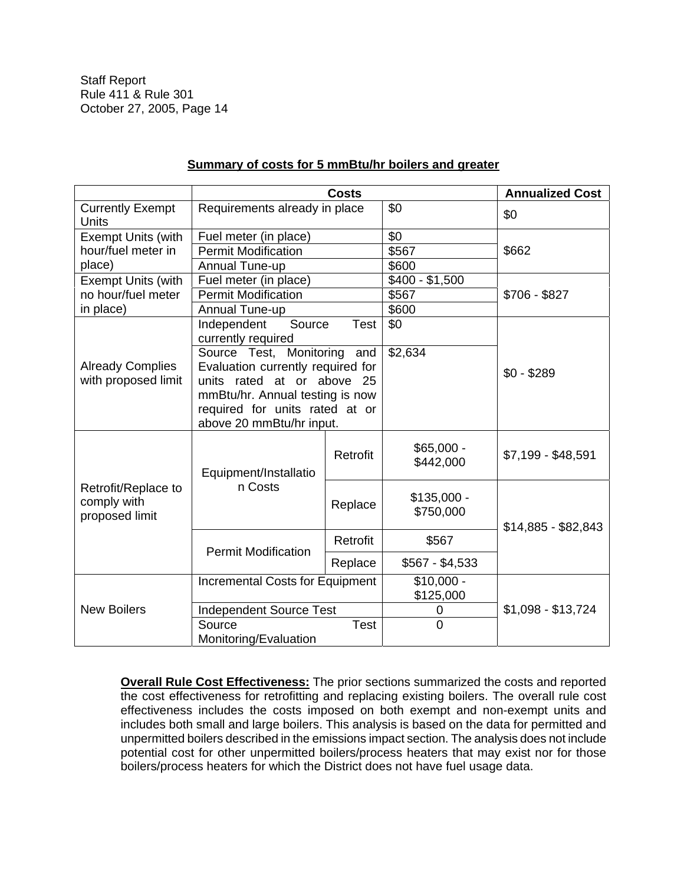|                                                      |                                                               | <b>Costs</b> |                           | <b>Annualized Cost</b> |
|------------------------------------------------------|---------------------------------------------------------------|--------------|---------------------------|------------------------|
| <b>Currently Exempt</b><br>Units                     | Requirements already in place                                 |              | \$0                       | \$0                    |
| <b>Exempt Units (with</b>                            | Fuel meter (in place)                                         |              | $\overline{30}$           |                        |
| hour/fuel meter in                                   | <b>Permit Modification</b>                                    |              | \$567                     | \$662                  |
| place)                                               | Annual Tune-up                                                |              | \$600                     |                        |
| <b>Exempt Units (with</b>                            | Fuel meter (in place)                                         |              | $$400 - $1,500$           |                        |
| no hour/fuel meter                                   | <b>Permit Modification</b>                                    |              | \$567                     | $$706 - $827$          |
| in place)                                            | Annual Tune-up                                                |              | \$600                     |                        |
|                                                      | Independent<br>Source<br>currently required                   | Test         | \$0                       |                        |
|                                                      | Source Test, Monitoring<br>and                                |              | \$2,634                   |                        |
| <b>Already Complies</b><br>with proposed limit       | Evaluation currently required for                             |              |                           | $$0 - $289$            |
|                                                      | units rated at or above 25<br>mmBtu/hr. Annual testing is now |              |                           |                        |
|                                                      | required for units rated at or                                |              |                           |                        |
|                                                      | above 20 mmBtu/hr input.                                      |              |                           |                        |
|                                                      | Equipment/Installatio                                         | Retrofit     | $$65,000 -$<br>\$442,000  | \$7,199 - \$48,591     |
| Retrofit/Replace to<br>comply with<br>proposed limit | n Costs                                                       | Replace      | $$135,000 -$<br>\$750,000 | \$14,885 - \$82,843    |
|                                                      | <b>Permit Modification</b>                                    | Retrofit     | \$567                     |                        |
|                                                      |                                                               | Replace      | $$567 - $4,533$           |                        |
| <b>Incremental Costs for Equipment</b>               |                                                               | $$10,000 -$  |                           |                        |
|                                                      |                                                               |              | \$125,000                 | $$1,098 - $13,724$     |
| <b>New Boilers</b>                                   | Independent Source Test                                       |              | 0                         |                        |
|                                                      | <b>Test</b><br>Source<br>Monitoring/Evaluation                |              | 0                         |                        |

## **Summary of costs for 5 mmBtu/hr boilers and greater**

**Overall Rule Cost Effectiveness:** The prior sections summarized the costs and reported the cost effectiveness for retrofitting and replacing existing boilers. The overall rule cost effectiveness includes the costs imposed on both exempt and non-exempt units and includes both small and large boilers. This analysis is based on the data for permitted and unpermitted boilers described in the emissions impact section. The analysis does not include potential cost for other unpermitted boilers/process heaters that may exist nor for those boilers/process heaters for which the District does not have fuel usage data.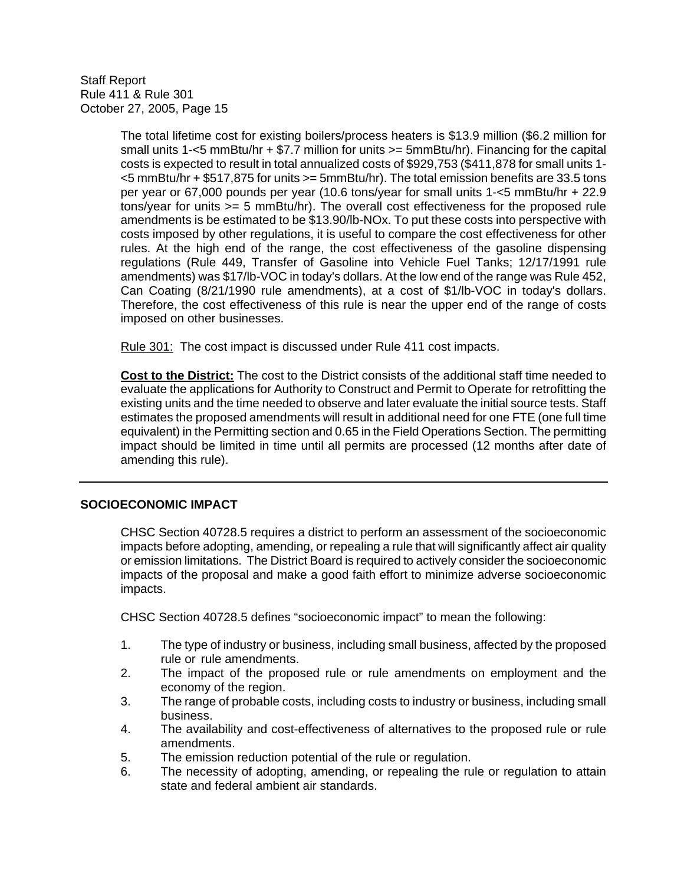> The total lifetime cost for existing boilers/process heaters is \$13.9 million (\$6.2 million for small units 1-<5 mmBtu/hr + \$7.7 million for units >= 5mmBtu/hr). Financing for the capital costs is expected to result in total annualized costs of \$929,753 (\$411,878 for small units 1- <5 mmBtu/hr + \$517,875 for units >= 5mmBtu/hr). The total emission benefits are 33.5 tons per year or 67,000 pounds per year (10.6 tons/year for small units 1-<5 mmBtu/hr + 22.9 tons/year for units >= 5 mmBtu/hr). The overall cost effectiveness for the proposed rule amendments is be estimated to be \$13.90/lb-NOx. To put these costs into perspective with costs imposed by other regulations, it is useful to compare the cost effectiveness for other rules. At the high end of the range, the cost effectiveness of the gasoline dispensing regulations (Rule 449, Transfer of Gasoline into Vehicle Fuel Tanks; 12/17/1991 rule amendments) was \$17/lb-VOC in today's dollars. At the low end of the range was Rule 452, Can Coating (8/21/1990 rule amendments), at a cost of \$1/lb-VOC in today's dollars. Therefore, the cost effectiveness of this rule is near the upper end of the range of costs imposed on other businesses.

Rule 301: The cost impact is discussed under Rule 411 cost impacts.

**Cost to the District:** The cost to the District consists of the additional staff time needed to evaluate the applications for Authority to Construct and Permit to Operate for retrofitting the existing units and the time needed to observe and later evaluate the initial source tests. Staff estimates the proposed amendments will result in additional need for one FTE (one full time equivalent) in the Permitting section and 0.65 in the Field Operations Section. The permitting impact should be limited in time until all permits are processed (12 months after date of amending this rule).

#### **SOCIOECONOMIC IMPACT**

CHSC Section 40728.5 requires a district to perform an assessment of the socioeconomic impacts before adopting, amending, or repealing a rule that will significantly affect air quality or emission limitations. The District Board is required to actively consider the socioeconomic impacts of the proposal and make a good faith effort to minimize adverse socioeconomic impacts.

CHSC Section 40728.5 defines "socioeconomic impact" to mean the following:

- 1. The type of industry or business, including small business, affected by the proposed rule or rule amendments.
- 2. The impact of the proposed rule or rule amendments on employment and the economy of the region.
- 3. The range of probable costs, including costs to industry or business, including small business.
- 4. The availability and cost-effectiveness of alternatives to the proposed rule or rule amendments.
- 5. The emission reduction potential of the rule or regulation.
- 6. The necessity of adopting, amending, or repealing the rule or regulation to attain state and federal ambient air standards.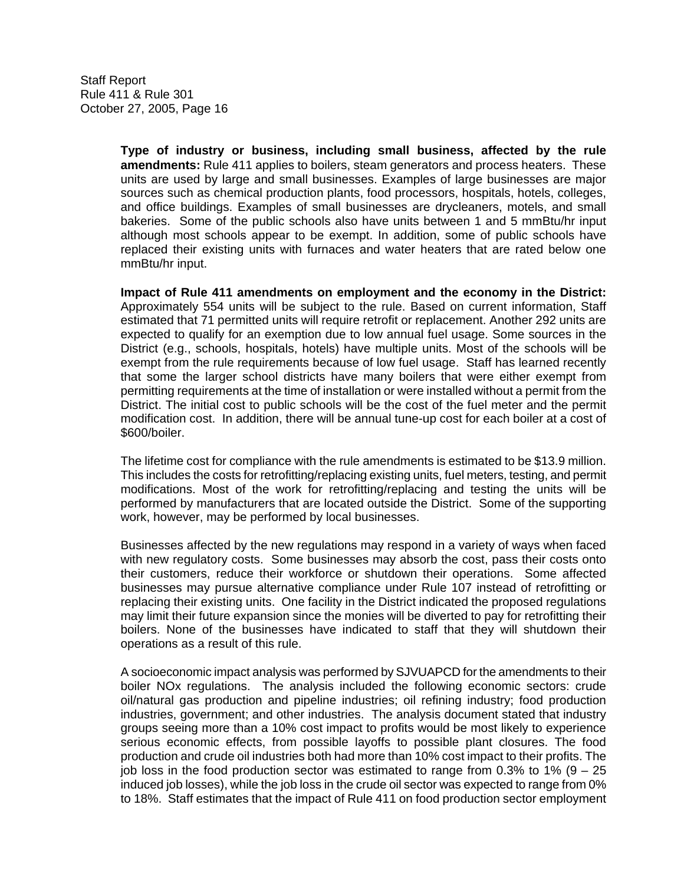> **Type of industry or business, including small business, affected by the rule amendments:** Rule 411 applies to boilers, steam generators and process heaters. These units are used by large and small businesses. Examples of large businesses are major sources such as chemical production plants, food processors, hospitals, hotels, colleges, and office buildings. Examples of small businesses are drycleaners, motels, and small bakeries. Some of the public schools also have units between 1 and 5 mmBtu/hr input although most schools appear to be exempt. In addition, some of public schools have replaced their existing units with furnaces and water heaters that are rated below one mmBtu/hr input.

> **Impact of Rule 411 amendments on employment and the economy in the District:**  Approximately 554 units will be subject to the rule. Based on current information, Staff estimated that 71 permitted units will require retrofit or replacement. Another 292 units are expected to qualify for an exemption due to low annual fuel usage. Some sources in the District (e.g., schools, hospitals, hotels) have multiple units. Most of the schools will be exempt from the rule requirements because of low fuel usage. Staff has learned recently that some the larger school districts have many boilers that were either exempt from permitting requirements at the time of installation or were installed without a permit from the District. The initial cost to public schools will be the cost of the fuel meter and the permit modification cost. In addition, there will be annual tune-up cost for each boiler at a cost of \$600/boiler.

> The lifetime cost for compliance with the rule amendments is estimated to be \$13.9 million. This includes the costs for retrofitting/replacing existing units, fuel meters, testing, and permit modifications. Most of the work for retrofitting/replacing and testing the units will be performed by manufacturers that are located outside the District. Some of the supporting work, however, may be performed by local businesses.

> Businesses affected by the new regulations may respond in a variety of ways when faced with new regulatory costs. Some businesses may absorb the cost, pass their costs onto their customers, reduce their workforce or shutdown their operations. Some affected businesses may pursue alternative compliance under Rule 107 instead of retrofitting or replacing their existing units. One facility in the District indicated the proposed regulations may limit their future expansion since the monies will be diverted to pay for retrofitting their boilers. None of the businesses have indicated to staff that they will shutdown their operations as a result of this rule.

> A socioeconomic impact analysis was performed by SJVUAPCD for the amendments to their boiler NOx regulations. The analysis included the following economic sectors: crude oil/natural gas production and pipeline industries; oil refining industry; food production industries, government; and other industries. The analysis document stated that industry groups seeing more than a 10% cost impact to profits would be most likely to experience serious economic effects, from possible layoffs to possible plant closures. The food production and crude oil industries both had more than 10% cost impact to their profits. The job loss in the food production sector was estimated to range from  $0.3\%$  to 1% (9 – 25 induced job losses), while the job loss in the crude oil sector was expected to range from 0% to 18%. Staff estimates that the impact of Rule 411 on food production sector employment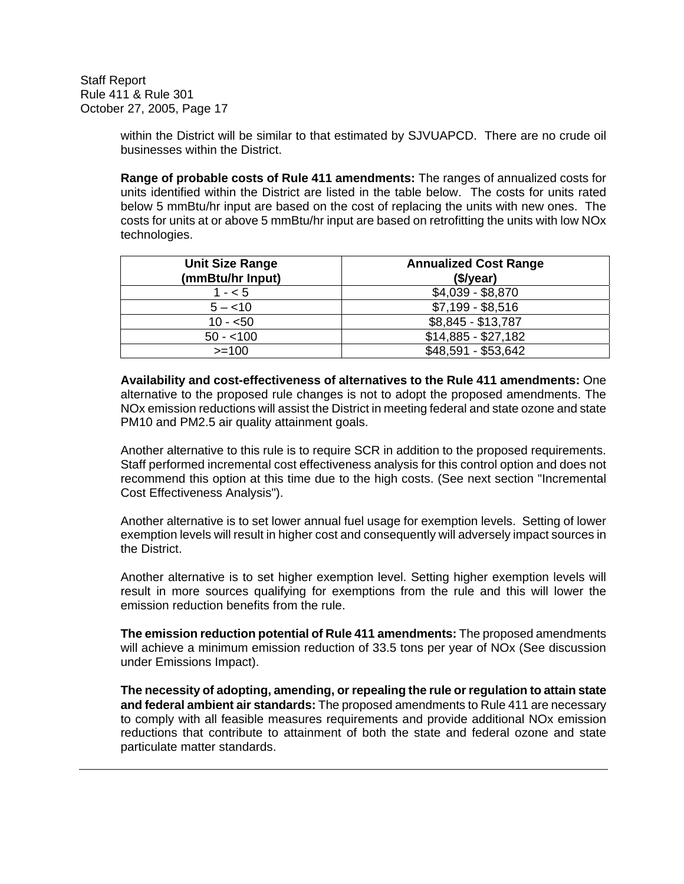> within the District will be similar to that estimated by SJVUAPCD. There are no crude oil businesses within the District.

> **Range of probable costs of Rule 411 amendments:** The ranges of annualized costs for units identified within the District are listed in the table below. The costs for units rated below 5 mmBtu/hr input are based on the cost of replacing the units with new ones. The costs for units at or above 5 mmBtu/hr input are based on retrofitting the units with low NOx technologies.

| <b>Unit Size Range</b><br>(mmBtu/hr Input) | <b>Annualized Cost Range</b><br>(\$/year) |
|--------------------------------------------|-------------------------------------------|
| $1 - 5$                                    | $$4,039 - $8,870$                         |
| $5 - < 10$                                 | $$7,199 - $8,516$                         |
| $10 - 50$                                  | \$8,845 - \$13,787                        |
| $50 - 100$                                 | $$14,885 - $27,182$                       |
| $>=100$                                    | \$48,591 - \$53,642                       |

**Availability and cost-effectiveness of alternatives to the Rule 411 amendments:** One alternative to the proposed rule changes is not to adopt the proposed amendments. The NOx emission reductions will assist the District in meeting federal and state ozone and state PM10 and PM2.5 air quality attainment goals.

Another alternative to this rule is to require SCR in addition to the proposed requirements. Staff performed incremental cost effectiveness analysis for this control option and does not recommend this option at this time due to the high costs. (See next section "Incremental Cost Effectiveness Analysis").

Another alternative is to set lower annual fuel usage for exemption levels. Setting of lower exemption levels will result in higher cost and consequently will adversely impact sources in the District.

Another alternative is to set higher exemption level. Setting higher exemption levels will result in more sources qualifying for exemptions from the rule and this will lower the emission reduction benefits from the rule.

**The emission reduction potential of Rule 411 amendments:** The proposed amendments will achieve a minimum emission reduction of 33.5 tons per year of NOx (See discussion under Emissions Impact).

**The necessity of adopting, amending, or repealing the rule or regulation to attain state and federal ambient air standards:** The proposed amendments to Rule 411 are necessary to comply with all feasible measures requirements and provide additional NOx emission reductions that contribute to attainment of both the state and federal ozone and state particulate matter standards.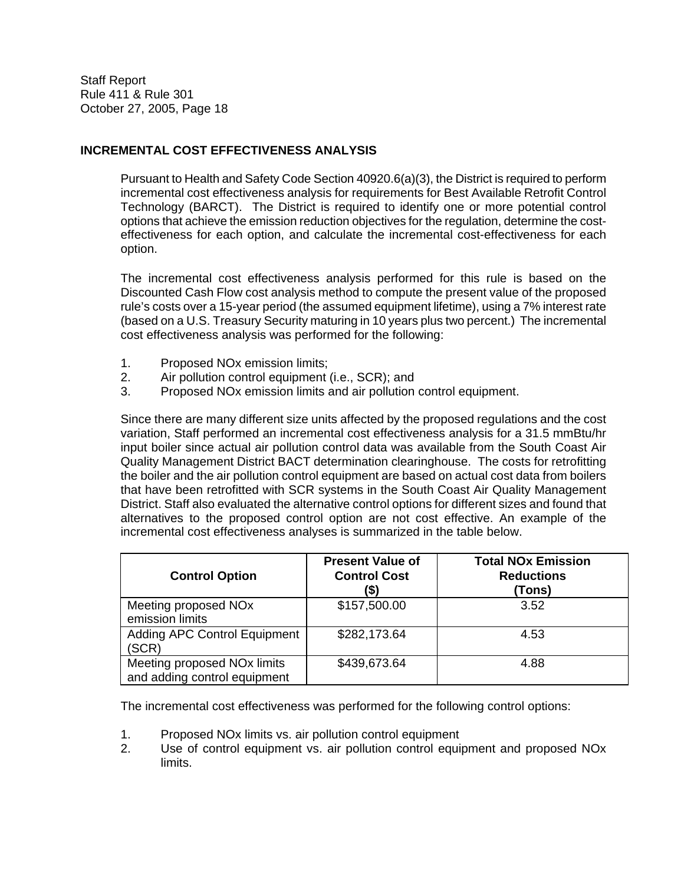### **INCREMENTAL COST EFFECTIVENESS ANALYSIS**

Pursuant to Health and Safety Code Section 40920.6(a)(3), the District is required to perform incremental cost effectiveness analysis for requirements for Best Available Retrofit Control Technology (BARCT). The District is required to identify one or more potential control options that achieve the emission reduction objectives for the regulation, determine the costeffectiveness for each option, and calculate the incremental cost-effectiveness for each option.

The incremental cost effectiveness analysis performed for this rule is based on the Discounted Cash Flow cost analysis method to compute the present value of the proposed rule's costs over a 15-year period (the assumed equipment lifetime), using a 7% interest rate (based on a U.S. Treasury Security maturing in 10 years plus two percent.) The incremental cost effectiveness analysis was performed for the following:

- 1. Proposed NOx emission limits;
- 2. Air pollution control equipment (i.e., SCR); and
- 3. Proposed NOx emission limits and air pollution control equipment.

Since there are many different size units affected by the proposed regulations and the cost variation, Staff performed an incremental cost effectiveness analysis for a 31.5 mmBtu/hr input boiler since actual air pollution control data was available from the South Coast Air Quality Management District BACT determination clearinghouse. The costs for retrofitting the boiler and the air pollution control equipment are based on actual cost data from boilers that have been retrofitted with SCR systems in the South Coast Air Quality Management District. Staff also evaluated the alternative control options for different sizes and found that alternatives to the proposed control option are not cost effective. An example of the incremental cost effectiveness analyses is summarized in the table below.

| <b>Control Option</b>                                                   | <b>Present Value of</b><br><b>Control Cost</b><br>(\$) | <b>Total NOx Emission</b><br><b>Reductions</b><br>(Tons) |
|-------------------------------------------------------------------------|--------------------------------------------------------|----------------------------------------------------------|
| Meeting proposed NOx<br>emission limits                                 | \$157,500.00                                           | 3.52                                                     |
| <b>Adding APC Control Equipment</b><br>(SCR)                            | \$282,173.64                                           | 4.53                                                     |
| Meeting proposed NO <sub>x</sub> limits<br>and adding control equipment | \$439,673.64                                           | 4.88                                                     |

The incremental cost effectiveness was performed for the following control options:

- 1. Proposed NOx limits vs. air pollution control equipment
- 2. Use of control equipment vs. air pollution control equipment and proposed NOx limits.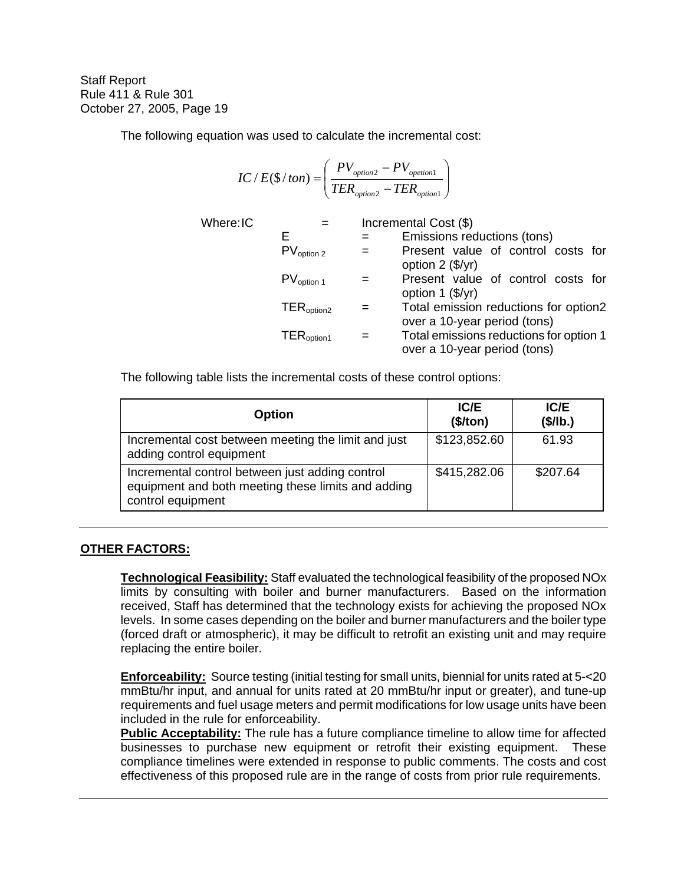The following equation was used to calculate the incremental cost:

$$
IC / E(\$ / ton) = \left(\frac{PV_{option2} - PV_{option1}}{TER_{option2} - TER_{option1}}\right)
$$

 $Where:IC$ 

E = Emissions reductions (tons) PVoption 2 = Present value of control costs for option 2 (\$/yr) PVoption 1 = Present value of control costs for option 1 (\$/yr) TERoption2 = Total emission reductions for option2 over a 10-year period (tons) TERoption1 = Total emissions reductions for option 1 over a 10-year period (tons)

The following table lists the incremental costs of these control options:

| <b>Option</b>                                                                                                              | <b>IC/E</b><br>(\$/ton) | IC/E<br>(\$/lb.) |
|----------------------------------------------------------------------------------------------------------------------------|-------------------------|------------------|
| Incremental cost between meeting the limit and just<br>adding control equipment                                            | \$123,852.60            | 61.93            |
| Incremental control between just adding control<br>equipment and both meeting these limits and adding<br>control equipment | \$415,282.06            | \$207.64         |

## **OTHER FACTORS:**

**Technological Feasibility:** Staff evaluated the technological feasibility of the proposed NOx limits by consulting with boiler and burner manufacturers. Based on the information received, Staff has determined that the technology exists for achieving the proposed NOx levels. In some cases depending on the boiler and burner manufacturers and the boiler type (forced draft or atmospheric), it may be difficult to retrofit an existing unit and may require replacing the entire boiler.

**Enforceability:** Source testing (initial testing for small units, biennial for units rated at 5-<20 mmBtu/hr input, and annual for units rated at 20 mmBtu/hr input or greater), and tune-up requirements and fuel usage meters and permit modifications for low usage units have been included in the rule for enforceability.

**Public Acceptability:** The rule has a future compliance timeline to allow time for affected businesses to purchase new equipment or retrofit their existing equipment. These compliance timelines were extended in response to public comments. The costs and cost effectiveness of this proposed rule are in the range of costs from prior rule requirements.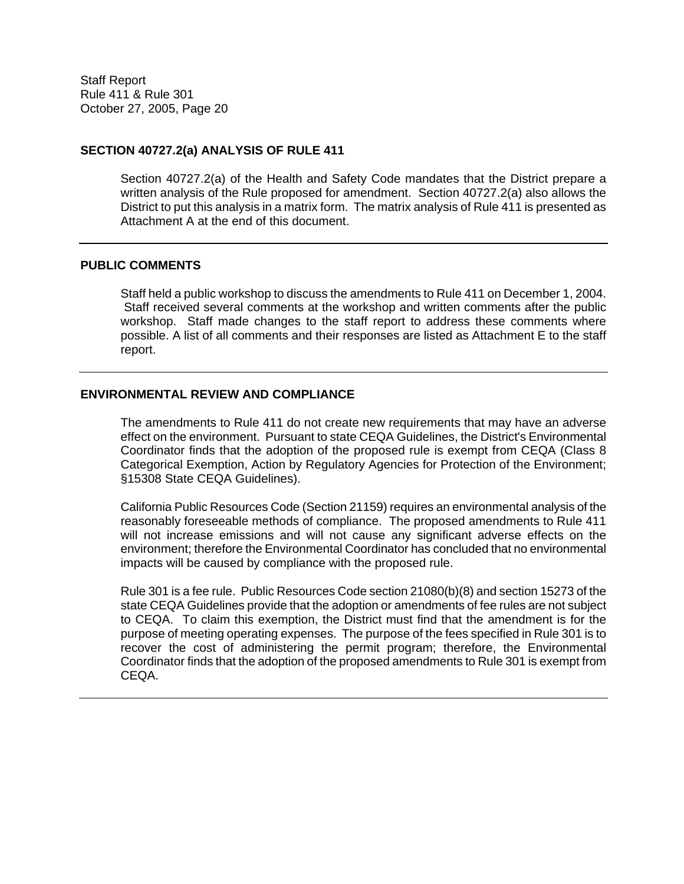#### **SECTION 40727.2(a) ANALYSIS OF RULE 411**

Section 40727.2(a) of the Health and Safety Code mandates that the District prepare a written analysis of the Rule proposed for amendment. Section 40727.2(a) also allows the District to put this analysis in a matrix form. The matrix analysis of Rule 411 is presented as Attachment A at the end of this document.

#### **PUBLIC COMMENTS**

Staff held a public workshop to discuss the amendments to Rule 411 on December 1, 2004. Staff received several comments at the workshop and written comments after the public workshop. Staff made changes to the staff report to address these comments where possible. A list of all comments and their responses are listed as Attachment E to the staff report.

#### **ENVIRONMENTAL REVIEW AND COMPLIANCE**

The amendments to Rule 411 do not create new requirements that may have an adverse effect on the environment. Pursuant to state CEQA Guidelines, the District's Environmental Coordinator finds that the adoption of the proposed rule is exempt from CEQA (Class 8 Categorical Exemption, Action by Regulatory Agencies for Protection of the Environment; §15308 State CEQA Guidelines).

California Public Resources Code (Section 21159) requires an environmental analysis of the reasonably foreseeable methods of compliance. The proposed amendments to Rule 411 will not increase emissions and will not cause any significant adverse effects on the environment; therefore the Environmental Coordinator has concluded that no environmental impacts will be caused by compliance with the proposed rule.

Rule 301 is a fee rule. Public Resources Code section 21080(b)(8) and section 15273 of the state CEQA Guidelines provide that the adoption or amendments of fee rules are not subject to CEQA. To claim this exemption, the District must find that the amendment is for the purpose of meeting operating expenses. The purpose of the fees specified in Rule 301 is to recover the cost of administering the permit program; therefore, the Environmental Coordinator finds that the adoption of the proposed amendments to Rule 301 is exempt from CEQA.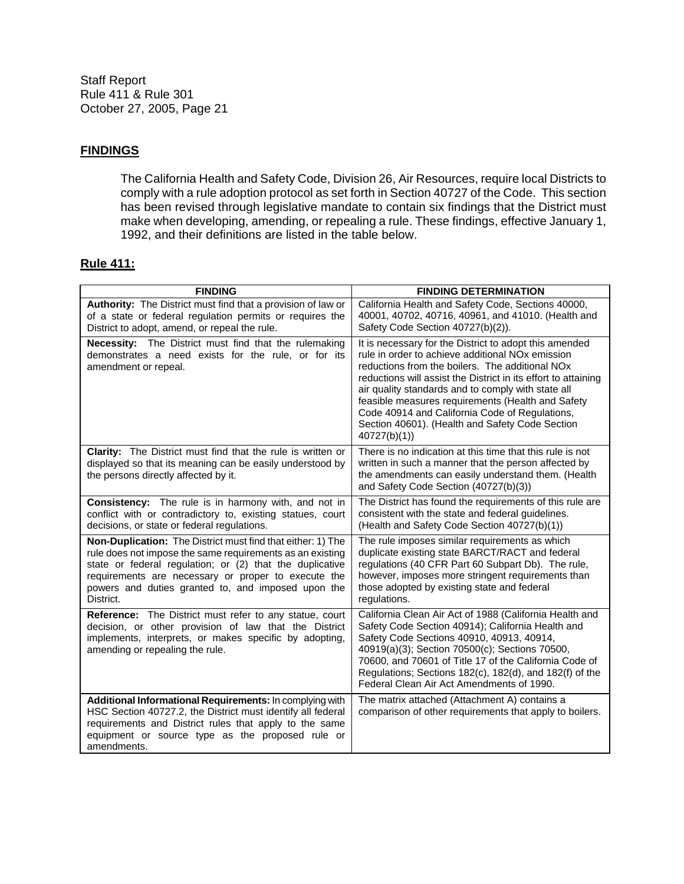#### **FINDINGS**

The California Health and Safety Code, Division 26, Air Resources, require local Districts to comply with a rule adoption protocol as set forth in Section 40727 of the Code. This section has been revised through legislative mandate to contain six findings that the District must make when developing, amending, or repealing a rule. These findings, effective January 1, 1992, and their definitions are listed in the table below.

#### **Rule 411:**

| <b>FINDING</b>                                                                                                                                                                                                                                                                                                 | <b>FINDING DETERMINATION</b>                                                                                                                                                                                                                                                                                                                                                                                                                                                           |
|----------------------------------------------------------------------------------------------------------------------------------------------------------------------------------------------------------------------------------------------------------------------------------------------------------------|----------------------------------------------------------------------------------------------------------------------------------------------------------------------------------------------------------------------------------------------------------------------------------------------------------------------------------------------------------------------------------------------------------------------------------------------------------------------------------------|
| Authority: The District must find that a provision of law or<br>of a state or federal regulation permits or requires the<br>District to adopt, amend, or repeal the rule.                                                                                                                                      | California Health and Safety Code, Sections 40000,<br>40001, 40702, 40716, 40961, and 41010. (Health and<br>Safety Code Section 40727(b)(2)).                                                                                                                                                                                                                                                                                                                                          |
| Necessity: The District must find that the rulemaking<br>demonstrates a need exists for the rule, or for its<br>amendment or repeal.                                                                                                                                                                           | It is necessary for the District to adopt this amended<br>rule in order to achieve additional NO <sub>x</sub> emission<br>reductions from the boilers. The additional NO <sub>x</sub><br>reductions will assist the District in its effort to attaining<br>air quality standards and to comply with state all<br>feasible measures requirements (Health and Safety<br>Code 40914 and California Code of Regulations,<br>Section 40601). (Health and Safety Code Section<br>40727(b)(1) |
| Clarity: The District must find that the rule is written or<br>displayed so that its meaning can be easily understood by<br>the persons directly affected by it.                                                                                                                                               | There is no indication at this time that this rule is not<br>written in such a manner that the person affected by<br>the amendments can easily understand them. (Health<br>and Safety Code Section (40727(b)(3))                                                                                                                                                                                                                                                                       |
| Consistency: The rule is in harmony with, and not in<br>conflict with or contradictory to, existing statues, court<br>decisions, or state or federal regulations.                                                                                                                                              | The District has found the requirements of this rule are<br>consistent with the state and federal guidelines.<br>(Health and Safety Code Section 40727(b)(1))                                                                                                                                                                                                                                                                                                                          |
| Non-Duplication: The District must find that either: 1) The<br>rule does not impose the same requirements as an existing<br>state or federal regulation; or (2) that the duplicative<br>requirements are necessary or proper to execute the<br>powers and duties granted to, and imposed upon the<br>District. | The rule imposes similar requirements as which<br>duplicate existing state BARCT/RACT and federal<br>regulations (40 CFR Part 60 Subpart Db). The rule,<br>however, imposes more stringent requirements than<br>those adopted by existing state and federal<br>regulations.                                                                                                                                                                                                            |
| <b>Reference:</b> The District must refer to any statue, court<br>decision, or other provision of law that the District<br>implements, interprets, or makes specific by adopting,<br>amending or repealing the rule.                                                                                           | California Clean Air Act of 1988 (California Health and<br>Safety Code Section 40914); California Health and<br>Safety Code Sections 40910, 40913, 40914,<br>40919(a)(3); Section 70500(c); Sections 70500,<br>70600, and 70601 of Title 17 of the California Code of<br>Regulations; Sections 182(c), 182(d), and 182(f) of the<br>Federal Clean Air Act Amendments of 1990.                                                                                                          |
| Additional Informational Requirements: In complying with<br>HSC Section 40727.2, the District must identify all federal<br>requirements and District rules that apply to the same<br>equipment or source type as the proposed rule or<br>amendments.                                                           | The matrix attached (Attachment A) contains a<br>comparison of other requirements that apply to boilers.                                                                                                                                                                                                                                                                                                                                                                               |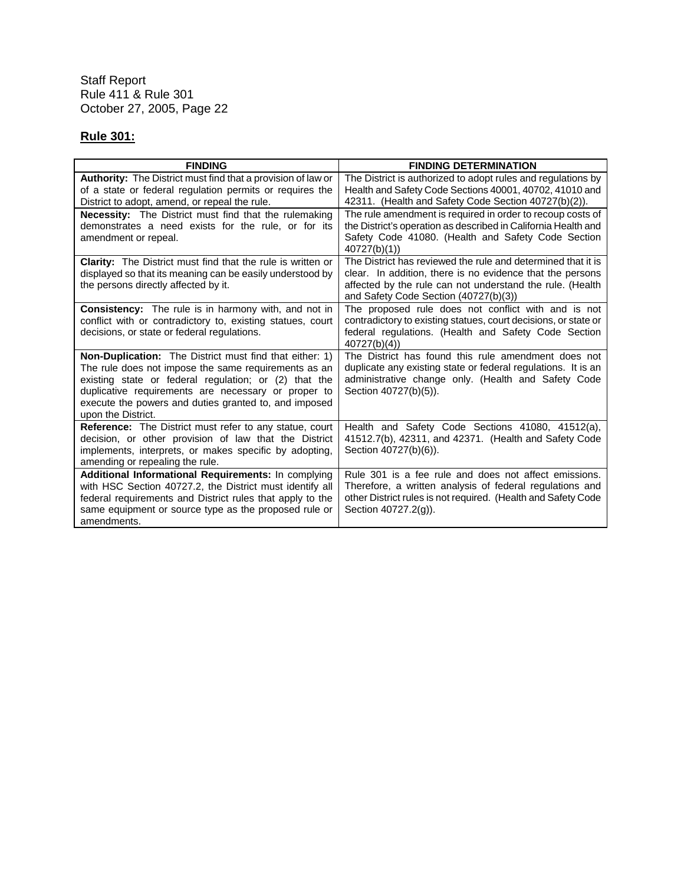# **Rule 301:**

| <b>FINDING</b>                                                                                                                                                                                                                                                                                                        | <b>FINDING DETERMINATION</b>                                                                                                                                                                                                    |
|-----------------------------------------------------------------------------------------------------------------------------------------------------------------------------------------------------------------------------------------------------------------------------------------------------------------------|---------------------------------------------------------------------------------------------------------------------------------------------------------------------------------------------------------------------------------|
| <b>Authority:</b> The District must find that a provision of law or<br>of a state or federal regulation permits or requires the                                                                                                                                                                                       | The District is authorized to adopt rules and regulations by<br>Health and Safety Code Sections 40001, 40702, 41010 and                                                                                                         |
| District to adopt, amend, or repeal the rule.                                                                                                                                                                                                                                                                         | 42311. (Health and Safety Code Section 40727(b)(2)).                                                                                                                                                                            |
| <b>Necessity:</b> The District must find that the rulemaking<br>demonstrates a need exists for the rule, or for its<br>amendment or repeal.                                                                                                                                                                           | The rule amendment is required in order to recoup costs of<br>the District's operation as described in California Health and<br>Safety Code 41080. (Health and Safety Code Section<br>40727(b)(1)                               |
| <b>Clarity:</b> The District must find that the rule is written or<br>displayed so that its meaning can be easily understood by<br>the persons directly affected by it.                                                                                                                                               | The District has reviewed the rule and determined that it is<br>clear. In addition, there is no evidence that the persons<br>affected by the rule can not understand the rule. (Health<br>and Safety Code Section (40727(b)(3)) |
| <b>Consistency:</b> The rule is in harmony with, and not in<br>conflict with or contradictory to, existing statues, court<br>decisions, or state or federal regulations.                                                                                                                                              | The proposed rule does not conflict with and is not<br>contradictory to existing statues, court decisions, or state or<br>federal regulations. (Health and Safety Code Section<br>40727(b)(4)                                   |
| <b>Non-Duplication:</b> The District must find that either: 1)<br>The rule does not impose the same requirements as an<br>existing state or federal regulation; or (2) that the<br>duplicative requirements are necessary or proper to<br>execute the powers and duties granted to, and imposed<br>upon the District. | The District has found this rule amendment does not<br>duplicate any existing state or federal regulations. It is an<br>administrative change only. (Health and Safety Code<br>Section 40727(b)(5)).                            |
| <b>Reference:</b> The District must refer to any statue, court<br>decision, or other provision of law that the District<br>implements, interprets, or makes specific by adopting,<br>amending or repealing the rule.                                                                                                  | Health and Safety Code Sections 41080, 41512(a),<br>41512.7(b), 42311, and 42371. (Health and Safety Code<br>Section 40727(b)(6)).                                                                                              |
| Additional Informational Requirements: In complying<br>with HSC Section 40727.2, the District must identify all<br>federal requirements and District rules that apply to the<br>same equipment or source type as the proposed rule or<br>amendments.                                                                  | Rule 301 is a fee rule and does not affect emissions.<br>Therefore, a written analysis of federal regulations and<br>other District rules is not required. (Health and Safety Code<br>Section 40727.2(g)).                      |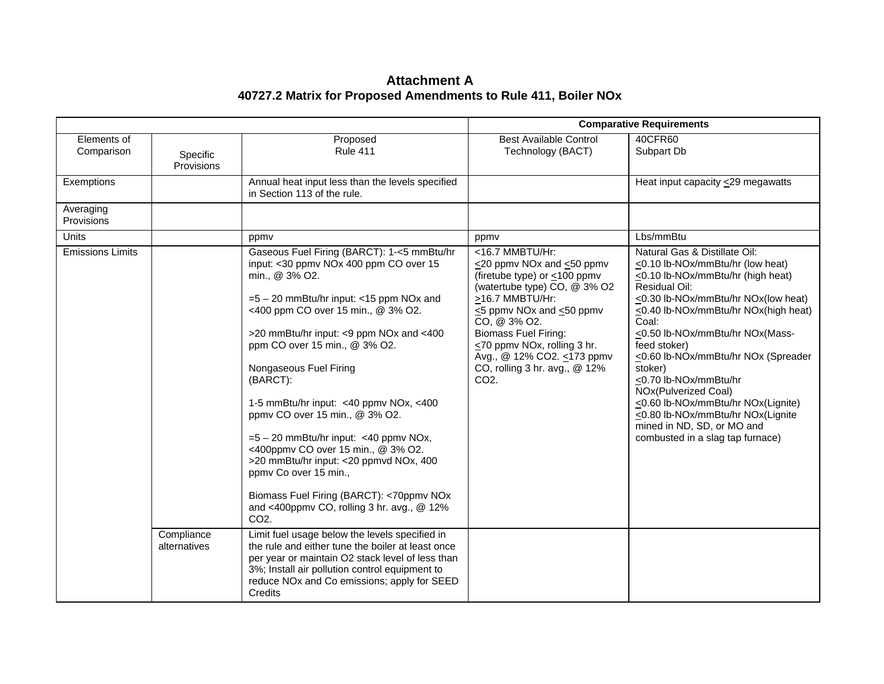### **Attachment A 40727.2 Matrix for Proposed Amendments to Rule 411, Boiler NOx**

|                           |                            |                                                                                                                                                                                                                                                                                                                                                                                                                                                                                                                                                                                                                                                          | <b>Comparative Requirements</b>                                                                                                                                                                                                                                                                                                           |                                                                                                                                                                                                                                                                                                                                                                                                                                                                                                                          |
|---------------------------|----------------------------|----------------------------------------------------------------------------------------------------------------------------------------------------------------------------------------------------------------------------------------------------------------------------------------------------------------------------------------------------------------------------------------------------------------------------------------------------------------------------------------------------------------------------------------------------------------------------------------------------------------------------------------------------------|-------------------------------------------------------------------------------------------------------------------------------------------------------------------------------------------------------------------------------------------------------------------------------------------------------------------------------------------|--------------------------------------------------------------------------------------------------------------------------------------------------------------------------------------------------------------------------------------------------------------------------------------------------------------------------------------------------------------------------------------------------------------------------------------------------------------------------------------------------------------------------|
| Elements of<br>Comparison | Specific<br>Provisions     | Proposed<br><b>Rule 411</b>                                                                                                                                                                                                                                                                                                                                                                                                                                                                                                                                                                                                                              | <b>Best Available Control</b><br>Technology (BACT)                                                                                                                                                                                                                                                                                        | 40CFR60<br>Subpart Db                                                                                                                                                                                                                                                                                                                                                                                                                                                                                                    |
| Exemptions                |                            | Annual heat input less than the levels specified<br>in Section 113 of the rule.                                                                                                                                                                                                                                                                                                                                                                                                                                                                                                                                                                          |                                                                                                                                                                                                                                                                                                                                           | Heat input capacity $\leq$ 29 megawatts                                                                                                                                                                                                                                                                                                                                                                                                                                                                                  |
| Averaging<br>Provisions   |                            |                                                                                                                                                                                                                                                                                                                                                                                                                                                                                                                                                                                                                                                          |                                                                                                                                                                                                                                                                                                                                           |                                                                                                                                                                                                                                                                                                                                                                                                                                                                                                                          |
| <b>Units</b>              |                            | ppmy                                                                                                                                                                                                                                                                                                                                                                                                                                                                                                                                                                                                                                                     | ppmy                                                                                                                                                                                                                                                                                                                                      | Lbs/mmBtu                                                                                                                                                                                                                                                                                                                                                                                                                                                                                                                |
| <b>Emissions Limits</b>   |                            | Gaseous Fuel Firing (BARCT): 1-<5 mmBtu/hr<br>input: <30 ppmv NOx 400 ppm CO over 15<br>min., @ 3% O2.<br>$=5 - 20$ mmBtu/hr input: <15 ppm NOx and<br><400 ppm CO over 15 min., @ 3% O2.<br>>20 mmBtu/hr input: <9 ppm NOx and <400<br>ppm CO over 15 min., @ 3% O2.<br>Nongaseous Fuel Firing<br>(BARCT):<br>1-5 mmBtu/hr input: <40 ppmv NOx, <400<br>ppmv CO over 15 min., @ 3% O2.<br>$=5-20$ mmBtu/hr input: <40 ppmv NOx,<br><400ppmv CO over 15 min., @ 3% O2.<br>>20 mmBtu/hr input: <20 ppmvd NOx, 400<br>ppmv Co over 15 min.,<br>Biomass Fuel Firing (BARCT): <70ppmv NOx<br>and <400ppmv CO, rolling 3 hr. avg., @ 12%<br>CO <sub>2</sub> . | <16.7 MMBTU/Hr:<br>$\leq$ 20 ppmv NOx and $\leq$ 50 ppmv<br>(firetube type) or <100 ppmv<br>(watertube type) CO, @ 3% O2<br>>16.7 MMBTU/Hr:<br><5 ppmv NOx and <50 ppmv<br>CO, @ 3% O2.<br><b>Biomass Fuel Firing:</b><br><70 ppmv NOx, rolling 3 hr.<br>Avg., @ 12% CO2. ≤173 ppmv<br>CO, rolling 3 hr. avg., @ 12%<br>CO <sub>2</sub> . | Natural Gas & Distillate Oil:<br>$\leq$ 0.10 lb-NOx/mmBtu/hr (low heat)<br><0.10 lb-NOx/mmBtu/hr (high heat)<br>Residual Oil:<br><0.30 lb-NOx/mmBtu/hr NOx(low heat)<br><0.40 lb-NOx/mmBtu/hr NOx(high heat)<br>Coal:<br>≤0.50 lb-NOx/mmBtu/hr NOx(Mass-<br>feed stoker)<br>≤0.60 lb-NOx/mmBtu/hr NOx (Spreader<br>stoker)<br><0.70 lb-NOx/mmBtu/hr<br>NOx(Pulverized Coal)<br><0.60 lb-NOx/mmBtu/hr NOx(Lignite)<br><0.80 lb-NOx/mmBtu/hr NOx(Lignite<br>mined in ND, SD, or MO and<br>combusted in a slag tap furnace) |
|                           | Compliance<br>alternatives | Limit fuel usage below the levels specified in<br>the rule and either tune the boiler at least once<br>per year or maintain O2 stack level of less than<br>3%; Install air pollution control equipment to<br>reduce NO <sub>x</sub> and Co emissions; apply for SEED<br>Credits                                                                                                                                                                                                                                                                                                                                                                          |                                                                                                                                                                                                                                                                                                                                           |                                                                                                                                                                                                                                                                                                                                                                                                                                                                                                                          |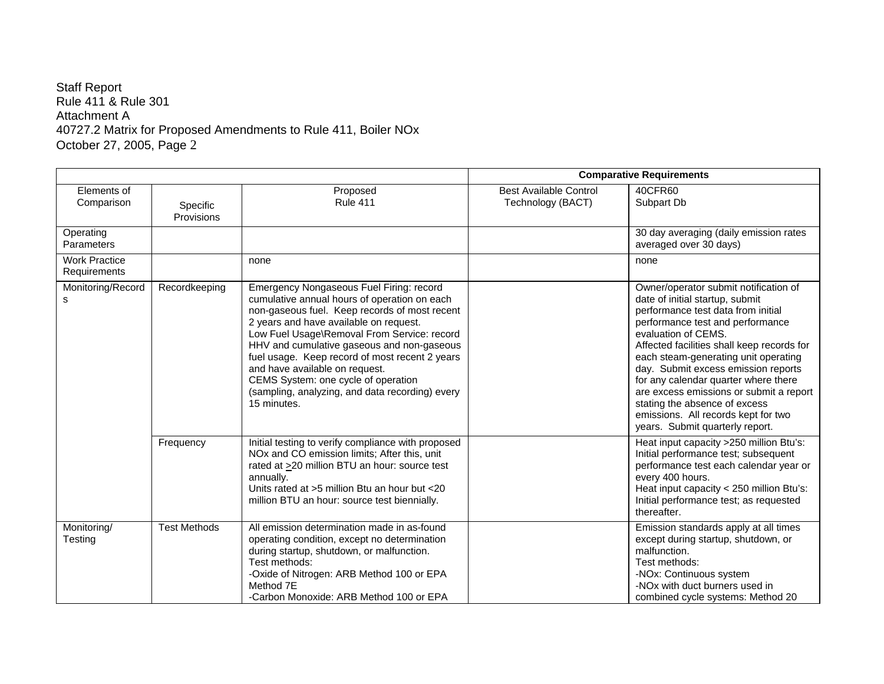### Staff Report Rule 411 & Rule 301 Attachment A 40727.2 Matrix for Proposed Amendments to Rule 411, Boiler NOx October 27, 2005, Page 2

|                                      |                        |                                                                                                                                                                                                                                                                                                                                                                                                                                                                               |                                                    | <b>Comparative Requirements</b>                                                                                                                                                                                                                                                                                                                                                                                                                                                                      |
|--------------------------------------|------------------------|-------------------------------------------------------------------------------------------------------------------------------------------------------------------------------------------------------------------------------------------------------------------------------------------------------------------------------------------------------------------------------------------------------------------------------------------------------------------------------|----------------------------------------------------|------------------------------------------------------------------------------------------------------------------------------------------------------------------------------------------------------------------------------------------------------------------------------------------------------------------------------------------------------------------------------------------------------------------------------------------------------------------------------------------------------|
| Elements of<br>Comparison            | Specific<br>Provisions | Proposed<br><b>Rule 411</b>                                                                                                                                                                                                                                                                                                                                                                                                                                                   | <b>Best Available Control</b><br>Technology (BACT) | 40CFR60<br>Subpart Db                                                                                                                                                                                                                                                                                                                                                                                                                                                                                |
| Operating<br>Parameters              |                        |                                                                                                                                                                                                                                                                                                                                                                                                                                                                               |                                                    | 30 day averaging (daily emission rates<br>averaged over 30 days)                                                                                                                                                                                                                                                                                                                                                                                                                                     |
| <b>Work Practice</b><br>Requirements |                        | none                                                                                                                                                                                                                                                                                                                                                                                                                                                                          |                                                    | none                                                                                                                                                                                                                                                                                                                                                                                                                                                                                                 |
| Monitoring/Record<br>s               | Recordkeeping          | Emergency Nongaseous Fuel Firing: record<br>cumulative annual hours of operation on each<br>non-gaseous fuel. Keep records of most recent<br>2 years and have available on request.<br>Low Fuel Usage\Removal From Service: record<br>HHV and cumulative gaseous and non-gaseous<br>fuel usage. Keep record of most recent 2 years<br>and have available on request.<br>CEMS System: one cycle of operation<br>(sampling, analyzing, and data recording) every<br>15 minutes. |                                                    | Owner/operator submit notification of<br>date of initial startup, submit<br>performance test data from initial<br>performance test and performance<br>evaluation of CEMS.<br>Affected facilities shall keep records for<br>each steam-generating unit operating<br>day. Submit excess emission reports<br>for any calendar quarter where there<br>are excess emissions or submit a report<br>stating the absence of excess<br>emissions. All records kept for two<br>years. Submit quarterly report. |
|                                      | Frequency              | Initial testing to verify compliance with proposed<br>NOx and CO emission limits; After this, unit<br>rated at >20 million BTU an hour: source test<br>annually.<br>Units rated at >5 million Btu an hour but <20<br>million BTU an hour: source test biennially.                                                                                                                                                                                                             |                                                    | Heat input capacity > 250 million Btu's:<br>Initial performance test; subsequent<br>performance test each calendar year or<br>every 400 hours.<br>Heat input capacity < 250 million Btu's:<br>Initial performance test; as requested<br>thereafter.                                                                                                                                                                                                                                                  |
| Monitoring/<br>Testing               | <b>Test Methods</b>    | All emission determination made in as-found<br>operating condition, except no determination<br>during startup, shutdown, or malfunction.<br>Test methods:<br>-Oxide of Nitrogen: ARB Method 100 or EPA<br>Method 7E<br>-Carbon Monoxide: ARB Method 100 or EPA                                                                                                                                                                                                                |                                                    | Emission standards apply at all times<br>except during startup, shutdown, or<br>malfunction.<br>Test methods:<br>-NOx: Continuous system<br>-NO <sub>x</sub> with duct burners used in<br>combined cycle systems: Method 20                                                                                                                                                                                                                                                                          |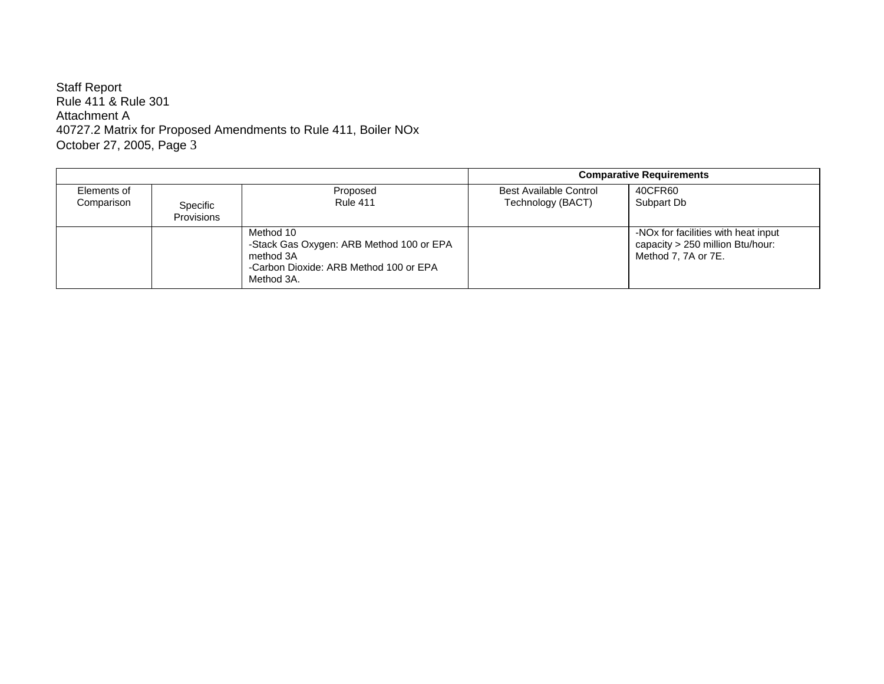Staff Report Rule 411 & Rule 301 Attachment A 40727.2 Matrix for Proposed Amendments to Rule 411, Boiler NOx October 27, 2005, Page 3

|                           |                        |                                                                                                                            |                                             | <b>Comparative Requirements</b>                                                                |
|---------------------------|------------------------|----------------------------------------------------------------------------------------------------------------------------|---------------------------------------------|------------------------------------------------------------------------------------------------|
| Elements of<br>Comparison | Specific<br>Provisions | Proposed<br><b>Rule 411</b>                                                                                                | Best Available Control<br>Technology (BACT) | 40CFR60<br>Subpart Db                                                                          |
|                           |                        | Method 10<br>-Stack Gas Oxygen: ARB Method 100 or EPA<br>method 3A<br>-Carbon Dioxide: ARB Method 100 or EPA<br>Method 3A. |                                             | -NOx for facilities with heat input<br>capacity > 250 million Btu/hour:<br>Method 7, 7A or 7E. |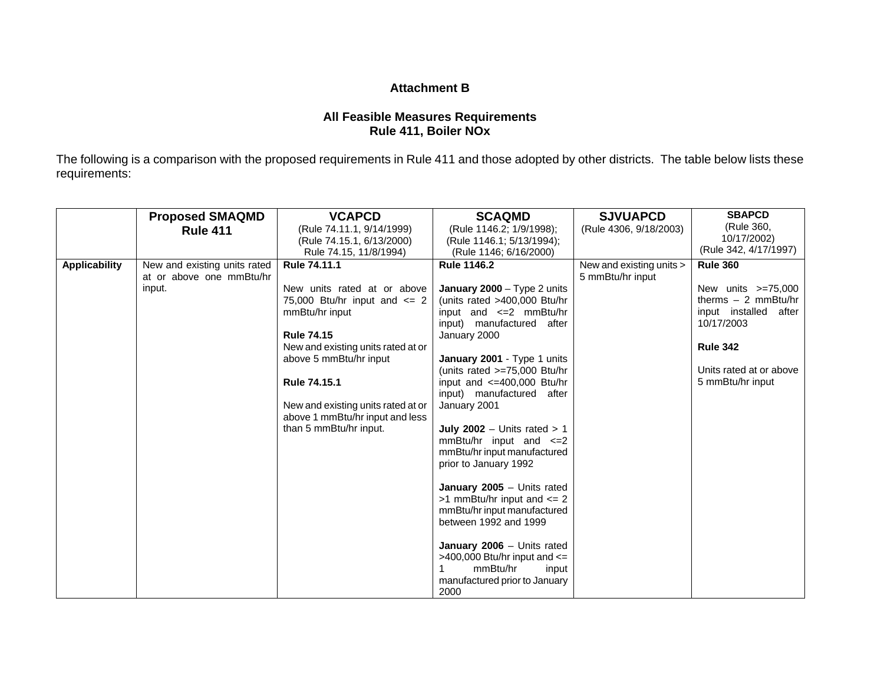#### **Attachment B**

## **All Feasible Measures Requirements Rule 411, Boiler NOx**

The following is a comparison with the proposed requirements in Rule 411 and those adopted by other districts. The table below lists these requirements:

|                      | <b>Proposed SMAQMD</b>       | <b>VCAPCD</b>                                             | <b>SCAQMD</b>                                            | <b>SJVUAPCD</b>          | <b>SBAPCD</b>                       |
|----------------------|------------------------------|-----------------------------------------------------------|----------------------------------------------------------|--------------------------|-------------------------------------|
|                      | <b>Rule 411</b>              | (Rule 74.11.1, 9/14/1999)                                 | (Rule 1146.2; 1/9/1998);                                 | (Rule 4306, 9/18/2003)   | (Rule 360.                          |
|                      |                              | (Rule 74.15.1, 6/13/2000)                                 | (Rule 1146.1; 5/13/1994);                                |                          | 10/17/2002)                         |
|                      |                              | Rule 74.15, 11/8/1994)                                    | (Rule 1146; 6/16/2000)                                   |                          | (Rule 342, 4/17/1997)               |
| <b>Applicability</b> | New and existing units rated | Rule 74.11.1                                              | <b>Rule 1146.2</b>                                       | New and existing units > | <b>Rule 360</b>                     |
|                      | at or above one mmBtu/hr     |                                                           |                                                          | 5 mmBtu/hr input         |                                     |
|                      | input.                       | New units rated at or above                               | January 2000 - Type 2 units                              |                          | New units $>=75,000$                |
|                      |                              | 75,000 Btu/hr input and $\leq$ 2                          | (units rated >400,000 Btu/hr                             |                          | therms $-2$ mmBtu/hr                |
|                      |                              | mmBtu/hr input                                            | input and $\leq 2$ mmBtu/hr<br>input) manufactured after |                          | input installed after<br>10/17/2003 |
|                      |                              | <b>Rule 74.15</b>                                         | January 2000                                             |                          |                                     |
|                      |                              | New and existing units rated at or                        |                                                          |                          | <b>Rule 342</b>                     |
|                      |                              | above 5 mmBtu/hr input                                    | January 2001 - Type 1 units                              |                          |                                     |
|                      |                              |                                                           | (units rated $>=75,000$ Btu/hr                           |                          | Units rated at or above             |
|                      |                              | <b>Rule 74.15.1</b>                                       | input and $\leq$ =400,000 Btu/hr                         |                          | 5 mmBtu/hr input                    |
|                      |                              |                                                           | input) manufactured after                                |                          |                                     |
|                      |                              | New and existing units rated at or                        | January 2001                                             |                          |                                     |
|                      |                              | above 1 mmBtu/hr input and less<br>than 5 mmBtu/hr input. | July 2002 - Units rated $> 1$                            |                          |                                     |
|                      |                              |                                                           | mmBtu/hr input and $\leq$ 2                              |                          |                                     |
|                      |                              |                                                           | mmBtu/hr input manufactured                              |                          |                                     |
|                      |                              |                                                           | prior to January 1992                                    |                          |                                     |
|                      |                              |                                                           |                                                          |                          |                                     |
|                      |                              |                                                           | January $2005 -$ Units rated                             |                          |                                     |
|                      |                              |                                                           | $>1$ mmBtu/hr input and $<= 2$                           |                          |                                     |
|                      |                              |                                                           | mmBtu/hr input manufactured                              |                          |                                     |
|                      |                              |                                                           | between 1992 and 1999                                    |                          |                                     |
|                      |                              |                                                           |                                                          |                          |                                     |
|                      |                              |                                                           | January 2006 - Units rated                               |                          |                                     |
|                      |                              |                                                           | >400,000 Btu/hr input and $\le$ =                        |                          |                                     |
|                      |                              |                                                           | mmBtu/hr<br>input                                        |                          |                                     |
|                      |                              |                                                           | manufactured prior to January                            |                          |                                     |
|                      |                              |                                                           | 2000                                                     |                          |                                     |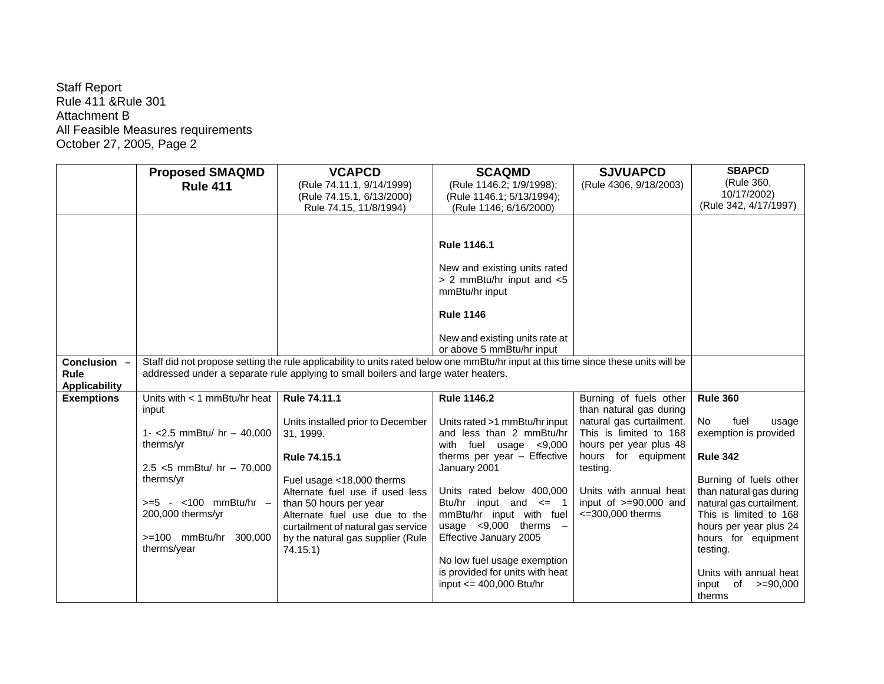|                                                     | <b>Proposed SMAQMD</b>                       | <b>VCAPCD</b>                                                                                                                                                                                                             | <b>SCAQMD</b>                                                               | <b>SJVUAPCD</b>                                   | <b>SBAPCD</b>                                      |
|-----------------------------------------------------|----------------------------------------------|---------------------------------------------------------------------------------------------------------------------------------------------------------------------------------------------------------------------------|-----------------------------------------------------------------------------|---------------------------------------------------|----------------------------------------------------|
|                                                     | <b>Rule 411</b>                              | (Rule 74.11.1, 9/14/1999)                                                                                                                                                                                                 | (Rule 1146.2; 1/9/1998);                                                    | (Rule 4306, 9/18/2003)                            | (Rule 360,                                         |
|                                                     |                                              | (Rule 74.15.1, 6/13/2000)                                                                                                                                                                                                 | (Rule 1146.1; 5/13/1994);                                                   |                                                   | 10/17/2002)                                        |
|                                                     |                                              | Rule 74.15, 11/8/1994)                                                                                                                                                                                                    | (Rule 1146; 6/16/2000)                                                      |                                                   | (Rule 342, 4/17/1997)                              |
|                                                     |                                              |                                                                                                                                                                                                                           |                                                                             |                                                   |                                                    |
|                                                     |                                              |                                                                                                                                                                                                                           | <b>Rule 1146.1</b>                                                          |                                                   |                                                    |
|                                                     |                                              |                                                                                                                                                                                                                           | New and existing units rated<br>> 2 mmBtu/hr input and <5<br>mmBtu/hr input |                                                   |                                                    |
|                                                     |                                              |                                                                                                                                                                                                                           | <b>Rule 1146</b>                                                            |                                                   |                                                    |
|                                                     |                                              |                                                                                                                                                                                                                           | New and existing units rate at<br>or above 5 mmBtu/hr input                 |                                                   |                                                    |
| Conclusion -<br><b>Rule</b><br><b>Applicability</b> |                                              | Staff did not propose setting the rule applicability to units rated below one mmBtu/hr input at this time since these units will be<br>addressed under a separate rule applying to small boilers and large water heaters. |                                                                             |                                                   |                                                    |
| <b>Exemptions</b>                                   | Units with $<$ 1 mmBtu/hr heat               | Rule 74.11.1                                                                                                                                                                                                              | <b>Rule 1146.2</b>                                                          | Burning of fuels other                            | <b>Rule 360</b>                                    |
|                                                     | input                                        |                                                                                                                                                                                                                           |                                                                             | than natural gas during                           |                                                    |
|                                                     |                                              | Units installed prior to December                                                                                                                                                                                         | Units rated >1 mmBtu/hr input                                               | natural gas curtailment.                          | <b>No</b><br>fuel<br>usage                         |
|                                                     | 1- < 2.5 mmBtu/ hr $-$ 40,000<br>therms/yr   | 31, 1999.                                                                                                                                                                                                                 | and less than 2 mmBtu/hr<br>with fuel usage $< 9,000$                       | This is limited to 168<br>hours per year plus 48  | exemption is provided                              |
|                                                     |                                              | <b>Rule 74.15.1</b>                                                                                                                                                                                                       | therms per year - Effective                                                 | hours for equipment                               | <b>Rule 342</b>                                    |
|                                                     | 2.5 $<$ 5 mmBtu/ hr - 70,000                 |                                                                                                                                                                                                                           | January 2001                                                                | testing.                                          |                                                    |
|                                                     | therms/yr                                    | Fuel usage <18,000 therms                                                                                                                                                                                                 |                                                                             |                                                   | Burning of fuels other                             |
|                                                     |                                              | Alternate fuel use if used less                                                                                                                                                                                           | Units rated below 400,000                                                   | Units with annual heat                            | than natural gas during                            |
|                                                     | $>= 5 - 100$ mmBtu/hr -<br>200,000 therms/yr | than 50 hours per year<br>Alternate fuel use due to the                                                                                                                                                                   | Btu/hr input and $\leq$ 1<br>mmBtu/hr input with fuel                       | input of $>=90,000$ and<br>$\leq$ =300,000 therms | natural gas curtailment.<br>This is limited to 168 |
|                                                     |                                              | curtailment of natural gas service                                                                                                                                                                                        | usage $\leq 9,000$ therms $-$                                               |                                                   | hours per year plus 24                             |
|                                                     | >=100 mmBtu/hr 300,000<br>therms/year        | by the natural gas supplier (Rule<br>74.15.1                                                                                                                                                                              | Effective January 2005                                                      |                                                   | hours for equipment<br>testing.                    |
|                                                     |                                              |                                                                                                                                                                                                                           | No low fuel usage exemption                                                 |                                                   |                                                    |
|                                                     |                                              |                                                                                                                                                                                                                           | is provided for units with heat                                             |                                                   | Units with annual heat                             |
|                                                     |                                              |                                                                                                                                                                                                                           | input $\leq$ 400,000 Btu/hr                                                 |                                                   | of<br>input<br>$>=$ 90,000<br>therms               |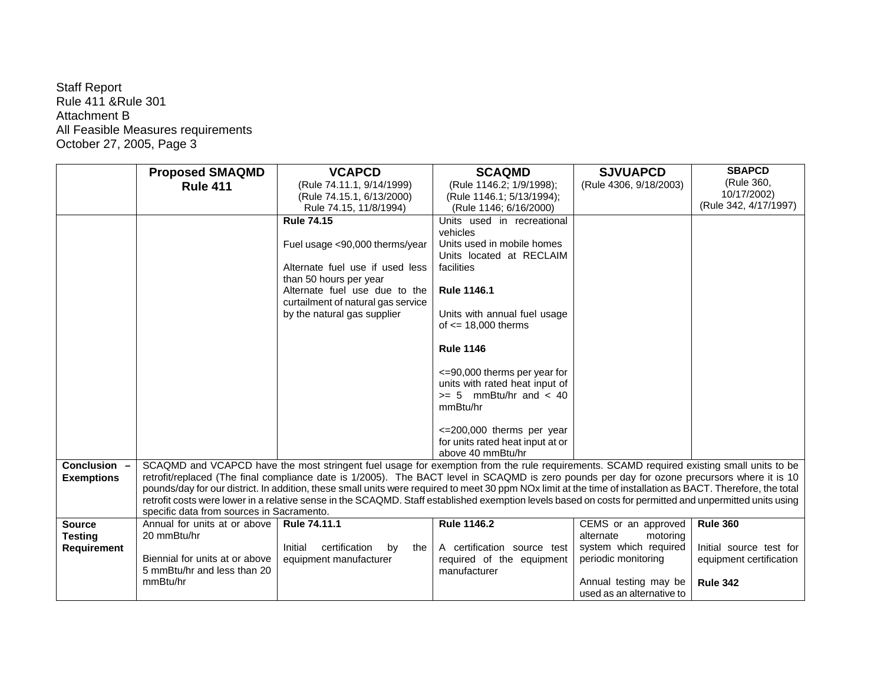|                    | <b>Proposed SMAQMD</b>                    | <b>VCAPCD</b>                                                                                                                                                                                                                                                                                                            | <b>SCAQMD</b>                                                  | <b>SJVUAPCD</b>           | <b>SBAPCD</b>           |
|--------------------|-------------------------------------------|--------------------------------------------------------------------------------------------------------------------------------------------------------------------------------------------------------------------------------------------------------------------------------------------------------------------------|----------------------------------------------------------------|---------------------------|-------------------------|
|                    | <b>Rule 411</b>                           | (Rule 74.11.1, 9/14/1999)                                                                                                                                                                                                                                                                                                | (Rule 1146.2; 1/9/1998);                                       | (Rule 4306, 9/18/2003)    | (Rule 360,              |
|                    |                                           | (Rule 74.15.1, 6/13/2000)                                                                                                                                                                                                                                                                                                | (Rule 1146.1; 5/13/1994);                                      |                           | 10/17/2002)             |
|                    |                                           | Rule 74.15, 11/8/1994)                                                                                                                                                                                                                                                                                                   | (Rule 1146; 6/16/2000)                                         |                           | (Rule 342, 4/17/1997)   |
|                    |                                           | <b>Rule 74.15</b>                                                                                                                                                                                                                                                                                                        | Units used in recreational                                     |                           |                         |
|                    |                                           |                                                                                                                                                                                                                                                                                                                          | vehicles                                                       |                           |                         |
|                    |                                           | Fuel usage <90,000 therms/year                                                                                                                                                                                                                                                                                           | Units used in mobile homes                                     |                           |                         |
|                    |                                           |                                                                                                                                                                                                                                                                                                                          | Units located at RECLAIM                                       |                           |                         |
|                    |                                           | Alternate fuel use if used less                                                                                                                                                                                                                                                                                          | facilities                                                     |                           |                         |
|                    |                                           | than 50 hours per year<br>Alternate fuel use due to the                                                                                                                                                                                                                                                                  | <b>Rule 1146.1</b>                                             |                           |                         |
|                    |                                           | curtailment of natural gas service                                                                                                                                                                                                                                                                                       |                                                                |                           |                         |
|                    |                                           | by the natural gas supplier                                                                                                                                                                                                                                                                                              | Units with annual fuel usage                                   |                           |                         |
|                    |                                           |                                                                                                                                                                                                                                                                                                                          | of $\leq$ 18,000 therms                                        |                           |                         |
|                    |                                           |                                                                                                                                                                                                                                                                                                                          |                                                                |                           |                         |
|                    |                                           |                                                                                                                                                                                                                                                                                                                          | <b>Rule 1146</b>                                               |                           |                         |
|                    |                                           |                                                                                                                                                                                                                                                                                                                          |                                                                |                           |                         |
|                    |                                           |                                                                                                                                                                                                                                                                                                                          | <=90,000 therms per year for<br>units with rated heat input of |                           |                         |
|                    |                                           |                                                                                                                                                                                                                                                                                                                          | $>= 5$ mmBtu/hr and $< 40$                                     |                           |                         |
|                    |                                           |                                                                                                                                                                                                                                                                                                                          | mmBtu/hr                                                       |                           |                         |
|                    |                                           |                                                                                                                                                                                                                                                                                                                          |                                                                |                           |                         |
|                    |                                           |                                                                                                                                                                                                                                                                                                                          | $\leq$ 200,000 therms per year                                 |                           |                         |
|                    |                                           |                                                                                                                                                                                                                                                                                                                          | for units rated heat input at or                               |                           |                         |
|                    |                                           |                                                                                                                                                                                                                                                                                                                          | above 40 mmBtu/hr                                              |                           |                         |
| Conclusion -       |                                           | SCAQMD and VCAPCD have the most stringent fuel usage for exemption from the rule requirements. SCAMD required existing small units to be                                                                                                                                                                                 |                                                                |                           |                         |
| <b>Exemptions</b>  |                                           | retrofit/replaced (The final compliance date is 1/2005). The BACT level in SCAQMD is zero pounds per day for ozone precursors where it is 10                                                                                                                                                                             |                                                                |                           |                         |
|                    |                                           | pounds/day for our district. In addition, these small units were required to meet 30 ppm NOx limit at the time of installation as BACT. Therefore, the total<br>retrofit costs were lower in a relative sense in the SCAQMD. Staff established exemption levels based on costs for permitted and unpermitted units using |                                                                |                           |                         |
|                    | specific data from sources in Sacramento. |                                                                                                                                                                                                                                                                                                                          |                                                                |                           |                         |
| <b>Source</b>      | Annual for units at or above              | Rule 74.11.1                                                                                                                                                                                                                                                                                                             | <b>Rule 1146.2</b>                                             | CEMS or an approved       | <b>Rule 360</b>         |
| <b>Testing</b>     | 20 mmBtu/hr                               |                                                                                                                                                                                                                                                                                                                          |                                                                | alternate<br>motoring     |                         |
| <b>Requirement</b> |                                           | certification<br>Initial<br>by<br>the                                                                                                                                                                                                                                                                                    | A certification source test                                    | system which required     | Initial source test for |
|                    | Biennial for units at or above            | equipment manufacturer                                                                                                                                                                                                                                                                                                   | required of the equipment                                      | periodic monitoring       | equipment certification |
|                    | 5 mmBtu/hr and less than 20               |                                                                                                                                                                                                                                                                                                                          | manufacturer                                                   |                           |                         |
|                    | mmBtu/hr                                  |                                                                                                                                                                                                                                                                                                                          |                                                                | Annual testing may be     | <b>Rule 342</b>         |
|                    |                                           |                                                                                                                                                                                                                                                                                                                          |                                                                | used as an alternative to |                         |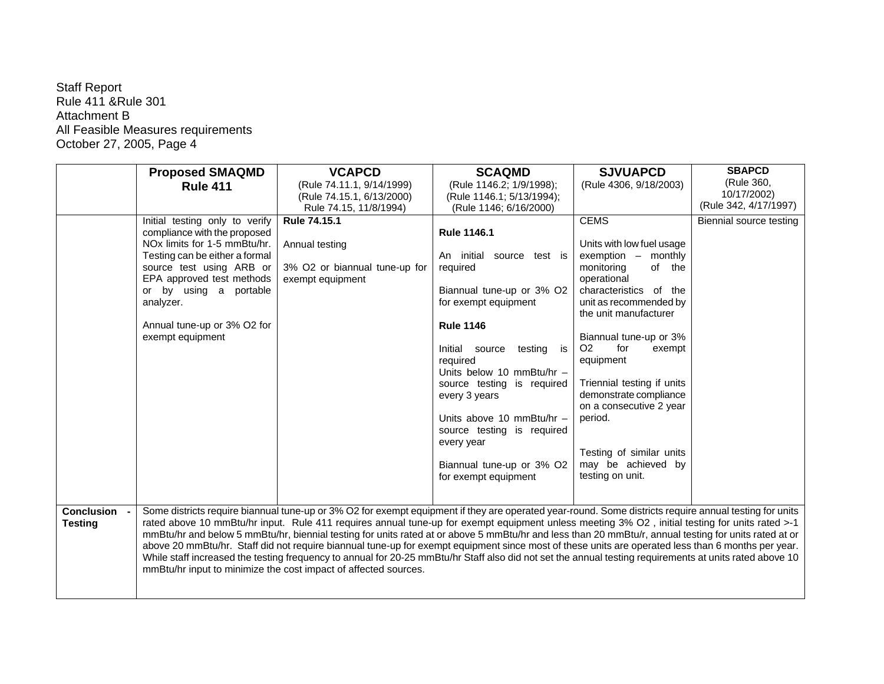|                                | <b>Proposed SMAQMD</b>                                | <b>VCAPCD</b>                                                                                                                                                                                                                                                                                            | <b>SCAQMD</b>                   | <b>SJVUAPCD</b>                     | <b>SBAPCD</b>           |
|--------------------------------|-------------------------------------------------------|----------------------------------------------------------------------------------------------------------------------------------------------------------------------------------------------------------------------------------------------------------------------------------------------------------|---------------------------------|-------------------------------------|-------------------------|
|                                | <b>Rule 411</b>                                       | (Rule 74.11.1, 9/14/1999)                                                                                                                                                                                                                                                                                | (Rule 1146.2; 1/9/1998);        | (Rule 4306, 9/18/2003)              | (Rule 360,              |
|                                |                                                       | (Rule 74.15.1, 6/13/2000)                                                                                                                                                                                                                                                                                | (Rule 1146.1; 5/13/1994);       |                                     | 10/17/2002)             |
|                                |                                                       | Rule 74.15, 11/8/1994)                                                                                                                                                                                                                                                                                   | (Rule 1146; 6/16/2000)          |                                     | (Rule 342, 4/17/1997)   |
|                                | Initial testing only to verify                        | Rule 74.15.1                                                                                                                                                                                                                                                                                             |                                 | <b>CEMS</b>                         | Biennial source testing |
|                                | compliance with the proposed                          |                                                                                                                                                                                                                                                                                                          | <b>Rule 1146.1</b>              |                                     |                         |
|                                | NO <sub>x</sub> limits for 1-5 mmBtu/hr.              | Annual testing                                                                                                                                                                                                                                                                                           |                                 | Units with low fuel usage           |                         |
|                                | Testing can be either a formal                        |                                                                                                                                                                                                                                                                                                          | An initial source test is       | exemption - monthly                 |                         |
|                                | source test using ARB or<br>EPA approved test methods | 3% O2 or biannual tune-up for<br>exempt equipment                                                                                                                                                                                                                                                        | required                        | monitoring<br>of the<br>operational |                         |
|                                | or by using a portable                                |                                                                                                                                                                                                                                                                                                          | Biannual tune-up or 3% O2       | characteristics of the              |                         |
|                                | analyzer.                                             |                                                                                                                                                                                                                                                                                                          | for exempt equipment            | unit as recommended by              |                         |
|                                |                                                       |                                                                                                                                                                                                                                                                                                          |                                 | the unit manufacturer               |                         |
|                                | Annual tune-up or 3% O2 for                           |                                                                                                                                                                                                                                                                                                          | <b>Rule 1146</b>                |                                     |                         |
|                                | exempt equipment                                      |                                                                                                                                                                                                                                                                                                          |                                 | Biannual tune-up or 3%              |                         |
|                                |                                                       |                                                                                                                                                                                                                                                                                                          | Initial source<br>testing<br>is | O <sub>2</sub><br>for<br>exempt     |                         |
|                                |                                                       |                                                                                                                                                                                                                                                                                                          | required                        | equipment                           |                         |
|                                |                                                       |                                                                                                                                                                                                                                                                                                          | Units below 10 mmBtu/hr -       |                                     |                         |
|                                |                                                       |                                                                                                                                                                                                                                                                                                          | source testing is required      | Triennial testing if units          |                         |
|                                |                                                       |                                                                                                                                                                                                                                                                                                          | every 3 years                   | demonstrate compliance              |                         |
|                                |                                                       |                                                                                                                                                                                                                                                                                                          | Units above 10 mmBtu/hr -       | on a consecutive 2 year<br>period.  |                         |
|                                |                                                       |                                                                                                                                                                                                                                                                                                          | source testing is required      |                                     |                         |
|                                |                                                       |                                                                                                                                                                                                                                                                                                          | every year                      |                                     |                         |
|                                |                                                       |                                                                                                                                                                                                                                                                                                          |                                 | Testing of similar units            |                         |
|                                |                                                       |                                                                                                                                                                                                                                                                                                          | Biannual tune-up or 3% O2       | may be achieved by                  |                         |
|                                |                                                       |                                                                                                                                                                                                                                                                                                          | for exempt equipment            | testing on unit.                    |                         |
|                                |                                                       |                                                                                                                                                                                                                                                                                                          |                                 |                                     |                         |
|                                |                                                       |                                                                                                                                                                                                                                                                                                          |                                 |                                     |                         |
| Conclusion -<br><b>Testing</b> |                                                       | Some districts require biannual tune-up or 3% O2 for exempt equipment if they are operated year-round. Some districts require annual testing for units<br>rated above 10 mmBtu/hr input. Rule 411 requires annual tune-up for exempt equipment unless meeting 3% O2, initial testing for units rated >-1 |                                 |                                     |                         |
|                                |                                                       | mmBtu/hr and below 5 mmBtu/hr, biennial testing for units rated at or above 5 mmBtu/hr and less than 20 mmBtu/r, annual testing for units rated at or                                                                                                                                                    |                                 |                                     |                         |
|                                |                                                       | above 20 mmBtu/hr. Staff did not require biannual tune-up for exempt equipment since most of these units are operated less than 6 months per year.                                                                                                                                                       |                                 |                                     |                         |
|                                |                                                       | While staff increased the testing frequency to annual for 20-25 mmBtu/hr Staff also did not set the annual testing requirements at units rated above 10                                                                                                                                                  |                                 |                                     |                         |
|                                |                                                       | mmBtu/hr input to minimize the cost impact of affected sources.                                                                                                                                                                                                                                          |                                 |                                     |                         |
|                                |                                                       |                                                                                                                                                                                                                                                                                                          |                                 |                                     |                         |
|                                |                                                       |                                                                                                                                                                                                                                                                                                          |                                 |                                     |                         |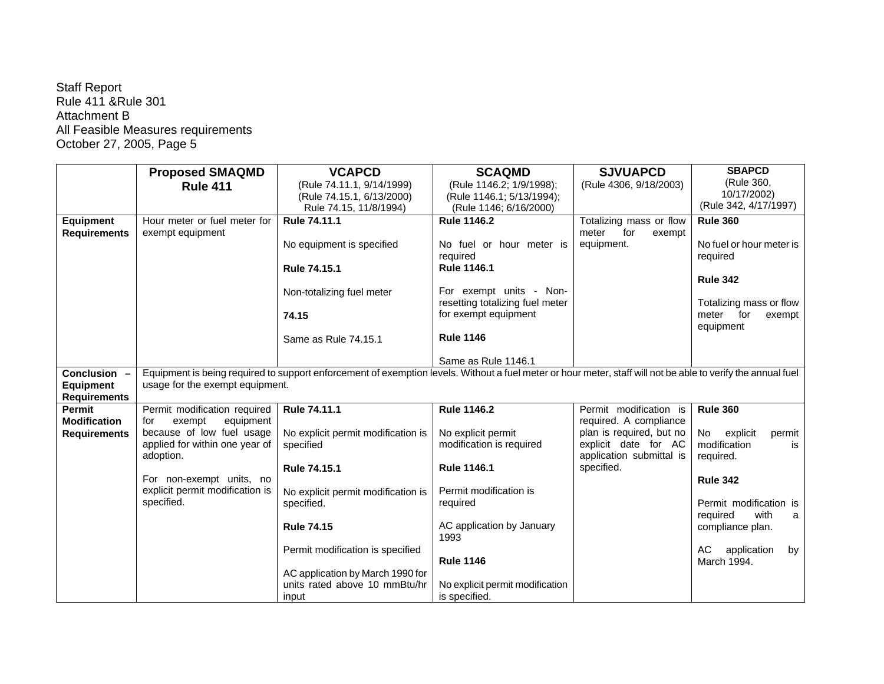|                     | <b>Proposed SMAQMD</b>          | <b>VCAPCD</b>                                                                                                                                                | <b>SCAQMD</b>                   | <b>SJVUAPCD</b>          | <b>SBAPCD</b>            |
|---------------------|---------------------------------|--------------------------------------------------------------------------------------------------------------------------------------------------------------|---------------------------------|--------------------------|--------------------------|
|                     | <b>Rule 411</b>                 | (Rule 74.11.1, 9/14/1999)                                                                                                                                    | (Rule 1146.2; 1/9/1998);        | (Rule 4306, 9/18/2003)   | (Rule 360,               |
|                     |                                 | (Rule 74.15.1, 6/13/2000)                                                                                                                                    | (Rule 1146.1; 5/13/1994);       |                          | 10/17/2002)              |
|                     |                                 | Rule 74.15, 11/8/1994)                                                                                                                                       | (Rule 1146; 6/16/2000)          |                          | (Rule 342, 4/17/1997)    |
| <b>Equipment</b>    | Hour meter or fuel meter for    | Rule 74.11.1                                                                                                                                                 | <b>Rule 1146.2</b>              | Totalizing mass or flow  | <b>Rule 360</b>          |
| <b>Requirements</b> | exempt equipment                |                                                                                                                                                              |                                 | for<br>meter<br>exempt   |                          |
|                     |                                 | No equipment is specified                                                                                                                                    | No fuel or hour meter is        | equipment.               | No fuel or hour meter is |
|                     |                                 |                                                                                                                                                              | required                        |                          | required                 |
|                     |                                 | Rule 74.15.1                                                                                                                                                 | <b>Rule 1146.1</b>              |                          |                          |
|                     |                                 |                                                                                                                                                              |                                 |                          | <b>Rule 342</b>          |
|                     |                                 | Non-totalizing fuel meter                                                                                                                                    | For exempt units - Non-         |                          |                          |
|                     |                                 |                                                                                                                                                              | resetting totalizing fuel meter |                          | Totalizing mass or flow  |
|                     |                                 | 74.15                                                                                                                                                        | for exempt equipment            |                          | meter for<br>exempt      |
|                     |                                 | Same as Rule 74.15.1                                                                                                                                         | <b>Rule 1146</b>                |                          | equipment                |
|                     |                                 |                                                                                                                                                              |                                 |                          |                          |
|                     |                                 |                                                                                                                                                              | Same as Rule 1146.1             |                          |                          |
| Conclusion -        |                                 | Equipment is being required to support enforcement of exemption levels. Without a fuel meter or hour meter, staff will not be able to verify the annual fuel |                                 |                          |                          |
| <b>Equipment</b>    | usage for the exempt equipment. |                                                                                                                                                              |                                 |                          |                          |
| <b>Requirements</b> |                                 |                                                                                                                                                              |                                 |                          |                          |
| Permit              | Permit modification required    | Rule 74.11.1                                                                                                                                                 | <b>Rule 1146.2</b>              | Permit modification is   | <b>Rule 360</b>          |
| <b>Modification</b> | exempt<br>equipment<br>for      |                                                                                                                                                              |                                 | required. A compliance   |                          |
| <b>Requirements</b> | because of low fuel usage       | No explicit permit modification is                                                                                                                           | No explicit permit              | plan is required, but no | explicit<br>No<br>permit |
|                     | applied for within one year of  | specified                                                                                                                                                    | modification is required        | explicit date for AC     | modification<br>is       |
|                     | adoption.                       |                                                                                                                                                              |                                 | application submittal is | required.                |
|                     |                                 | Rule 74.15.1                                                                                                                                                 | <b>Rule 1146.1</b>              | specified.               |                          |
|                     | For non-exempt units, no        |                                                                                                                                                              |                                 |                          | <b>Rule 342</b>          |
|                     | explicit permit modification is | No explicit permit modification is                                                                                                                           | Permit modification is          |                          |                          |
|                     | specified.                      | specified.                                                                                                                                                   | required                        |                          | Permit modification is   |
|                     |                                 | <b>Rule 74.15</b>                                                                                                                                            | AC application by January       |                          | with<br>required<br>a    |
|                     |                                 |                                                                                                                                                              | 1993                            |                          | compliance plan.         |
|                     |                                 | Permit modification is specified                                                                                                                             |                                 |                          | AC<br>application<br>by  |
|                     |                                 |                                                                                                                                                              | <b>Rule 1146</b>                |                          | March 1994.              |
|                     |                                 | AC application by March 1990 for                                                                                                                             |                                 |                          |                          |
|                     |                                 | units rated above 10 mmBtu/hr                                                                                                                                | No explicit permit modification |                          |                          |
|                     |                                 | input                                                                                                                                                        | is specified.                   |                          |                          |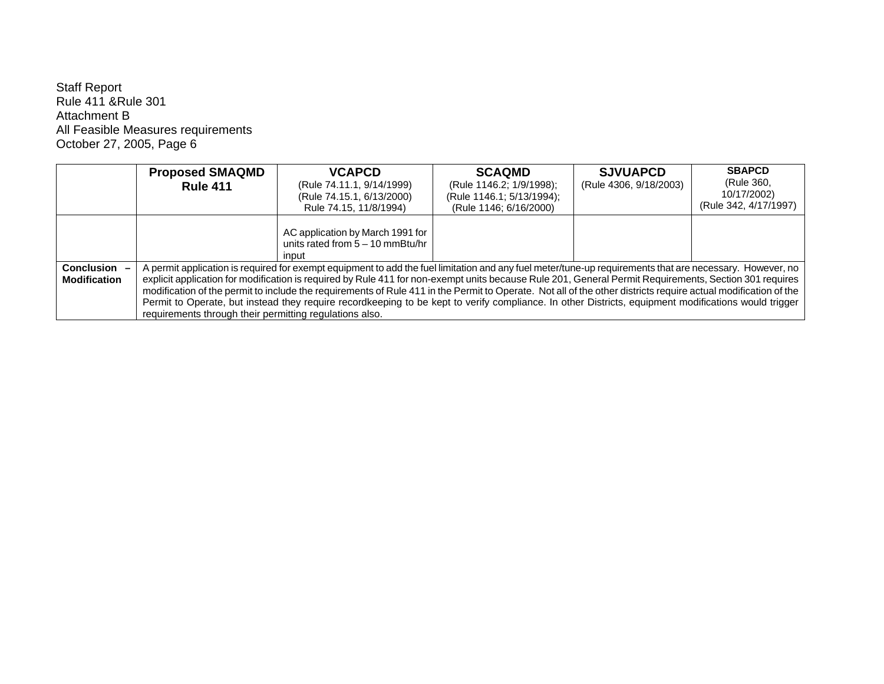|                                     | <b>Proposed SMAQMD</b><br><b>Rule 411</b>                                                                                                                                                                                                                                                                                                                                                                                                                                                                                                                                                                                                                                                               | <b>VCAPCD</b><br>(Rule 74.11.1, 9/14/1999)<br>(Rule 74.15.1, 6/13/2000)<br>Rule 74.15, 11/8/1994) | <b>SCAQMD</b><br>(Rule 1146.2; 1/9/1998);<br>(Rule 1146.1; 5/13/1994);<br>(Rule 1146; 6/16/2000) | <b>SJVUAPCD</b><br>(Rule 4306, 9/18/2003) | <b>SBAPCD</b><br>(Rule 360,<br>10/17/2002)<br>(Rule 342, 4/17/1997) |
|-------------------------------------|---------------------------------------------------------------------------------------------------------------------------------------------------------------------------------------------------------------------------------------------------------------------------------------------------------------------------------------------------------------------------------------------------------------------------------------------------------------------------------------------------------------------------------------------------------------------------------------------------------------------------------------------------------------------------------------------------------|---------------------------------------------------------------------------------------------------|--------------------------------------------------------------------------------------------------|-------------------------------------------|---------------------------------------------------------------------|
|                                     |                                                                                                                                                                                                                                                                                                                                                                                                                                                                                                                                                                                                                                                                                                         | AC application by March 1991 for<br>units rated from $5 - 10$ mmBtu/hr<br>input                   |                                                                                                  |                                           |                                                                     |
| Conclusion -<br><b>Modification</b> | A permit application is required for exempt equipment to add the fuel limitation and any fuel meter/tune-up requirements that are necessary. However, no<br>explicit application for modification is required by Rule 411 for non-exempt units because Rule 201, General Permit Requirements, Section 301 requires<br>modification of the permit to include the requirements of Rule 411 in the Permit to Operate. Not all of the other districts require actual modification of the<br>Permit to Operate, but instead they require recordkeeping to be kept to verify compliance. In other Districts, equipment modifications would trigger<br>requirements through their permitting regulations also. |                                                                                                   |                                                                                                  |                                           |                                                                     |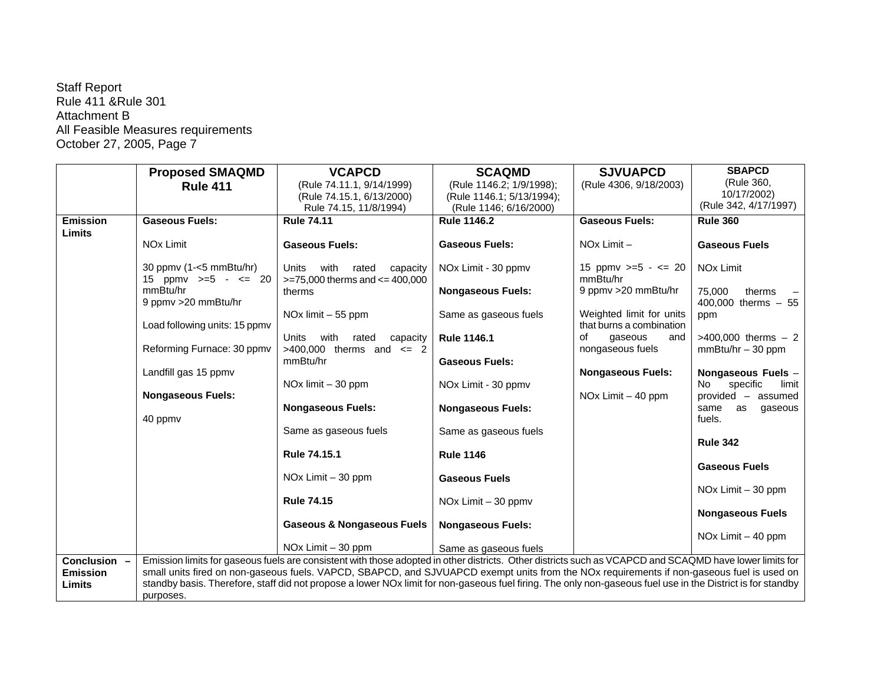|                           | <b>Proposed SMAQMD</b>                          | <b>VCAPCD</b>                                                                                                                                               | <b>SCAQMD</b>                   | <b>SJVUAPCD</b>                                      | <b>SBAPCD</b>                                 |
|---------------------------|-------------------------------------------------|-------------------------------------------------------------------------------------------------------------------------------------------------------------|---------------------------------|------------------------------------------------------|-----------------------------------------------|
|                           | <b>Rule 411</b>                                 | (Rule 74.11.1, 9/14/1999)                                                                                                                                   | (Rule 1146.2; 1/9/1998);        | (Rule 4306, 9/18/2003)                               | (Rule 360,                                    |
|                           |                                                 | (Rule 74.15.1, 6/13/2000)                                                                                                                                   | (Rule 1146.1; 5/13/1994);       |                                                      | 10/17/2002)                                   |
|                           |                                                 | Rule 74.15, 11/8/1994)                                                                                                                                      | (Rule 1146; 6/16/2000)          |                                                      | (Rule 342, 4/17/1997)                         |
| <b>Emission</b><br>Limits | <b>Gaseous Fuels:</b>                           | <b>Rule 74.11</b>                                                                                                                                           | <b>Rule 1146.2</b>              | <b>Gaseous Fuels:</b>                                | <b>Rule 360</b>                               |
|                           | NO <sub>x</sub> Limit                           | <b>Gaseous Fuels:</b>                                                                                                                                       | <b>Gaseous Fuels:</b>           | $NOx$ Limit $-$                                      | <b>Gaseous Fuels</b>                          |
|                           | 30 ppmv $(1 -5$ mmBtu/hr)<br>15 ppmv $>=5 - 20$ | Units<br>with<br>rated<br>capacity<br>$>= 75,000$ therms and $<= 400,000$                                                                                   | NOx Limit - 30 ppmv             | 15 ppmv $>=5 - 20$<br>mmBtu/hr                       | NO <sub>x</sub> Limit                         |
|                           | mmBtu/hr<br>9 ppmv > 20 mmBtu/hr                | therms                                                                                                                                                      | <b>Nongaseous Fuels:</b>        | 9 ppmv > 20 mmBtu/hr                                 | 75,000<br>therms<br>400,000 therms $-55$      |
|                           | Load following units: 15 ppmv                   | NO <sub>x</sub> limit $-55$ ppm                                                                                                                             | Same as gaseous fuels           | Weighted limit for units<br>that burns a combination | ppm                                           |
|                           | Reforming Furnace: 30 ppmv                      | Units<br>with<br>rated<br>capacity<br>$>400,000$ therms and $\leq 2$                                                                                        | <b>Rule 1146.1</b>              | οf<br>gaseous<br>and<br>nongaseous fuels             | $>400,000$ therms $-2$<br>$mmBtu/hr - 30 ppm$ |
|                           |                                                 | mmBtu/hr                                                                                                                                                    | <b>Gaseous Fuels:</b>           |                                                      |                                               |
|                           | Landfill gas 15 ppmv                            |                                                                                                                                                             |                                 | <b>Nongaseous Fuels:</b>                             | Nongaseous Fuels -                            |
|                           |                                                 | NO <sub>x</sub> limit $-30$ ppm                                                                                                                             | NO <sub>x</sub> Limit - 30 ppmv |                                                      | <b>No</b><br>specific<br>limit                |
|                           | <b>Nongaseous Fuels:</b>                        | <b>Nongaseous Fuels:</b>                                                                                                                                    | <b>Nongaseous Fuels:</b>        | NOx Limit $-40$ ppm                                  | provided - assumed<br>same<br>as<br>gaseous   |
|                           | 40 ppmv                                         |                                                                                                                                                             |                                 |                                                      | fuels.                                        |
|                           |                                                 | Same as gaseous fuels                                                                                                                                       | Same as gaseous fuels           |                                                      | <b>Rule 342</b>                               |
|                           |                                                 | Rule 74.15.1                                                                                                                                                | <b>Rule 1146</b>                |                                                      |                                               |
|                           |                                                 |                                                                                                                                                             |                                 |                                                      | <b>Gaseous Fuels</b>                          |
|                           |                                                 | $NOx$ Limit $-30$ ppm                                                                                                                                       | <b>Gaseous Fuels</b>            |                                                      |                                               |
|                           |                                                 |                                                                                                                                                             |                                 |                                                      | NOx Limit $-30$ ppm                           |
|                           |                                                 | <b>Rule 74.15</b>                                                                                                                                           | NO $x$ Limit $-30$ ppm $y$      |                                                      |                                               |
|                           |                                                 |                                                                                                                                                             |                                 |                                                      | <b>Nongaseous Fuels</b>                       |
|                           |                                                 | <b>Gaseous &amp; Nongaseous Fuels</b>                                                                                                                       | <b>Nongaseous Fuels:</b>        |                                                      |                                               |
|                           |                                                 |                                                                                                                                                             |                                 |                                                      | NOx Limit $-40$ ppm                           |
|                           |                                                 | NOx Limit - 30 ppm                                                                                                                                          | Same as gaseous fuels           |                                                      |                                               |
| Conclusion -              |                                                 | Emission limits for gaseous fuels are consistent with those adopted in other districts. Other districts such as VCAPCD and SCAQMD have lower limits for     |                                 |                                                      |                                               |
| <b>Emission</b>           |                                                 | small units fired on non-gaseous fuels. VAPCD, SBAPCD, and SJVUAPCD exempt units from the NOx requirements if non-gaseous fuel is used on                   |                                 |                                                      |                                               |
| Limits                    |                                                 | standby basis. Therefore, staff did not propose a lower NOx limit for non-gaseous fuel firing. The only non-gaseous fuel use in the District is for standby |                                 |                                                      |                                               |
|                           | purposes.                                       |                                                                                                                                                             |                                 |                                                      |                                               |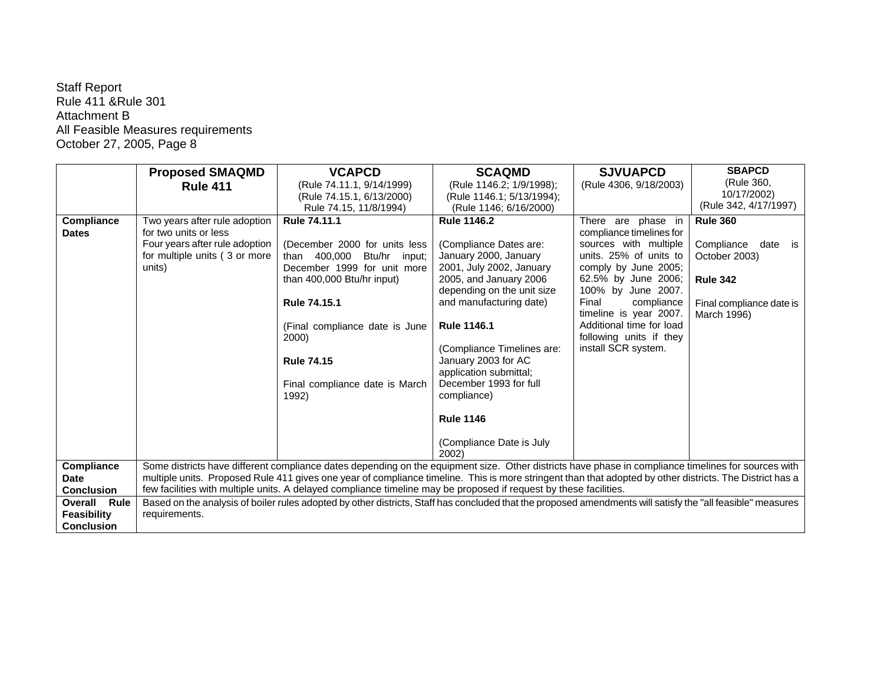|                     | <b>Proposed SMAQMD</b>         | <b>VCAPCD</b>                                                                                                                                               | <b>SCAQMD</b>              | <b>SJVUAPCD</b>          | <b>SBAPCD</b>            |
|---------------------|--------------------------------|-------------------------------------------------------------------------------------------------------------------------------------------------------------|----------------------------|--------------------------|--------------------------|
|                     | <b>Rule 411</b>                | (Rule 74.11.1, 9/14/1999)                                                                                                                                   | (Rule 1146.2; 1/9/1998);   | (Rule 4306, 9/18/2003)   | (Rule 360,               |
|                     |                                | (Rule 74.15.1, 6/13/2000)                                                                                                                                   | (Rule 1146.1; 5/13/1994);  |                          | 10/17/2002)              |
|                     |                                | Rule 74.15, 11/8/1994)                                                                                                                                      | (Rule 1146; 6/16/2000)     |                          | (Rule 342, 4/17/1997)    |
| Compliance          | Two years after rule adoption  | <b>Rule 74.11.1</b>                                                                                                                                         | <b>Rule 1146.2</b>         | There are phase in       | <b>Rule 360</b>          |
| <b>Dates</b>        | for two units or less          |                                                                                                                                                             |                            | compliance timelines for |                          |
|                     | Four years after rule adoption | (December 2000 for units less                                                                                                                               | (Compliance Dates are:     | sources with multiple    | Compliance<br>date is    |
|                     | for multiple units (3 or more  | than 400,000 Btu/hr input;                                                                                                                                  | January 2000, January      | units. 25% of units to   | October 2003)            |
|                     | units)                         | December 1999 for unit more                                                                                                                                 | 2001, July 2002, January   | comply by June 2005;     |                          |
|                     |                                | than 400,000 Btu/hr input)                                                                                                                                  | 2005, and January 2006     | 62.5% by June 2006;      | <b>Rule 342</b>          |
|                     |                                |                                                                                                                                                             | depending on the unit size | 100% by June 2007.       |                          |
|                     |                                | <b>Rule 74.15.1</b>                                                                                                                                         | and manufacturing date)    | Final<br>compliance      | Final compliance date is |
|                     |                                |                                                                                                                                                             |                            | timeline is year 2007.   | March 1996)              |
|                     |                                | (Final compliance date is June                                                                                                                              | <b>Rule 1146.1</b>         | Additional time for load |                          |
|                     |                                | 2000)                                                                                                                                                       |                            | following units if they  |                          |
|                     |                                |                                                                                                                                                             | (Compliance Timelines are: | install SCR system.      |                          |
|                     |                                | <b>Rule 74.15</b>                                                                                                                                           | January 2003 for AC        |                          |                          |
|                     |                                |                                                                                                                                                             | application submittal;     |                          |                          |
|                     |                                | Final compliance date is March                                                                                                                              | December 1993 for full     |                          |                          |
|                     |                                | 1992)                                                                                                                                                       | compliance)                |                          |                          |
|                     |                                |                                                                                                                                                             | <b>Rule 1146</b>           |                          |                          |
|                     |                                |                                                                                                                                                             |                            |                          |                          |
|                     |                                |                                                                                                                                                             | (Compliance Date is July   |                          |                          |
|                     |                                |                                                                                                                                                             | 2002)                      |                          |                          |
| Compliance          |                                | Some districts have different compliance dates depending on the equipment size. Other districts have phase in compliance timelines for sources with         |                            |                          |                          |
| <b>Date</b>         |                                | multiple units. Proposed Rule 411 gives one year of compliance timeline. This is more stringent than that adopted by other districts. The District has a    |                            |                          |                          |
| <b>Conclusion</b>   |                                | few facilities with multiple units. A delayed compliance timeline may be proposed if request by these facilities.                                           |                            |                          |                          |
| <b>Overall Rule</b> |                                | Based on the analysis of boiler rules adopted by other districts, Staff has concluded that the proposed amendments will satisfy the "all feasible" measures |                            |                          |                          |
| <b>Feasibility</b>  | requirements.                  |                                                                                                                                                             |                            |                          |                          |
| <b>Conclusion</b>   |                                |                                                                                                                                                             |                            |                          |                          |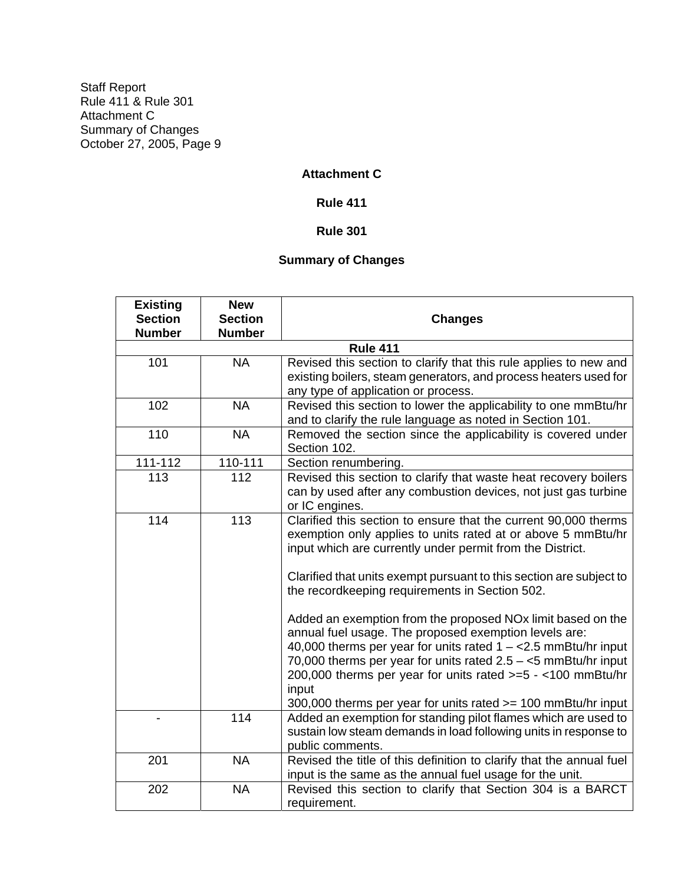## **Attachment C**

**Rule 411** 

## **Rule 301**

# **Summary of Changes**

| <b>Existing</b> | <b>New</b>     |                                                                                                                                                                                                                                                                                                                                                                                                                                                                                                                                                                                                                                                                                                                                            |
|-----------------|----------------|--------------------------------------------------------------------------------------------------------------------------------------------------------------------------------------------------------------------------------------------------------------------------------------------------------------------------------------------------------------------------------------------------------------------------------------------------------------------------------------------------------------------------------------------------------------------------------------------------------------------------------------------------------------------------------------------------------------------------------------------|
| <b>Section</b>  | <b>Section</b> | <b>Changes</b>                                                                                                                                                                                                                                                                                                                                                                                                                                                                                                                                                                                                                                                                                                                             |
| <b>Number</b>   | <b>Number</b>  |                                                                                                                                                                                                                                                                                                                                                                                                                                                                                                                                                                                                                                                                                                                                            |
|                 |                | <b>Rule 411</b>                                                                                                                                                                                                                                                                                                                                                                                                                                                                                                                                                                                                                                                                                                                            |
| 101             | <b>NA</b>      | Revised this section to clarify that this rule applies to new and<br>existing boilers, steam generators, and process heaters used for<br>any type of application or process.                                                                                                                                                                                                                                                                                                                                                                                                                                                                                                                                                               |
| 102             | <b>NA</b>      | Revised this section to lower the applicability to one mmBtu/hr<br>and to clarify the rule language as noted in Section 101.                                                                                                                                                                                                                                                                                                                                                                                                                                                                                                                                                                                                               |
| 110             | <b>NA</b>      | Removed the section since the applicability is covered under<br>Section 102.                                                                                                                                                                                                                                                                                                                                                                                                                                                                                                                                                                                                                                                               |
| 111-112         | 110-111        | Section renumbering.                                                                                                                                                                                                                                                                                                                                                                                                                                                                                                                                                                                                                                                                                                                       |
| 113             | 112            | Revised this section to clarify that waste heat recovery boilers<br>can by used after any combustion devices, not just gas turbine<br>or IC engines.                                                                                                                                                                                                                                                                                                                                                                                                                                                                                                                                                                                       |
| 114             | 113            | Clarified this section to ensure that the current 90,000 therms<br>exemption only applies to units rated at or above 5 mmBtu/hr<br>input which are currently under permit from the District.<br>Clarified that units exempt pursuant to this section are subject to<br>the recordkeeping requirements in Section 502.<br>Added an exemption from the proposed NO <sub>x</sub> limit based on the<br>annual fuel usage. The proposed exemption levels are:<br>40,000 therms per year for units rated $1 - < 2.5$ mmBtu/hr input<br>70,000 therms per year for units rated $2.5 - 5$ mmBtu/hr input<br>200,000 therms per year for units rated >=5 - <100 mmBtu/hr<br>input<br>300,000 therms per year for units rated >= 100 mmBtu/hr input |
|                 | 114            | Added an exemption for standing pilot flames which are used to<br>sustain low steam demands in load following units in response to<br>public comments.                                                                                                                                                                                                                                                                                                                                                                                                                                                                                                                                                                                     |
| 201             | <b>NA</b>      | Revised the title of this definition to clarify that the annual fuel<br>input is the same as the annual fuel usage for the unit.                                                                                                                                                                                                                                                                                                                                                                                                                                                                                                                                                                                                           |
| 202             | <b>NA</b>      | Revised this section to clarify that Section 304 is a BARCT<br>requirement.                                                                                                                                                                                                                                                                                                                                                                                                                                                                                                                                                                                                                                                                |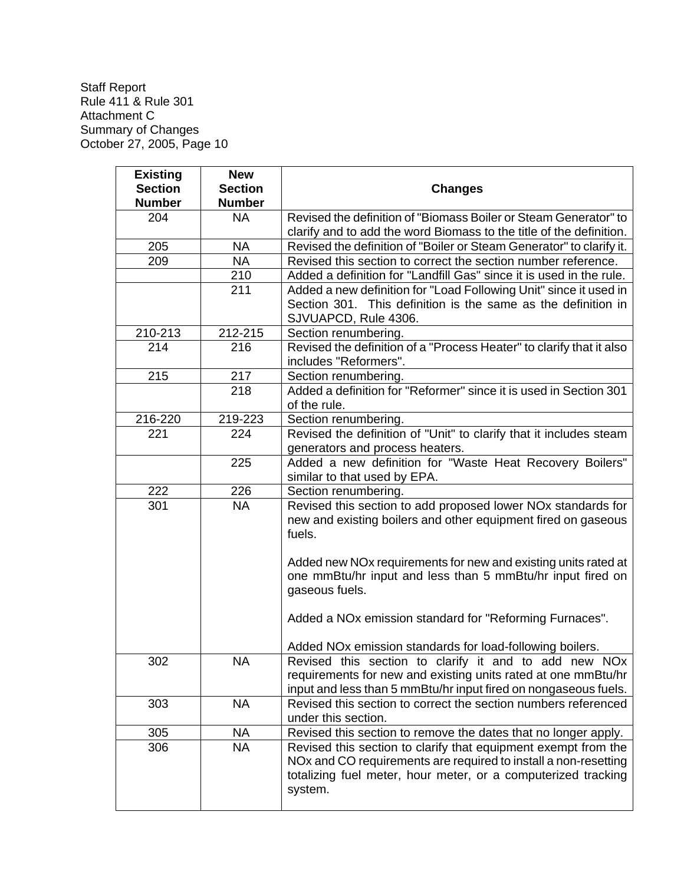| <b>Existing</b> | <b>New</b>     |                                                                      |
|-----------------|----------------|----------------------------------------------------------------------|
| <b>Section</b>  | <b>Section</b> | <b>Changes</b>                                                       |
| <b>Number</b>   | <b>Number</b>  |                                                                      |
| 204             | <b>NA</b>      | Revised the definition of "Biomass Boiler or Steam Generator" to     |
|                 |                | clarify and to add the word Biomass to the title of the definition.  |
| 205             | <b>NA</b>      | Revised the definition of "Boiler or Steam Generator" to clarify it. |
| 209             | <b>NA</b>      | Revised this section to correct the section number reference.        |
|                 | 210            | Added a definition for "Landfill Gas" since it is used in the rule.  |
|                 | 211            | Added a new definition for "Load Following Unit" since it used in    |
|                 |                | Section 301. This definition is the same as the definition in        |
|                 |                | SJVUAPCD, Rule 4306.                                                 |
| 210-213         | 212-215        | Section renumbering.                                                 |
| 214             | 216            | Revised the definition of a "Process Heater" to clarify that it also |
|                 |                | includes "Reformers".                                                |
| 215             | 217            | Section renumbering.                                                 |
|                 | 218            | Added a definition for "Reformer" since it is used in Section 301    |
|                 |                | of the rule.                                                         |
| 216-220         | 219-223        | Section renumbering.                                                 |
| 221             | 224            | Revised the definition of "Unit" to clarify that it includes steam   |
|                 |                | generators and process heaters.                                      |
|                 | 225            | Added a new definition for "Waste Heat Recovery Boilers"             |
|                 |                | similar to that used by EPA.                                         |
| 222             | 226            | Section renumbering.                                                 |
| 301             | <b>NA</b>      | Revised this section to add proposed lower NOx standards for         |
|                 |                | new and existing boilers and other equipment fired on gaseous        |
|                 |                | fuels.                                                               |
|                 |                |                                                                      |
|                 |                | Added new NOx requirements for new and existing units rated at       |
|                 |                | one mmBtu/hr input and less than 5 mmBtu/hr input fired on           |
|                 |                | gaseous fuels.                                                       |
|                 |                | Added a NOx emission standard for "Reforming Furnaces".              |
|                 |                |                                                                      |
|                 |                | Added NOx emission standards for load-following boilers.             |
| 302             | <b>NA</b>      | Revised this section to clarify it and to add new NOx                |
|                 |                | requirements for new and existing units rated at one mmBtu/hr        |
|                 |                | input and less than 5 mmBtu/hr input fired on nongaseous fuels.      |
| 303             | <b>NA</b>      | Revised this section to correct the section numbers referenced       |
|                 |                | under this section.                                                  |
| 305             | <b>NA</b>      | Revised this section to remove the dates that no longer apply.       |
| 306             | <b>NA</b>      | Revised this section to clarify that equipment exempt from the       |
|                 |                | NOx and CO requirements are required to install a non-resetting      |
|                 |                | totalizing fuel meter, hour meter, or a computerized tracking        |
|                 |                | system.                                                              |
|                 |                |                                                                      |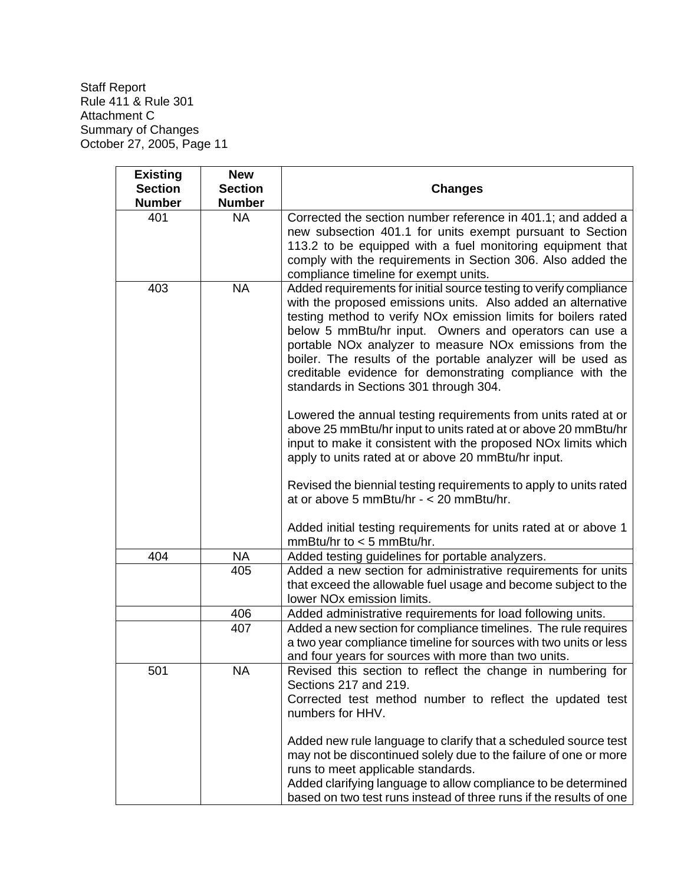| <b>Existing</b> | <b>New</b>     |                                                                                                                                                                                                                                                                                                                                                                                                                                                                                                                                                                                                                                                                                                                                                                                                                                                                                                                                 |
|-----------------|----------------|---------------------------------------------------------------------------------------------------------------------------------------------------------------------------------------------------------------------------------------------------------------------------------------------------------------------------------------------------------------------------------------------------------------------------------------------------------------------------------------------------------------------------------------------------------------------------------------------------------------------------------------------------------------------------------------------------------------------------------------------------------------------------------------------------------------------------------------------------------------------------------------------------------------------------------|
| <b>Section</b>  | <b>Section</b> | <b>Changes</b>                                                                                                                                                                                                                                                                                                                                                                                                                                                                                                                                                                                                                                                                                                                                                                                                                                                                                                                  |
| <b>Number</b>   | <b>Number</b>  |                                                                                                                                                                                                                                                                                                                                                                                                                                                                                                                                                                                                                                                                                                                                                                                                                                                                                                                                 |
| 401             | <b>NA</b>      | Corrected the section number reference in 401.1; and added a<br>new subsection 401.1 for units exempt pursuant to Section<br>113.2 to be equipped with a fuel monitoring equipment that<br>comply with the requirements in Section 306. Also added the<br>compliance timeline for exempt units.                                                                                                                                                                                                                                                                                                                                                                                                                                                                                                                                                                                                                                 |
| 403             | <b>NA</b>      | Added requirements for initial source testing to verify compliance<br>with the proposed emissions units. Also added an alternative<br>testing method to verify NO <sub>x</sub> emission limits for boilers rated<br>below 5 mmBtu/hr input. Owners and operators can use a<br>portable NO <sub>x</sub> analyzer to measure NO <sub>x</sub> emissions from the<br>boiler. The results of the portable analyzer will be used as<br>creditable evidence for demonstrating compliance with the<br>standards in Sections 301 through 304.<br>Lowered the annual testing requirements from units rated at or<br>above 25 mmBtu/hr input to units rated at or above 20 mmBtu/hr<br>input to make it consistent with the proposed NO <sub>x</sub> limits which<br>apply to units rated at or above 20 mmBtu/hr input.<br>Revised the biennial testing requirements to apply to units rated<br>at or above 5 mmBtu/hr - $<$ 20 mmBtu/hr. |
|                 |                | Added initial testing requirements for units rated at or above 1<br>$mmBtu/hr$ to $<$ 5 mmBtu/hr.                                                                                                                                                                                                                                                                                                                                                                                                                                                                                                                                                                                                                                                                                                                                                                                                                               |
| 404             | <b>NA</b>      | Added testing guidelines for portable analyzers.                                                                                                                                                                                                                                                                                                                                                                                                                                                                                                                                                                                                                                                                                                                                                                                                                                                                                |
|                 | 405            | Added a new section for administrative requirements for units<br>that exceed the allowable fuel usage and become subject to the<br>lower NO <sub>x</sub> emission limits.                                                                                                                                                                                                                                                                                                                                                                                                                                                                                                                                                                                                                                                                                                                                                       |
|                 | 406            | Added administrative requirements for load following units.                                                                                                                                                                                                                                                                                                                                                                                                                                                                                                                                                                                                                                                                                                                                                                                                                                                                     |
|                 | 407            | Added a new section for compliance timelines. The rule requires<br>a two year compliance timeline for sources with two units or less<br>and four years for sources with more than two units.                                                                                                                                                                                                                                                                                                                                                                                                                                                                                                                                                                                                                                                                                                                                    |
| 501             | <b>NA</b>      | Revised this section to reflect the change in numbering for<br>Sections 217 and 219.<br>Corrected test method number to reflect the updated test<br>numbers for HHV.<br>Added new rule language to clarify that a scheduled source test<br>may not be discontinued solely due to the failure of one or more<br>runs to meet applicable standards.<br>Added clarifying language to allow compliance to be determined<br>based on two test runs instead of three runs if the results of one                                                                                                                                                                                                                                                                                                                                                                                                                                       |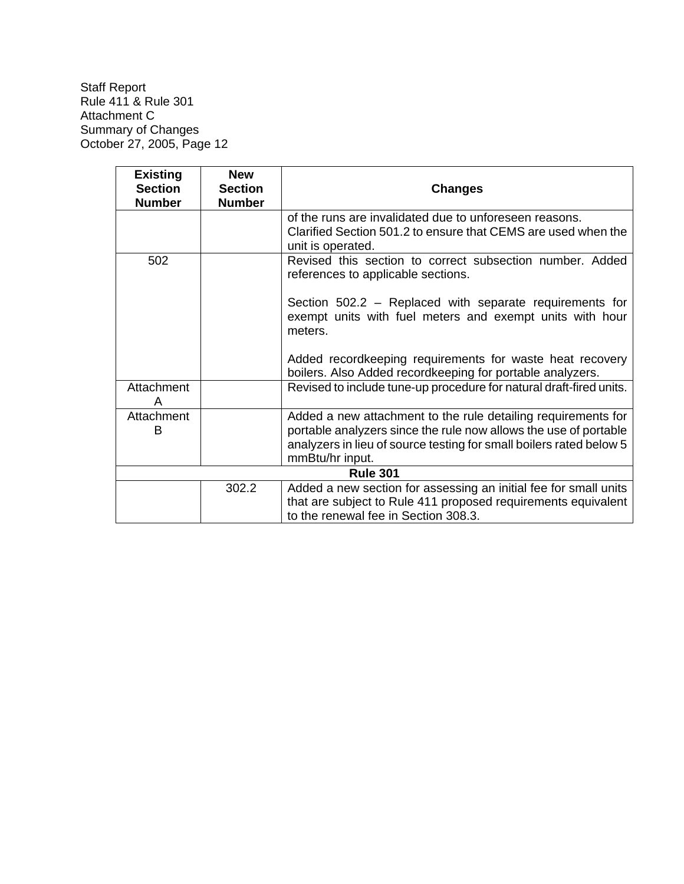| <b>Existing</b>                 | <b>New</b>                      |                                                                                                                                                                                                                             |
|---------------------------------|---------------------------------|-----------------------------------------------------------------------------------------------------------------------------------------------------------------------------------------------------------------------------|
| <b>Section</b><br><b>Number</b> | <b>Section</b><br><b>Number</b> | <b>Changes</b>                                                                                                                                                                                                              |
|                                 |                                 | of the runs are invalidated due to unforeseen reasons.<br>Clarified Section 501.2 to ensure that CEMS are used when the<br>unit is operated.                                                                                |
| 502                             |                                 | Revised this section to correct subsection number. Added<br>references to applicable sections.                                                                                                                              |
|                                 |                                 | Section 502.2 - Replaced with separate requirements for<br>exempt units with fuel meters and exempt units with hour<br>meters.                                                                                              |
|                                 |                                 | Added recordkeeping requirements for waste heat recovery<br>boilers. Also Added recordkeeping for portable analyzers.                                                                                                       |
| Attachment<br>A                 |                                 | Revised to include tune-up procedure for natural draft-fired units.                                                                                                                                                         |
| Attachment<br>B                 |                                 | Added a new attachment to the rule detailing requirements for<br>portable analyzers since the rule now allows the use of portable<br>analyzers in lieu of source testing for small boilers rated below 5<br>mmBtu/hr input. |
|                                 |                                 | <b>Rule 301</b>                                                                                                                                                                                                             |
|                                 | 302.2                           | Added a new section for assessing an initial fee for small units<br>that are subject to Rule 411 proposed requirements equivalent<br>to the renewal fee in Section 308.3.                                                   |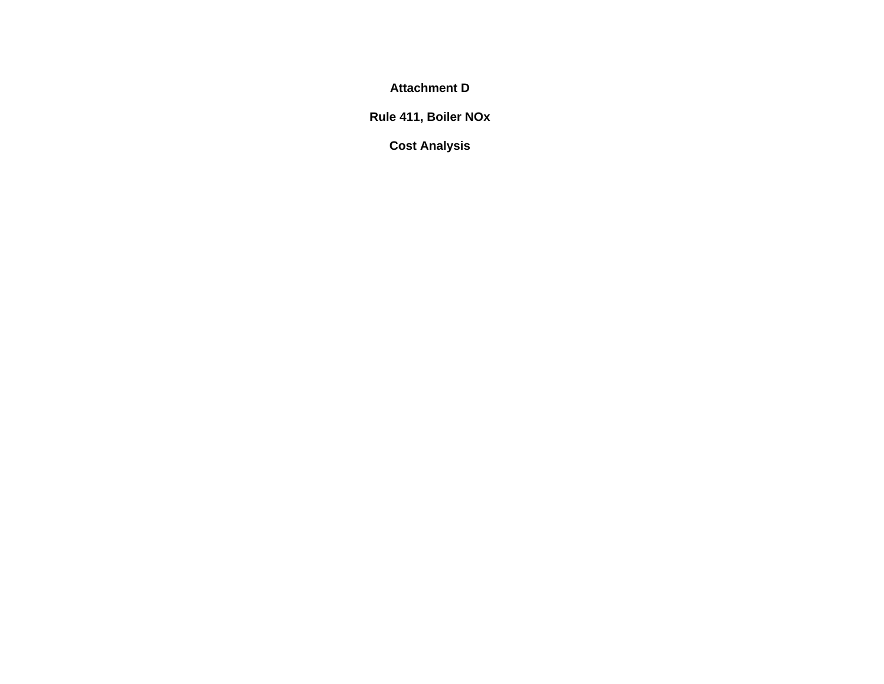**Attachment D** 

**Rule 411, Boiler NOx** 

**Cost Analysis**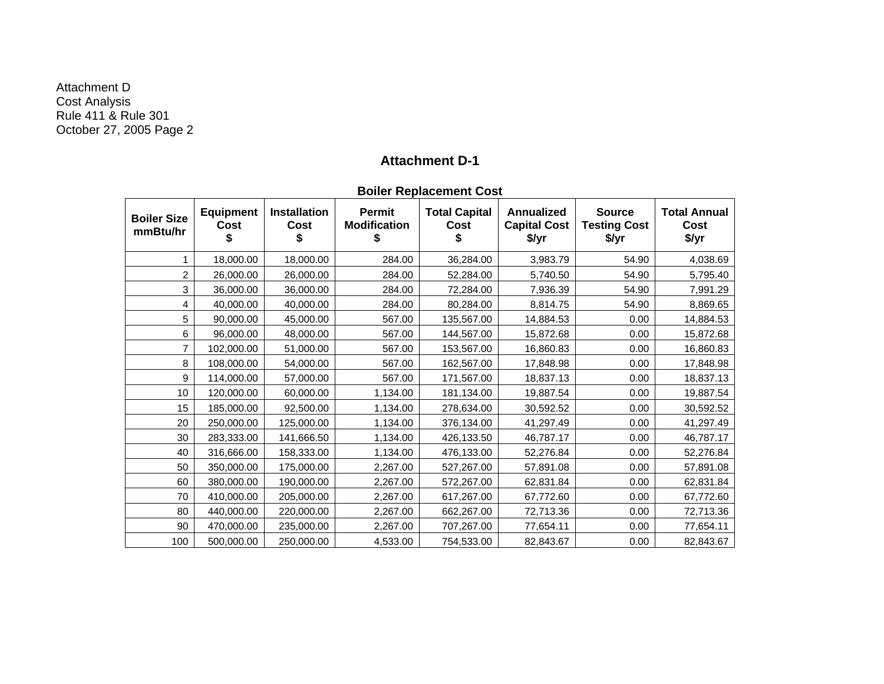Attachment D Cost Analysis Rule 411 & Rule 301 October 27, 2005 Page 2

#### **Attachment D-1**

|                                |                          |                             |                               | <b>DUILEI NEPIALEIIIEIII CUST</b> |                                                   |                                               |                                      |
|--------------------------------|--------------------------|-----------------------------|-------------------------------|-----------------------------------|---------------------------------------------------|-----------------------------------------------|--------------------------------------|
| <b>Boiler Size</b><br>mmBtu/hr | <b>Equipment</b><br>Cost | <b>Installation</b><br>Cost | Permit<br><b>Modification</b> | <b>Total Capital</b><br>Cost      | <b>Annualized</b><br><b>Capital Cost</b><br>\$/yr | <b>Source</b><br><b>Testing Cost</b><br>\$/yr | <b>Total Annual</b><br>Cost<br>\$/yr |
|                                | 18,000.00                | 18,000.00                   | 284.00                        | 36,284.00                         | 3,983.79                                          | 54.90                                         | 4,038.69                             |
| 2                              | 26,000.00                | 26,000.00                   | 284.00                        | 52,284.00                         | 5,740.50                                          | 54.90                                         | 5,795.40                             |
| 3                              | 36,000.00                | 36,000.00                   | 284.00                        | 72,284.00                         | 7,936.39                                          | 54.90                                         | 7,991.29                             |
| 4                              | 40,000.00                | 40,000.00                   | 284.00                        | 80,284.00                         | 8,814.75                                          | 54.90                                         | 8,869.65                             |
| 5                              | 90,000.00                | 45,000.00                   | 567.00                        | 135,567.00                        | 14,884.53                                         | 0.00                                          | 14,884.53                            |
| 6                              | 96,000.00                | 48,000.00                   | 567.00                        | 144,567.00                        | 15,872.68                                         | 0.00                                          | 15,872.68                            |
|                                | 102,000.00               | 51,000.00                   | 567.00                        | 153,567.00                        | 16,860.83                                         | 0.00                                          | 16,860.83                            |
| 8                              | 108,000.00               | 54,000.00                   | 567.00                        | 162,567.00                        | 17,848.98                                         | 0.00                                          | 17,848.98                            |
| 9                              | 114,000.00               | 57,000.00                   | 567.00                        | 171,567.00                        | 18,837.13                                         | 0.00                                          | 18,837.13                            |
| 10                             | 120,000.00               | 60,000.00                   | 1,134.00                      | 181,134.00                        | 19,887.54                                         | 0.00                                          | 19,887.54                            |
| 15                             | 185,000.00               | 92,500.00                   | 1,134.00                      | 278,634.00                        | 30,592.52                                         | 0.00                                          | 30,592.52                            |
| 20                             | 250,000.00               | 125,000.00                  | 1,134.00                      | 376,134.00                        | 41,297.49                                         | 0.00                                          | 41,297.49                            |
| 30                             | 283,333.00               | 141,666.50                  | 1,134.00                      | 426,133.50                        | 46,787.17                                         | 0.00                                          | 46,787.17                            |
| 40                             | 316,666.00               | 158,333.00                  | 1,134.00                      | 476,133.00                        | 52,276.84                                         | 0.00                                          | 52,276.84                            |
| 50                             | 350,000.00               | 175,000.00                  | 2,267.00                      | 527,267.00                        | 57,891.08                                         | 0.00                                          | 57,891.08                            |
| 60                             | 380,000.00               | 190,000.00                  | 2,267.00                      | 572,267.00                        | 62,831.84                                         | 0.00                                          | 62,831.84                            |
| 70                             | 410,000.00               | 205,000.00                  | 2,267.00                      | 617,267.00                        | 67,772.60                                         | 0.00                                          | 67,772.60                            |
| 80                             | 440,000.00               | 220,000.00                  | 2,267.00                      | 662,267.00                        | 72,713.36                                         | 0.00                                          | 72,713.36                            |
| 90                             | 470,000.00               | 235,000.00                  | 2,267.00                      | 707,267.00                        | 77,654.11                                         | 0.00                                          | 77,654.11                            |
| 100                            | 500,000.00               | 250.000.00                  | 4,533.00                      | 754.533.00                        | 82.843.67                                         | 0.00                                          | 82,843.67                            |

**Boiler Replacement Cost**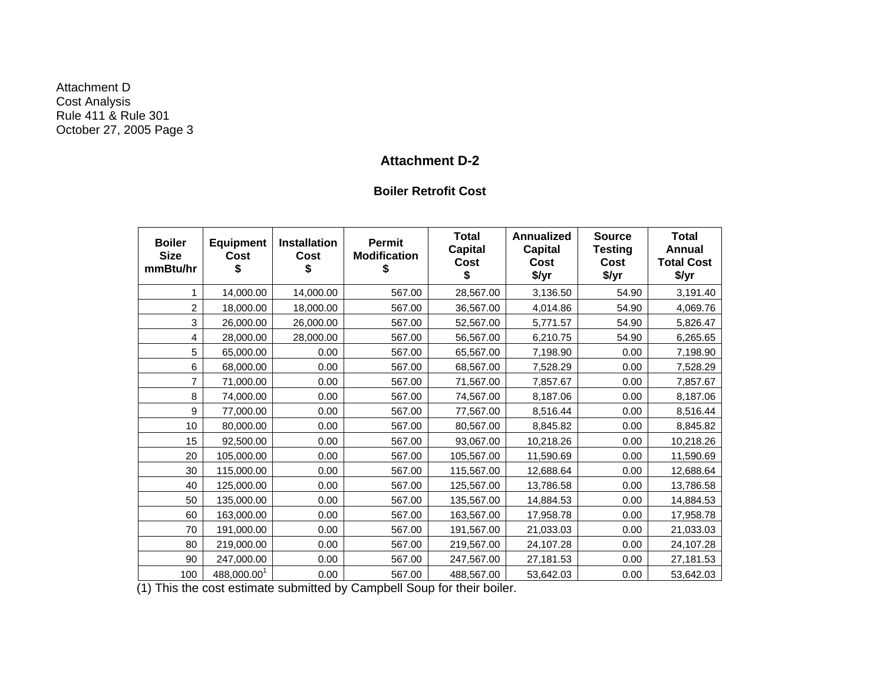Attachment D Cost Analysis Rule 411 & Rule 301 October 27, 2005 Page 3

# **Attachment D-2**

#### **Boiler Retrofit Cost**

| <b>Boiler</b><br><b>Size</b><br>mmBtu/hr | <b>Equipment</b><br>Cost | <b>Installation</b><br><b>Cost</b><br>S | Permit<br><b>Modification</b><br>\$ | <b>Total</b><br><b>Capital</b><br>Cost<br>\$ | <b>Annualized</b><br>Capital<br>Cost<br>\$/yr | <b>Source</b><br><b>Testing</b><br>Cost<br>\$/yr | <b>Total</b><br>Annual<br><b>Total Cost</b><br>\$/yr |
|------------------------------------------|--------------------------|-----------------------------------------|-------------------------------------|----------------------------------------------|-----------------------------------------------|--------------------------------------------------|------------------------------------------------------|
| 1                                        | 14,000.00                | 14,000.00                               | 567.00                              | 28,567.00                                    | 3,136.50                                      | 54.90                                            | 3,191.40                                             |
| 2                                        | 18,000.00                | 18,000.00                               | 567.00                              | 36,567.00                                    | 4,014.86                                      | 54.90                                            | 4,069.76                                             |
| 3                                        | 26,000.00                | 26,000.00                               | 567.00                              | 52,567.00                                    | 5,771.57                                      | 54.90                                            | 5,826.47                                             |
| 4                                        | 28,000.00                | 28,000.00                               | 567.00                              | 56,567.00                                    | 6,210.75                                      | 54.90                                            | 6,265.65                                             |
| 5                                        | 65,000.00                | 0.00                                    | 567.00                              | 65,567.00                                    | 7,198.90                                      | 0.00                                             | 7,198.90                                             |
| 6                                        | 68,000.00                | 0.00                                    | 567.00                              | 68,567.00                                    | 7,528.29                                      | 0.00                                             | 7,528.29                                             |
| 7                                        | 71,000.00                | 0.00                                    | 567.00                              | 71,567.00                                    | 7,857.67                                      | 0.00                                             | 7,857.67                                             |
| 8                                        | 74,000.00                | 0.00                                    | 567.00                              | 74,567.00                                    | 8,187.06                                      | 0.00                                             | 8,187.06                                             |
| 9                                        | 77,000.00                | 0.00                                    | 567.00                              | 77,567.00                                    | 8,516.44                                      | 0.00                                             | 8,516.44                                             |
| 10                                       | 80,000.00                | 0.00                                    | 567.00                              | 80,567.00                                    | 8,845.82                                      | 0.00                                             | 8,845.82                                             |
| 15                                       | 92,500.00                | 0.00                                    | 567.00                              | 93,067.00                                    | 10,218.26                                     | 0.00                                             | 10,218.26                                            |
| 20                                       | 105,000.00               | 0.00                                    | 567.00                              | 105,567.00                                   | 11,590.69                                     | 0.00                                             | 11,590.69                                            |
| 30                                       | 115,000.00               | 0.00                                    | 567.00                              | 115,567.00                                   | 12,688.64                                     | 0.00                                             | 12,688.64                                            |
| 40                                       | 125,000.00               | 0.00                                    | 567.00                              | 125,567.00                                   | 13,786.58                                     | 0.00                                             | 13,786.58                                            |
| 50                                       | 135,000.00               | 0.00                                    | 567.00                              | 135,567.00                                   | 14,884.53                                     | 0.00                                             | 14,884.53                                            |
| 60                                       | 163,000.00               | 0.00                                    | 567.00                              | 163,567.00                                   | 17,958.78                                     | 0.00                                             | 17,958.78                                            |
| 70                                       | 191,000.00               | 0.00                                    | 567.00                              | 191,567.00                                   | 21,033.03                                     | 0.00                                             | 21,033.03                                            |
| 80                                       | 219,000.00               | 0.00                                    | 567.00                              | 219,567.00                                   | 24,107.28                                     | 0.00                                             | 24,107.28                                            |
| 90                                       | 247,000.00               | 0.00                                    | 567.00                              | 247,567.00                                   | 27,181.53                                     | 0.00                                             | 27,181.53                                            |
| 100                                      | $488,000.00^{1}$         | 0.00                                    | 567.00                              | 488,567.00                                   | 53,642.03                                     | 0.00                                             | 53,642.03                                            |

(1) This the cost estimate submitted by Campbell Soup for their boiler.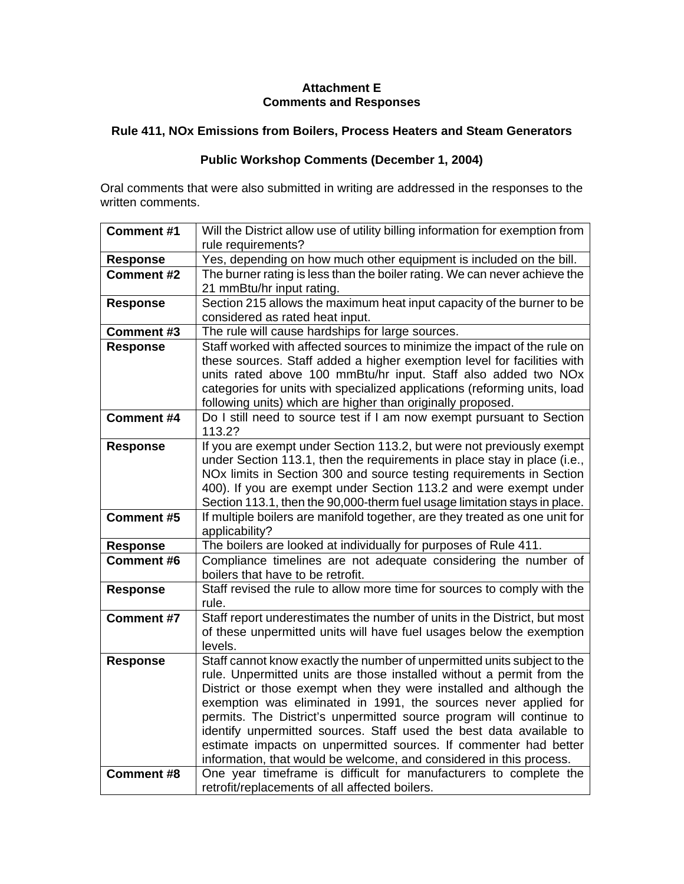### **Attachment E Comments and Responses**

# **Rule 411, NOx Emissions from Boilers, Process Heaters and Steam Generators**

## **Public Workshop Comments (December 1, 2004)**

Oral comments that were also submitted in writing are addressed in the responses to the written comments.

| <b>Comment #1</b> | Will the District allow use of utility billing information for exemption from                                                             |
|-------------------|-------------------------------------------------------------------------------------------------------------------------------------------|
|                   | rule requirements?                                                                                                                        |
| <b>Response</b>   | Yes, depending on how much other equipment is included on the bill.                                                                       |
| <b>Comment #2</b> | The burner rating is less than the boiler rating. We can never achieve the                                                                |
|                   | 21 mmBtu/hr input rating.                                                                                                                 |
| <b>Response</b>   | Section 215 allows the maximum heat input capacity of the burner to be                                                                    |
|                   | considered as rated heat input.                                                                                                           |
| <b>Comment #3</b> | The rule will cause hardships for large sources.                                                                                          |
| Response          | Staff worked with affected sources to minimize the impact of the rule on                                                                  |
|                   | these sources. Staff added a higher exemption level for facilities with                                                                   |
|                   | units rated above 100 mmBtu/hr input. Staff also added two NOx                                                                            |
|                   | categories for units with specialized applications (reforming units, load                                                                 |
|                   | following units) which are higher than originally proposed.                                                                               |
| <b>Comment #4</b> | Do I still need to source test if I am now exempt pursuant to Section                                                                     |
|                   | 113.2?                                                                                                                                    |
| <b>Response</b>   | If you are exempt under Section 113.2, but were not previously exempt                                                                     |
|                   | under Section 113.1, then the requirements in place stay in place (i.e.,                                                                  |
|                   | NOx limits in Section 300 and source testing requirements in Section<br>400). If you are exempt under Section 113.2 and were exempt under |
|                   | Section 113.1, then the 90,000-therm fuel usage limitation stays in place.                                                                |
| <b>Comment #5</b> | If multiple boilers are manifold together, are they treated as one unit for                                                               |
|                   | applicability?                                                                                                                            |
| <b>Response</b>   | The boilers are looked at individually for purposes of Rule 411.                                                                          |
| Comment #6        | Compliance timelines are not adequate considering the number of                                                                           |
|                   | boilers that have to be retrofit.                                                                                                         |
| <b>Response</b>   | Staff revised the rule to allow more time for sources to comply with the                                                                  |
|                   | rule.                                                                                                                                     |
| <b>Comment #7</b> | Staff report underestimates the number of units in the District, but most                                                                 |
|                   | of these unpermitted units will have fuel usages below the exemption                                                                      |
|                   | levels.                                                                                                                                   |
| <b>Response</b>   | Staff cannot know exactly the number of unpermitted units subject to the                                                                  |
|                   | rule. Unpermitted units are those installed without a permit from the                                                                     |
|                   | District or those exempt when they were installed and although the                                                                        |
|                   | exemption was eliminated in 1991, the sources never applied for                                                                           |
|                   | permits. The District's unpermitted source program will continue to                                                                       |
|                   | identify unpermitted sources. Staff used the best data available to                                                                       |
|                   | estimate impacts on unpermitted sources. If commenter had better                                                                          |
|                   | information, that would be welcome, and considered in this process.                                                                       |
| <b>Comment #8</b> | One year timeframe is difficult for manufacturers to complete the                                                                         |
|                   | retrofit/replacements of all affected boilers.                                                                                            |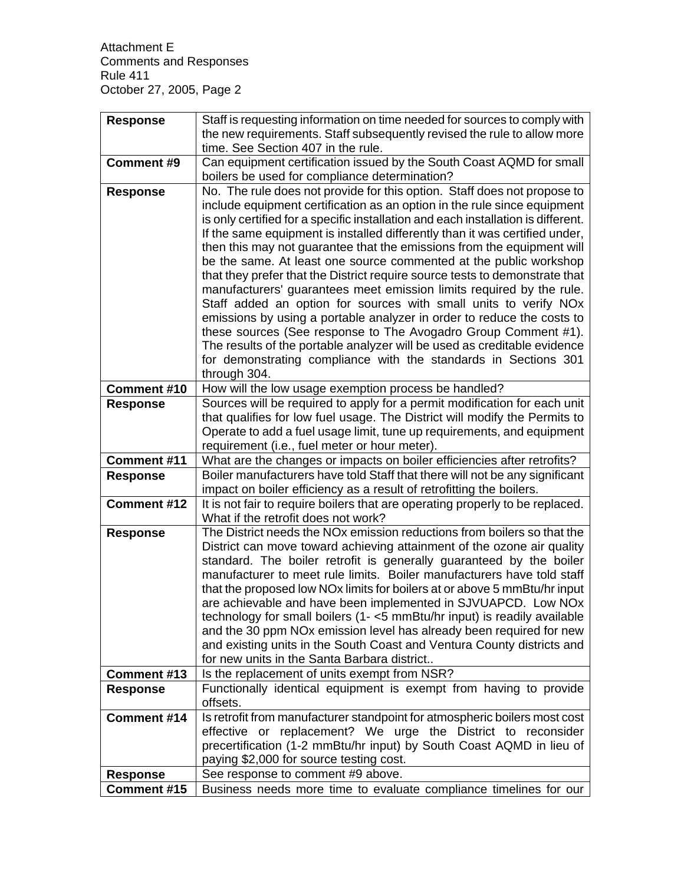| <b>Response</b>                | Staff is requesting information on time needed for sources to comply with                                                                   |
|--------------------------------|---------------------------------------------------------------------------------------------------------------------------------------------|
|                                | the new requirements. Staff subsequently revised the rule to allow more                                                                     |
|                                | time. See Section 407 in the rule.                                                                                                          |
| <b>Comment #9</b>              | Can equipment certification issued by the South Coast AQMD for small                                                                        |
|                                | boilers be used for compliance determination?                                                                                               |
| <b>Response</b>                | No. The rule does not provide for this option. Staff does not propose to                                                                    |
|                                | include equipment certification as an option in the rule since equipment                                                                    |
|                                | is only certified for a specific installation and each installation is different.                                                           |
|                                | If the same equipment is installed differently than it was certified under,                                                                 |
|                                | then this may not guarantee that the emissions from the equipment will<br>be the same. At least one source commented at the public workshop |
|                                | that they prefer that the District require source tests to demonstrate that                                                                 |
|                                | manufacturers' guarantees meet emission limits required by the rule.                                                                        |
|                                | Staff added an option for sources with small units to verify NOx                                                                            |
|                                | emissions by using a portable analyzer in order to reduce the costs to                                                                      |
|                                | these sources (See response to The Avogadro Group Comment #1).                                                                              |
|                                | The results of the portable analyzer will be used as creditable evidence                                                                    |
|                                | for demonstrating compliance with the standards in Sections 301                                                                             |
|                                | through 304.                                                                                                                                |
| Comment #10                    | How will the low usage exemption process be handled?                                                                                        |
| <b>Response</b>                | Sources will be required to apply for a permit modification for each unit                                                                   |
|                                | that qualifies for low fuel usage. The District will modify the Permits to                                                                  |
|                                | Operate to add a fuel usage limit, tune up requirements, and equipment                                                                      |
|                                | requirement (i.e., fuel meter or hour meter).                                                                                               |
| <b>Comment #11</b>             | What are the changes or impacts on boiler efficiencies after retrofits?                                                                     |
|                                |                                                                                                                                             |
| <b>Response</b>                | Boiler manufacturers have told Staff that there will not be any significant                                                                 |
|                                | impact on boiler efficiency as a result of retrofitting the boilers.                                                                        |
| Comment #12                    | It is not fair to require boilers that are operating properly to be replaced.                                                               |
|                                | What if the retrofit does not work?<br>The District needs the NOx emission reductions from boilers so that the                              |
| <b>Response</b>                | District can move toward achieving attainment of the ozone air quality                                                                      |
|                                | standard. The boiler retrofit is generally guaranteed by the boiler                                                                         |
|                                | manufacturer to meet rule limits. Boiler manufacturers have told staff                                                                      |
|                                | that the proposed low NOx limits for boilers at or above 5 mmBtu/hr input                                                                   |
|                                | are achievable and have been implemented in SJVUAPCD. Low NOx                                                                               |
|                                | technology for small boilers (1- <5 mmBtu/hr input) is readily available                                                                    |
|                                | and the 30 ppm NOx emission level has already been required for new                                                                         |
|                                | and existing units in the South Coast and Ventura County districts and                                                                      |
|                                | for new units in the Santa Barbara district                                                                                                 |
| <b>Comment #13</b>             | Is the replacement of units exempt from NSR?                                                                                                |
| <b>Response</b>                | Functionally identical equipment is exempt from having to provide<br>offsets.                                                               |
| Comment #14                    | Is retrofit from manufacturer standpoint for atmospheric boilers most cost                                                                  |
|                                | effective or replacement? We urge the District to reconsider                                                                                |
|                                | precertification (1-2 mmBtu/hr input) by South Coast AQMD in lieu of                                                                        |
|                                | paying \$2,000 for source testing cost.                                                                                                     |
| <b>Response</b><br>Comment #15 | See response to comment #9 above.<br>Business needs more time to evaluate compliance timelines for our                                      |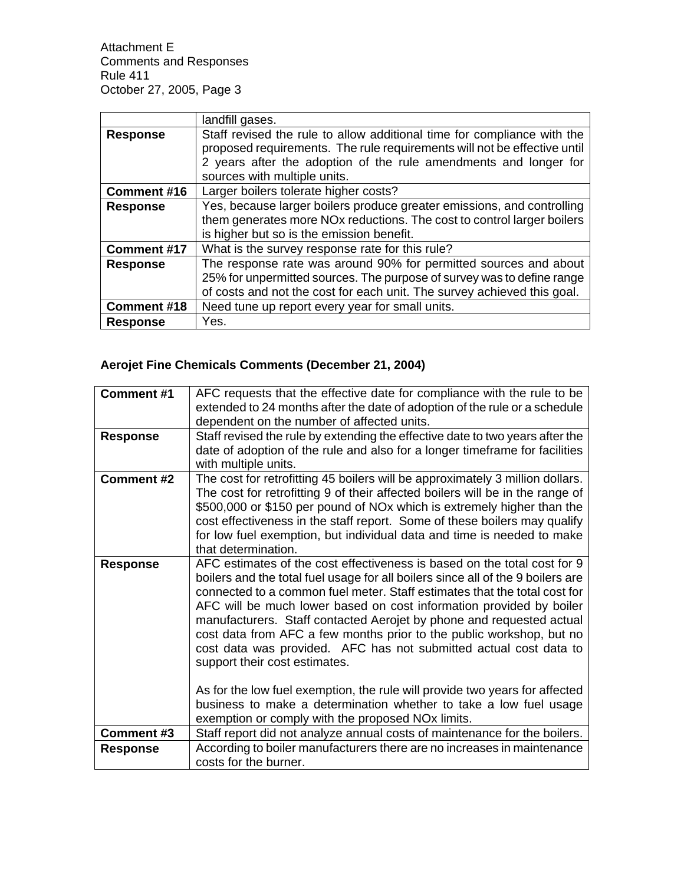|                    | landfill gases.                                                          |
|--------------------|--------------------------------------------------------------------------|
| <b>Response</b>    | Staff revised the rule to allow additional time for compliance with the  |
|                    | proposed requirements. The rule requirements will not be effective until |
|                    | 2 years after the adoption of the rule amendments and longer for         |
|                    | sources with multiple units.                                             |
| <b>Comment #16</b> | Larger boilers tolerate higher costs?                                    |
| <b>Response</b>    | Yes, because larger boilers produce greater emissions, and controlling   |
|                    | them generates more NOx reductions. The cost to control larger boilers   |
|                    | is higher but so is the emission benefit.                                |
| <b>Comment #17</b> | What is the survey response rate for this rule?                          |
| <b>Response</b>    | The response rate was around 90% for permitted sources and about         |
|                    | 25% for unpermitted sources. The purpose of survey was to define range   |
|                    | of costs and not the cost for each unit. The survey achieved this goal.  |
| Comment #18        | Need tune up report every year for small units.                          |
| <b>Response</b>    | Yes.                                                                     |

# **Aerojet Fine Chemicals Comments (December 21, 2004)**

| <b>Comment #1</b> | AFC requests that the effective date for compliance with the rule to be                                                                                                                                                                                                                                                                                                                                                                                                                                                                                                                                                                                                                                                   |
|-------------------|---------------------------------------------------------------------------------------------------------------------------------------------------------------------------------------------------------------------------------------------------------------------------------------------------------------------------------------------------------------------------------------------------------------------------------------------------------------------------------------------------------------------------------------------------------------------------------------------------------------------------------------------------------------------------------------------------------------------------|
|                   | extended to 24 months after the date of adoption of the rule or a schedule                                                                                                                                                                                                                                                                                                                                                                                                                                                                                                                                                                                                                                                |
|                   | dependent on the number of affected units.                                                                                                                                                                                                                                                                                                                                                                                                                                                                                                                                                                                                                                                                                |
| <b>Response</b>   | Staff revised the rule by extending the effective date to two years after the                                                                                                                                                                                                                                                                                                                                                                                                                                                                                                                                                                                                                                             |
|                   | date of adoption of the rule and also for a longer timeframe for facilities                                                                                                                                                                                                                                                                                                                                                                                                                                                                                                                                                                                                                                               |
|                   | with multiple units.                                                                                                                                                                                                                                                                                                                                                                                                                                                                                                                                                                                                                                                                                                      |
| <b>Comment #2</b> | The cost for retrofitting 45 boilers will be approximately 3 million dollars.                                                                                                                                                                                                                                                                                                                                                                                                                                                                                                                                                                                                                                             |
|                   | The cost for retrofitting 9 of their affected boilers will be in the range of                                                                                                                                                                                                                                                                                                                                                                                                                                                                                                                                                                                                                                             |
|                   | \$500,000 or \$150 per pound of NOx which is extremely higher than the                                                                                                                                                                                                                                                                                                                                                                                                                                                                                                                                                                                                                                                    |
|                   | cost effectiveness in the staff report. Some of these boilers may qualify                                                                                                                                                                                                                                                                                                                                                                                                                                                                                                                                                                                                                                                 |
|                   | for low fuel exemption, but individual data and time is needed to make                                                                                                                                                                                                                                                                                                                                                                                                                                                                                                                                                                                                                                                    |
|                   | that determination.                                                                                                                                                                                                                                                                                                                                                                                                                                                                                                                                                                                                                                                                                                       |
| <b>Response</b>   | AFC estimates of the cost effectiveness is based on the total cost for 9<br>boilers and the total fuel usage for all boilers since all of the 9 boilers are<br>connected to a common fuel meter. Staff estimates that the total cost for<br>AFC will be much lower based on cost information provided by boiler<br>manufacturers. Staff contacted Aerojet by phone and requested actual<br>cost data from AFC a few months prior to the public workshop, but no<br>cost data was provided. AFC has not submitted actual cost data to<br>support their cost estimates.<br>As for the low fuel exemption, the rule will provide two years for affected<br>business to make a determination whether to take a low fuel usage |
| Comment #3        | exemption or comply with the proposed NOx limits.<br>Staff report did not analyze annual costs of maintenance for the boilers.                                                                                                                                                                                                                                                                                                                                                                                                                                                                                                                                                                                            |
|                   | According to boiler manufacturers there are no increases in maintenance                                                                                                                                                                                                                                                                                                                                                                                                                                                                                                                                                                                                                                                   |
| <b>Response</b>   | costs for the burner.                                                                                                                                                                                                                                                                                                                                                                                                                                                                                                                                                                                                                                                                                                     |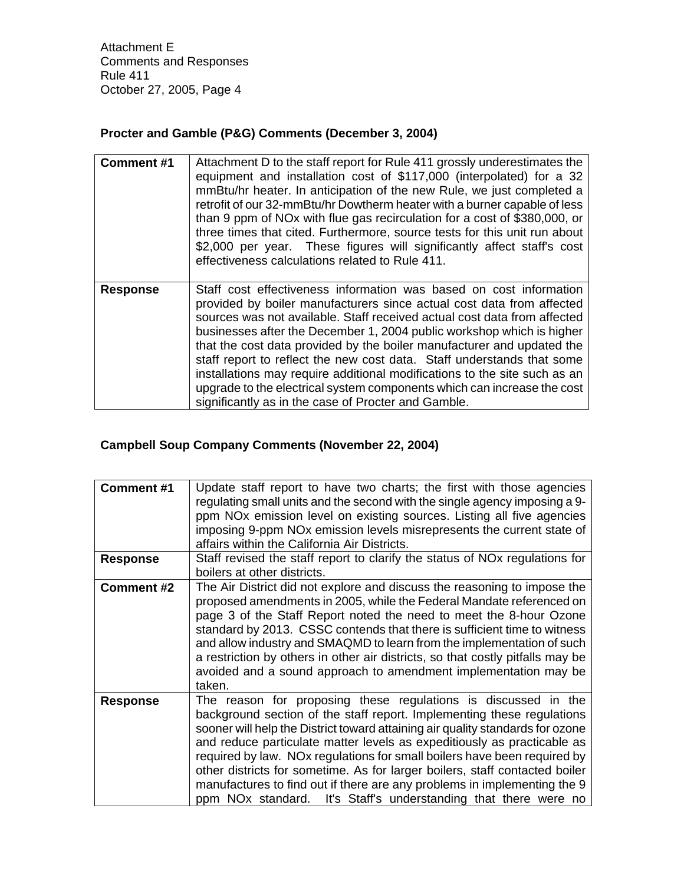# **Procter and Gamble (P&G) Comments (December 3, 2004)**

| <b>Comment #1</b> | Attachment D to the staff report for Rule 411 grossly underestimates the<br>equipment and installation cost of \$117,000 (interpolated) for a 32<br>mmBtu/hr heater. In anticipation of the new Rule, we just completed a<br>retrofit of our 32-mmBtu/hr Dowtherm heater with a burner capable of less<br>than 9 ppm of NOx with flue gas recirculation for a cost of \$380,000, or<br>three times that cited. Furthermore, source tests for this unit run about<br>\$2,000 per year. These figures will significantly affect staff's cost<br>effectiveness calculations related to Rule 411.                                                                       |
|-------------------|---------------------------------------------------------------------------------------------------------------------------------------------------------------------------------------------------------------------------------------------------------------------------------------------------------------------------------------------------------------------------------------------------------------------------------------------------------------------------------------------------------------------------------------------------------------------------------------------------------------------------------------------------------------------|
| <b>Response</b>   | Staff cost effectiveness information was based on cost information<br>provided by boiler manufacturers since actual cost data from affected<br>sources was not available. Staff received actual cost data from affected<br>businesses after the December 1, 2004 public workshop which is higher<br>that the cost data provided by the boiler manufacturer and updated the<br>staff report to reflect the new cost data. Staff understands that some<br>installations may require additional modifications to the site such as an<br>upgrade to the electrical system components which can increase the cost<br>significantly as in the case of Procter and Gamble. |

# **Campbell Soup Company Comments (November 22, 2004)**

| Comment#1         | Update staff report to have two charts; the first with those agencies<br>regulating small units and the second with the single agency imposing a 9-<br>ppm NO <sub>x</sub> emission level on existing sources. Listing all five agencies<br>imposing 9-ppm NO <sub>x</sub> emission levels misrepresents the current state of<br>affairs within the California Air Districts.                                                                                                                                                                                                                                   |
|-------------------|-----------------------------------------------------------------------------------------------------------------------------------------------------------------------------------------------------------------------------------------------------------------------------------------------------------------------------------------------------------------------------------------------------------------------------------------------------------------------------------------------------------------------------------------------------------------------------------------------------------------|
| <b>Response</b>   | Staff revised the staff report to clarify the status of NO <sub>x</sub> regulations for<br>boilers at other districts.                                                                                                                                                                                                                                                                                                                                                                                                                                                                                          |
| <b>Comment #2</b> | The Air District did not explore and discuss the reasoning to impose the<br>proposed amendments in 2005, while the Federal Mandate referenced on<br>page 3 of the Staff Report noted the need to meet the 8-hour Ozone<br>standard by 2013. CSSC contends that there is sufficient time to witness<br>and allow industry and SMAQMD to learn from the implementation of such<br>a restriction by others in other air districts, so that costly pitfalls may be<br>avoided and a sound approach to amendment implementation may be<br>taken.                                                                     |
| <b>Response</b>   | The reason for proposing these regulations is discussed in the<br>background section of the staff report. Implementing these regulations<br>sooner will help the District toward attaining air quality standards for ozone<br>and reduce particulate matter levels as expeditiously as practicable as<br>required by law. NOx regulations for small boilers have been required by<br>other districts for sometime. As for larger boilers, staff contacted boiler<br>manufactures to find out if there are any problems in implementing the 9<br>ppm NOx standard. It's Staff's understanding that there were no |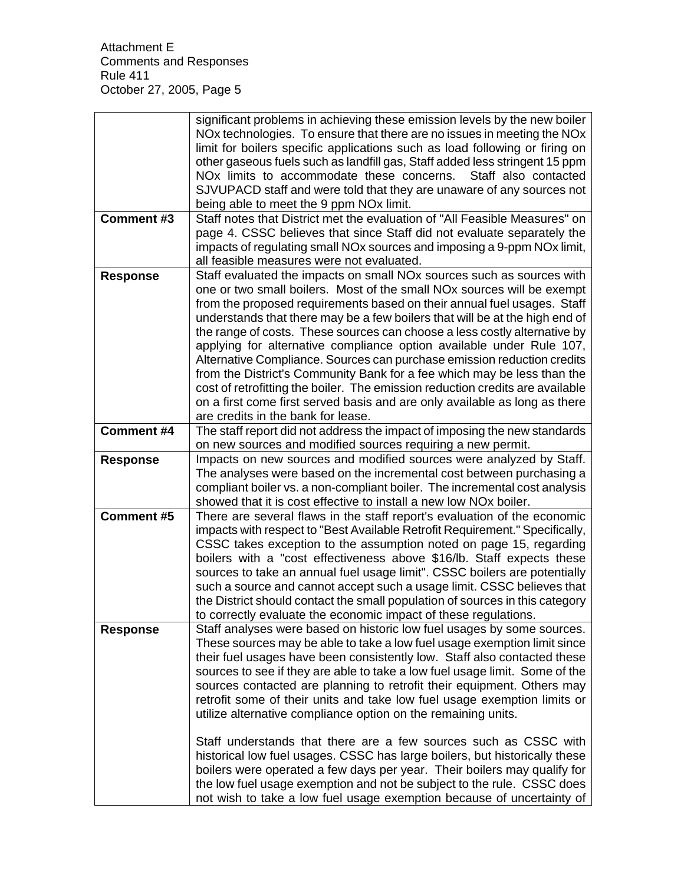|                   | significant problems in achieving these emission levels by the new boiler<br>NOx technologies. To ensure that there are no issues in meeting the NOx<br>limit for boilers specific applications such as load following or firing on<br>other gaseous fuels such as landfill gas, Staff added less stringent 15 ppm<br>NO <sub>x</sub> limits to accommodate these concerns.<br>Staff also contacted<br>SJVUPACD staff and were told that they are unaware of any sources not<br>being able to meet the 9 ppm NOx limit.                                                                                                                                                                                                                                                                                                                                                                                               |
|-------------------|-----------------------------------------------------------------------------------------------------------------------------------------------------------------------------------------------------------------------------------------------------------------------------------------------------------------------------------------------------------------------------------------------------------------------------------------------------------------------------------------------------------------------------------------------------------------------------------------------------------------------------------------------------------------------------------------------------------------------------------------------------------------------------------------------------------------------------------------------------------------------------------------------------------------------|
| <b>Comment #3</b> | Staff notes that District met the evaluation of "All Feasible Measures" on<br>page 4. CSSC believes that since Staff did not evaluate separately the<br>impacts of regulating small NOx sources and imposing a 9-ppm NOx limit,<br>all feasible measures were not evaluated.                                                                                                                                                                                                                                                                                                                                                                                                                                                                                                                                                                                                                                          |
| <b>Response</b>   | Staff evaluated the impacts on small NOx sources such as sources with<br>one or two small boilers. Most of the small NOx sources will be exempt<br>from the proposed requirements based on their annual fuel usages. Staff<br>understands that there may be a few boilers that will be at the high end of<br>the range of costs. These sources can choose a less costly alternative by<br>applying for alternative compliance option available under Rule 107,<br>Alternative Compliance. Sources can purchase emission reduction credits<br>from the District's Community Bank for a fee which may be less than the<br>cost of retrofitting the boiler. The emission reduction credits are available<br>on a first come first served basis and are only available as long as there<br>are credits in the bank for lease.                                                                                             |
| <b>Comment #4</b> | The staff report did not address the impact of imposing the new standards<br>on new sources and modified sources requiring a new permit.                                                                                                                                                                                                                                                                                                                                                                                                                                                                                                                                                                                                                                                                                                                                                                              |
| <b>Response</b>   | Impacts on new sources and modified sources were analyzed by Staff.<br>The analyses were based on the incremental cost between purchasing a<br>compliant boiler vs. a non-compliant boiler. The incremental cost analysis<br>showed that it is cost effective to install a new low NO <sub>x</sub> boiler.                                                                                                                                                                                                                                                                                                                                                                                                                                                                                                                                                                                                            |
| <b>Comment #5</b> | There are several flaws in the staff report's evaluation of the economic<br>impacts with respect to "Best Available Retrofit Requirement." Specifically,<br>CSSC takes exception to the assumption noted on page 15, regarding<br>boilers with a "cost effectiveness above \$16/lb. Staff expects these<br>sources to take an annual fuel usage limit". CSSC boilers are potentially<br>such a source and cannot accept such a usage limit. CSSC believes that<br>the District should contact the small population of sources in this category<br>to correctly evaluate the economic impact of these regulations.                                                                                                                                                                                                                                                                                                     |
| <b>Response</b>   | Staff analyses were based on historic low fuel usages by some sources.<br>These sources may be able to take a low fuel usage exemption limit since<br>their fuel usages have been consistently low. Staff also contacted these<br>sources to see if they are able to take a low fuel usage limit. Some of the<br>sources contacted are planning to retrofit their equipment. Others may<br>retrofit some of their units and take low fuel usage exemption limits or<br>utilize alternative compliance option on the remaining units.<br>Staff understands that there are a few sources such as CSSC with<br>historical low fuel usages. CSSC has large boilers, but historically these<br>boilers were operated a few days per year. Their boilers may qualify for<br>the low fuel usage exemption and not be subject to the rule. CSSC does<br>not wish to take a low fuel usage exemption because of uncertainty of |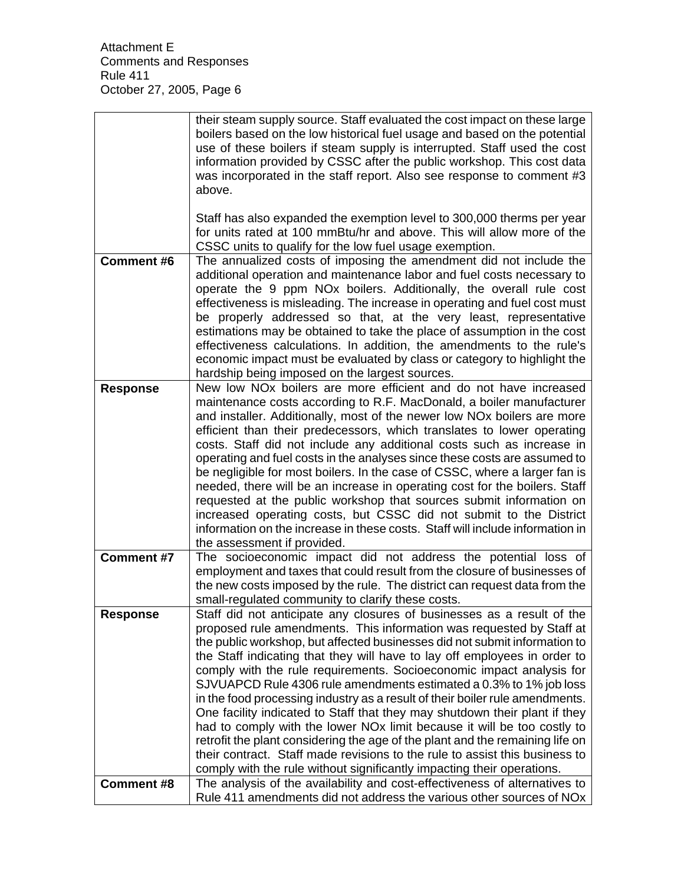|                   | their steam supply source. Staff evaluated the cost impact on these large<br>boilers based on the low historical fuel usage and based on the potential<br>use of these boilers if steam supply is interrupted. Staff used the cost<br>information provided by CSSC after the public workshop. This cost data<br>was incorporated in the staff report. Also see response to comment #3<br>above.                                                                                                                                                                                                                                                                                                                                                                                                                                                                                                                                                        |
|-------------------|--------------------------------------------------------------------------------------------------------------------------------------------------------------------------------------------------------------------------------------------------------------------------------------------------------------------------------------------------------------------------------------------------------------------------------------------------------------------------------------------------------------------------------------------------------------------------------------------------------------------------------------------------------------------------------------------------------------------------------------------------------------------------------------------------------------------------------------------------------------------------------------------------------------------------------------------------------|
|                   | Staff has also expanded the exemption level to 300,000 therms per year<br>for units rated at 100 mmBtu/hr and above. This will allow more of the<br>CSSC units to qualify for the low fuel usage exemption.                                                                                                                                                                                                                                                                                                                                                                                                                                                                                                                                                                                                                                                                                                                                            |
| <b>Comment #6</b> | The annualized costs of imposing the amendment did not include the<br>additional operation and maintenance labor and fuel costs necessary to<br>operate the 9 ppm NOx boilers. Additionally, the overall rule cost<br>effectiveness is misleading. The increase in operating and fuel cost must<br>be properly addressed so that, at the very least, representative<br>estimations may be obtained to take the place of assumption in the cost<br>effectiveness calculations. In addition, the amendments to the rule's<br>economic impact must be evaluated by class or category to highlight the<br>hardship being imposed on the largest sources.                                                                                                                                                                                                                                                                                                   |
| <b>Response</b>   | New low NO <sub>x</sub> boilers are more efficient and do not have increased<br>maintenance costs according to R.F. MacDonald, a boiler manufacturer<br>and installer. Additionally, most of the newer low NO <sub>x</sub> boilers are more<br>efficient than their predecessors, which translates to lower operating<br>costs. Staff did not include any additional costs such as increase in<br>operating and fuel costs in the analyses since these costs are assumed to<br>be negligible for most boilers. In the case of CSSC, where a larger fan is<br>needed, there will be an increase in operating cost for the boilers. Staff<br>requested at the public workshop that sources submit information on<br>increased operating costs, but CSSC did not submit to the District<br>information on the increase in these costs. Staff will include information in<br>the assessment if provided.                                                   |
| <b>Comment #7</b> | The socioeconomic impact did not address the potential loss of<br>employment and taxes that could result from the closure of businesses of<br>the new costs imposed by the rule. The district can request data from the<br>small-regulated community to clarify these costs.                                                                                                                                                                                                                                                                                                                                                                                                                                                                                                                                                                                                                                                                           |
| <b>Response</b>   | Staff did not anticipate any closures of businesses as a result of the<br>proposed rule amendments. This information was requested by Staff at<br>the public workshop, but affected businesses did not submit information to<br>the Staff indicating that they will have to lay off employees in order to<br>comply with the rule requirements. Socioeconomic impact analysis for<br>SJVUAPCD Rule 4306 rule amendments estimated a 0.3% to 1% job loss<br>in the food processing industry as a result of their boiler rule amendments.<br>One facility indicated to Staff that they may shutdown their plant if they<br>had to comply with the lower NO <sub>x</sub> limit because it will be too costly to<br>retrofit the plant considering the age of the plant and the remaining life on<br>their contract. Staff made revisions to the rule to assist this business to<br>comply with the rule without significantly impacting their operations. |
| <b>Comment #8</b> | The analysis of the availability and cost-effectiveness of alternatives to<br>Rule 411 amendments did not address the various other sources of NOx                                                                                                                                                                                                                                                                                                                                                                                                                                                                                                                                                                                                                                                                                                                                                                                                     |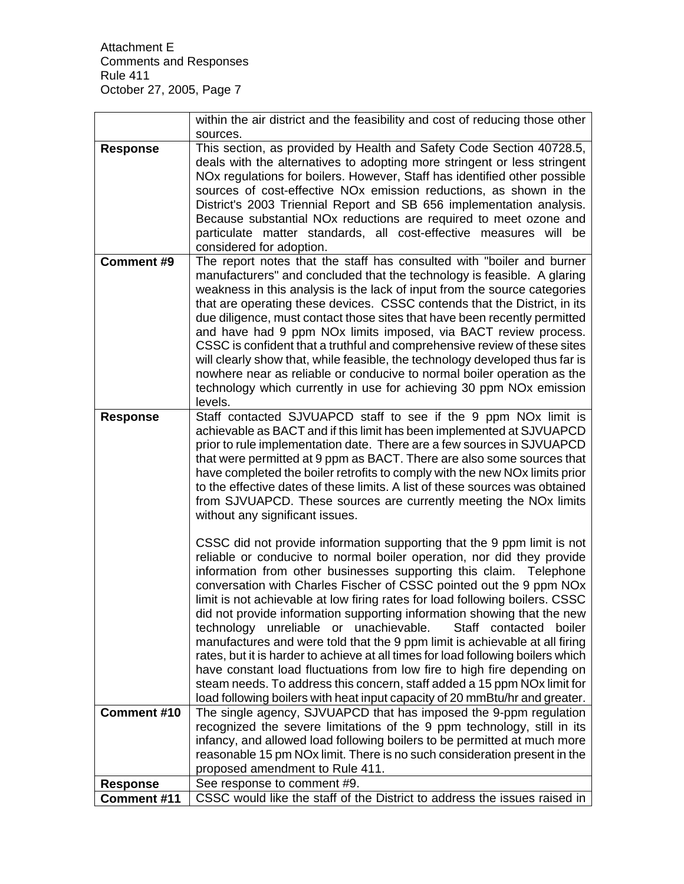|                 | within the air district and the feasibility and cost of reducing those other                                                                                                                                                                                                                                                                                                                                                                                                                                                                                                                                                                                                                                                                                                                                                                                                                                                           |
|-----------------|----------------------------------------------------------------------------------------------------------------------------------------------------------------------------------------------------------------------------------------------------------------------------------------------------------------------------------------------------------------------------------------------------------------------------------------------------------------------------------------------------------------------------------------------------------------------------------------------------------------------------------------------------------------------------------------------------------------------------------------------------------------------------------------------------------------------------------------------------------------------------------------------------------------------------------------|
|                 | sources.                                                                                                                                                                                                                                                                                                                                                                                                                                                                                                                                                                                                                                                                                                                                                                                                                                                                                                                               |
| <b>Response</b> | This section, as provided by Health and Safety Code Section 40728.5,<br>deals with the alternatives to adopting more stringent or less stringent<br>NO <sub>x</sub> regulations for boilers. However, Staff has identified other possible<br>sources of cost-effective NO <sub>x</sub> emission reductions, as shown in the<br>District's 2003 Triennial Report and SB 656 implementation analysis.<br>Because substantial NO <sub>x</sub> reductions are required to meet ozone and<br>particulate matter standards, all cost-effective measures will be<br>considered for adoption.                                                                                                                                                                                                                                                                                                                                                  |
| Comment #9      | The report notes that the staff has consulted with "boiler and burner<br>manufacturers" and concluded that the technology is feasible. A glaring<br>weakness in this analysis is the lack of input from the source categories<br>that are operating these devices. CSSC contends that the District, in its<br>due diligence, must contact those sites that have been recently permitted<br>and have had 9 ppm NOx limits imposed, via BACT review process.<br>CSSC is confident that a truthful and comprehensive review of these sites<br>will clearly show that, while feasible, the technology developed thus far is<br>nowhere near as reliable or conducive to normal boiler operation as the<br>technology which currently in use for achieving 30 ppm NO <sub>x</sub> emission<br>levels.                                                                                                                                       |
| <b>Response</b> | Staff contacted SJVUAPCD staff to see if the 9 ppm NOx limit is<br>achievable as BACT and if this limit has been implemented at SJVUAPCD<br>prior to rule implementation date. There are a few sources in SJVUAPCD<br>that were permitted at 9 ppm as BACT. There are also some sources that<br>have completed the boiler retrofits to comply with the new NO <sub>x</sub> limits prior<br>to the effective dates of these limits. A list of these sources was obtained<br>from SJVUAPCD. These sources are currently meeting the NO <sub>x</sub> limits<br>without any significant issues.                                                                                                                                                                                                                                                                                                                                            |
|                 | CSSC did not provide information supporting that the 9 ppm limit is not<br>reliable or conducive to normal boiler operation, nor did they provide<br>information from other businesses supporting this claim. Telephone<br>conversation with Charles Fischer of CSSC pointed out the 9 ppm NOx<br>limit is not achievable at low firing rates for load following boilers. CSSC<br>did not provide information supporting information showing that the new<br>technology unreliable or unachievable.<br>Staff contacted boiler<br>manufactures and were told that the 9 ppm limit is achievable at all firing<br>rates, but it is harder to achieve at all times for load following boilers which<br>have constant load fluctuations from low fire to high fire depending on<br>steam needs. To address this concern, staff added a 15 ppm NOx limit for<br>load following boilers with heat input capacity of 20 mmBtu/hr and greater. |
| Comment #10     | The single agency, SJVUAPCD that has imposed the 9-ppm regulation<br>recognized the severe limitations of the 9 ppm technology, still in its<br>infancy, and allowed load following boilers to be permitted at much more                                                                                                                                                                                                                                                                                                                                                                                                                                                                                                                                                                                                                                                                                                               |
|                 | reasonable 15 pm NOx limit. There is no such consideration present in the<br>proposed amendment to Rule 411.                                                                                                                                                                                                                                                                                                                                                                                                                                                                                                                                                                                                                                                                                                                                                                                                                           |
| <b>Response</b> | See response to comment #9.                                                                                                                                                                                                                                                                                                                                                                                                                                                                                                                                                                                                                                                                                                                                                                                                                                                                                                            |
| Comment #11     | CSSC would like the staff of the District to address the issues raised in                                                                                                                                                                                                                                                                                                                                                                                                                                                                                                                                                                                                                                                                                                                                                                                                                                                              |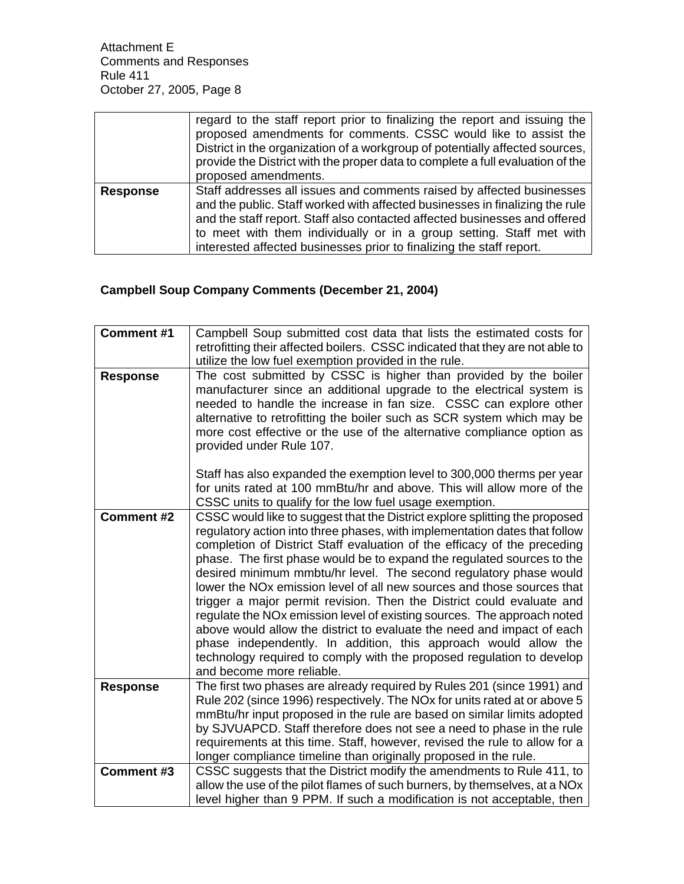|                 | regard to the staff report prior to finalizing the report and issuing the<br>proposed amendments for comments. CSSC would like to assist the<br>District in the organization of a workgroup of potentially affected sources,<br>provide the District with the proper data to complete a full evaluation of the<br>proposed amendments.                                              |
|-----------------|-------------------------------------------------------------------------------------------------------------------------------------------------------------------------------------------------------------------------------------------------------------------------------------------------------------------------------------------------------------------------------------|
| <b>Response</b> | Staff addresses all issues and comments raised by affected businesses<br>and the public. Staff worked with affected businesses in finalizing the rule<br>and the staff report. Staff also contacted affected businesses and offered<br>to meet with them individually or in a group setting. Staff met with<br>interested affected businesses prior to finalizing the staff report. |

# **Campbell Soup Company Comments (December 21, 2004)**

| <b>Comment #1</b> | Campbell Soup submitted cost data that lists the estimated costs for<br>retrofitting their affected boilers. CSSC indicated that they are not able to<br>utilize the low fuel exemption provided in the rule.                                                                                                                                                                                                                                                                                                                                                                                                                                                                                                                                                                                                                                                                     |
|-------------------|-----------------------------------------------------------------------------------------------------------------------------------------------------------------------------------------------------------------------------------------------------------------------------------------------------------------------------------------------------------------------------------------------------------------------------------------------------------------------------------------------------------------------------------------------------------------------------------------------------------------------------------------------------------------------------------------------------------------------------------------------------------------------------------------------------------------------------------------------------------------------------------|
| <b>Response</b>   | The cost submitted by CSSC is higher than provided by the boiler<br>manufacturer since an additional upgrade to the electrical system is<br>needed to handle the increase in fan size. CSSC can explore other<br>alternative to retrofitting the boiler such as SCR system which may be<br>more cost effective or the use of the alternative compliance option as<br>provided under Rule 107.                                                                                                                                                                                                                                                                                                                                                                                                                                                                                     |
|                   | Staff has also expanded the exemption level to 300,000 therms per year<br>for units rated at 100 mmBtu/hr and above. This will allow more of the<br>CSSC units to qualify for the low fuel usage exemption.                                                                                                                                                                                                                                                                                                                                                                                                                                                                                                                                                                                                                                                                       |
| <b>Comment #2</b> | CSSC would like to suggest that the District explore splitting the proposed<br>regulatory action into three phases, with implementation dates that follow<br>completion of District Staff evaluation of the efficacy of the preceding<br>phase. The first phase would be to expand the regulated sources to the<br>desired minimum mmbtu/hr level. The second regulatory phase would<br>lower the NO <sub>x</sub> emission level of all new sources and those sources that<br>trigger a major permit revision. Then the District could evaluate and<br>regulate the NOx emission level of existing sources. The approach noted<br>above would allow the district to evaluate the need and impact of each<br>phase independently. In addition, this approach would allow the<br>technology required to comply with the proposed regulation to develop<br>and become more reliable. |
| <b>Response</b>   | The first two phases are already required by Rules 201 (since 1991) and<br>Rule 202 (since 1996) respectively. The NOx for units rated at or above 5<br>mmBtu/hr input proposed in the rule are based on similar limits adopted<br>by SJVUAPCD. Staff therefore does not see a need to phase in the rule<br>requirements at this time. Staff, however, revised the rule to allow for a<br>longer compliance timeline than originally proposed in the rule.                                                                                                                                                                                                                                                                                                                                                                                                                        |
| <b>Comment #3</b> | CSSC suggests that the District modify the amendments to Rule 411, to<br>allow the use of the pilot flames of such burners, by themselves, at a NOx<br>level higher than 9 PPM. If such a modification is not acceptable, then                                                                                                                                                                                                                                                                                                                                                                                                                                                                                                                                                                                                                                                    |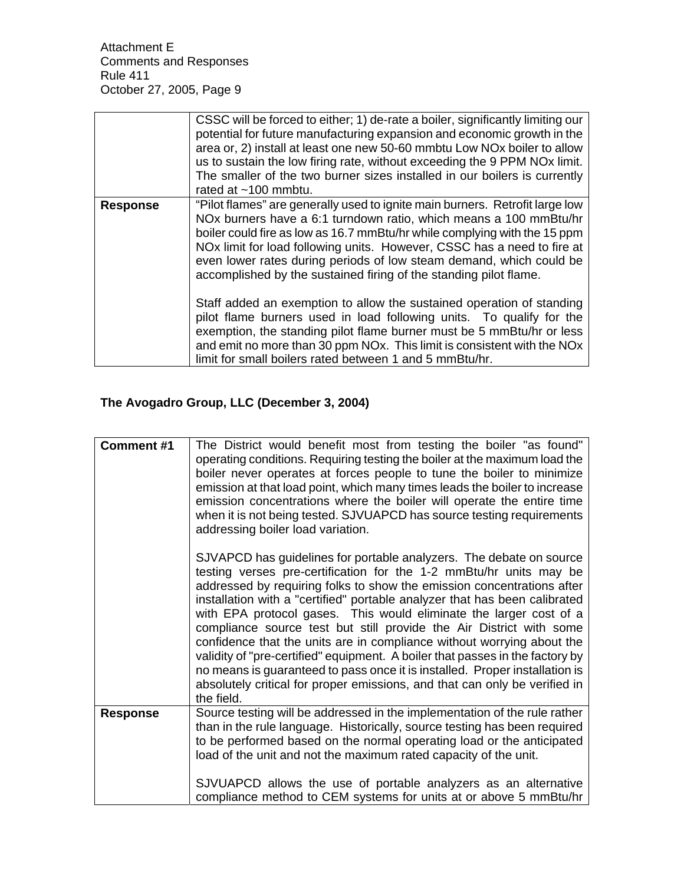|                 | CSSC will be forced to either; 1) de-rate a boiler, significantly limiting our<br>potential for future manufacturing expansion and economic growth in the<br>area or, 2) install at least one new 50-60 mmbtu Low NOx boiler to allow<br>us to sustain the low firing rate, without exceeding the 9 PPM NO <sub>x</sub> limit.<br>The smaller of the two burner sizes installed in our boilers is currently<br>rated at $\sim$ 100 mmbtu.                         |
|-----------------|-------------------------------------------------------------------------------------------------------------------------------------------------------------------------------------------------------------------------------------------------------------------------------------------------------------------------------------------------------------------------------------------------------------------------------------------------------------------|
| <b>Response</b> | "Pilot flames" are generally used to ignite main burners. Retrofit large low<br>NOx burners have a 6:1 turndown ratio, which means a 100 mmBtu/hr<br>boiler could fire as low as 16.7 mmBtu/hr while complying with the 15 ppm<br>NO <sub>x</sub> limit for load following units. However, CSSC has a need to fire at<br>even lower rates during periods of low steam demand, which could be<br>accomplished by the sustained firing of the standing pilot flame. |
|                 | Staff added an exemption to allow the sustained operation of standing<br>pilot flame burners used in load following units. To qualify for the<br>exemption, the standing pilot flame burner must be 5 mmBtu/hr or less<br>and emit no more than 30 ppm NOx. This limit is consistent with the NOx<br>limit for small boilers rated between 1 and 5 mmBtu/hr.                                                                                                      |

# **The Avogadro Group, LLC (December 3, 2004)**

| <b>Comment #1</b> | The District would benefit most from testing the boiler "as found"<br>operating conditions. Requiring testing the boiler at the maximum load the<br>boiler never operates at forces people to tune the boiler to minimize<br>emission at that load point, which many times leads the boiler to increase<br>emission concentrations where the boiler will operate the entire time<br>when it is not being tested. SJVUAPCD has source testing requirements<br>addressing boiler load variation.<br>SJVAPCD has guidelines for portable analyzers. The debate on source                                                                                                                                         |
|-------------------|---------------------------------------------------------------------------------------------------------------------------------------------------------------------------------------------------------------------------------------------------------------------------------------------------------------------------------------------------------------------------------------------------------------------------------------------------------------------------------------------------------------------------------------------------------------------------------------------------------------------------------------------------------------------------------------------------------------|
|                   | testing verses pre-certification for the 1-2 mmBtu/hr units may be<br>addressed by requiring folks to show the emission concentrations after<br>installation with a "certified" portable analyzer that has been calibrated<br>with EPA protocol gases. This would eliminate the larger cost of a<br>compliance source test but still provide the Air District with some<br>confidence that the units are in compliance without worrying about the<br>validity of "pre-certified" equipment. A boiler that passes in the factory by<br>no means is guaranteed to pass once it is installed. Proper installation is<br>absolutely critical for proper emissions, and that can only be verified in<br>the field. |
| <b>Response</b>   | Source testing will be addressed in the implementation of the rule rather<br>than in the rule language. Historically, source testing has been required<br>to be performed based on the normal operating load or the anticipated<br>load of the unit and not the maximum rated capacity of the unit.<br>SJVUAPCD allows the use of portable analyzers as an alternative<br>compliance method to CEM systems for units at or above 5 mmBtu/hr                                                                                                                                                                                                                                                                   |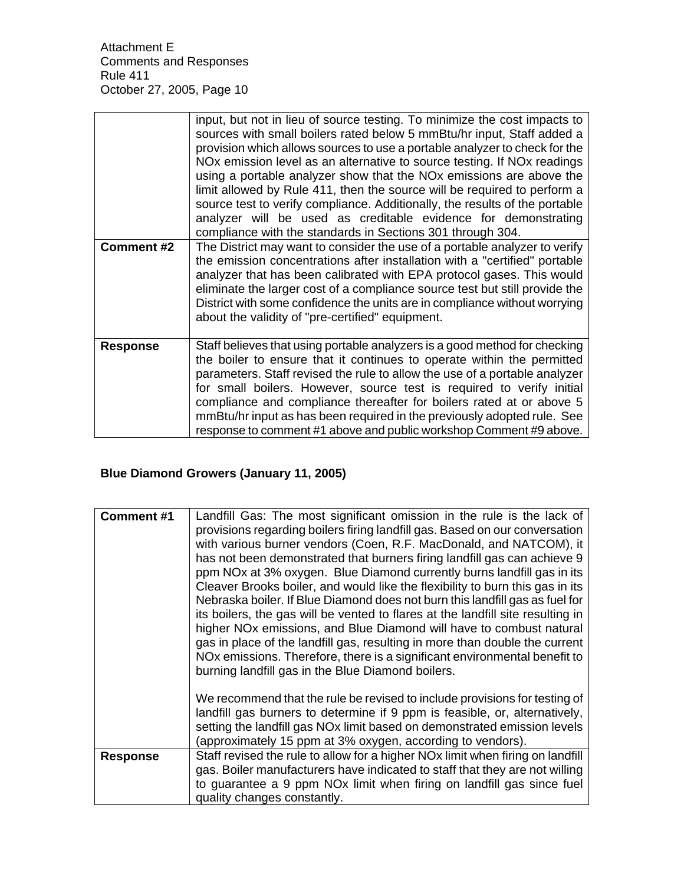|                 | input, but not in lieu of source testing. To minimize the cost impacts to<br>sources with small boilers rated below 5 mmBtu/hr input, Staff added a<br>provision which allows sources to use a portable analyzer to check for the<br>NO <sub>x</sub> emission level as an alternative to source testing. If NO <sub>x</sub> readings<br>using a portable analyzer show that the NOx emissions are above the<br>limit allowed by Rule 411, then the source will be required to perform a<br>source test to verify compliance. Additionally, the results of the portable<br>analyzer will be used as creditable evidence for demonstrating<br>compliance with the standards in Sections 301 through 304. |
|-----------------|--------------------------------------------------------------------------------------------------------------------------------------------------------------------------------------------------------------------------------------------------------------------------------------------------------------------------------------------------------------------------------------------------------------------------------------------------------------------------------------------------------------------------------------------------------------------------------------------------------------------------------------------------------------------------------------------------------|
| Comment #2      | The District may want to consider the use of a portable analyzer to verify<br>the emission concentrations after installation with a "certified" portable<br>analyzer that has been calibrated with EPA protocol gases. This would<br>eliminate the larger cost of a compliance source test but still provide the<br>District with some confidence the units are in compliance without worrying<br>about the validity of "pre-certified" equipment.                                                                                                                                                                                                                                                     |
| <b>Response</b> | Staff believes that using portable analyzers is a good method for checking<br>the boiler to ensure that it continues to operate within the permitted<br>parameters. Staff revised the rule to allow the use of a portable analyzer<br>for small boilers. However, source test is required to verify initial<br>compliance and compliance thereafter for boilers rated at or above 5<br>mmBtu/hr input as has been required in the previously adopted rule. See<br>response to comment #1 above and public workshop Comment #9 above.                                                                                                                                                                   |

# **Blue Diamond Growers (January 11, 2005)**

| <b>Comment #1</b> | Landfill Gas: The most significant omission in the rule is the lack of                     |
|-------------------|--------------------------------------------------------------------------------------------|
|                   | provisions regarding boilers firing landfill gas. Based on our conversation                |
|                   | with various burner vendors (Coen, R.F. MacDonald, and NATCOM), it                         |
|                   | has not been demonstrated that burners firing landfill gas can achieve 9                   |
|                   |                                                                                            |
|                   | ppm NOx at 3% oxygen. Blue Diamond currently burns landfill gas in its                     |
|                   | Cleaver Brooks boiler, and would like the flexibility to burn this gas in its              |
|                   | Nebraska boiler. If Blue Diamond does not burn this landfill gas as fuel for               |
|                   | its boilers, the gas will be vented to flares at the landfill site resulting in            |
|                   |                                                                                            |
|                   | higher NO <sub>x</sub> emissions, and Blue Diamond will have to combust natural            |
|                   | gas in place of the landfill gas, resulting in more than double the current                |
|                   | NO <sub>x</sub> emissions. Therefore, there is a significant environmental benefit to      |
|                   | burning landfill gas in the Blue Diamond boilers.                                          |
|                   |                                                                                            |
|                   |                                                                                            |
|                   | We recommend that the rule be revised to include provisions for testing of                 |
|                   | landfill gas burners to determine if 9 ppm is feasible, or, alternatively,                 |
|                   | setting the landfill gas NOx limit based on demonstrated emission levels                   |
|                   | (approximately 15 ppm at 3% oxygen, according to vendors).                                 |
| <b>Response</b>   | Staff revised the rule to allow for a higher NO <sub>x</sub> limit when firing on landfill |
|                   | gas. Boiler manufacturers have indicated to staff that they are not willing                |
|                   |                                                                                            |
|                   | to guarantee a 9 ppm NO <sub>x</sub> limit when firing on landfill gas since fuel          |
|                   | quality changes constantly.                                                                |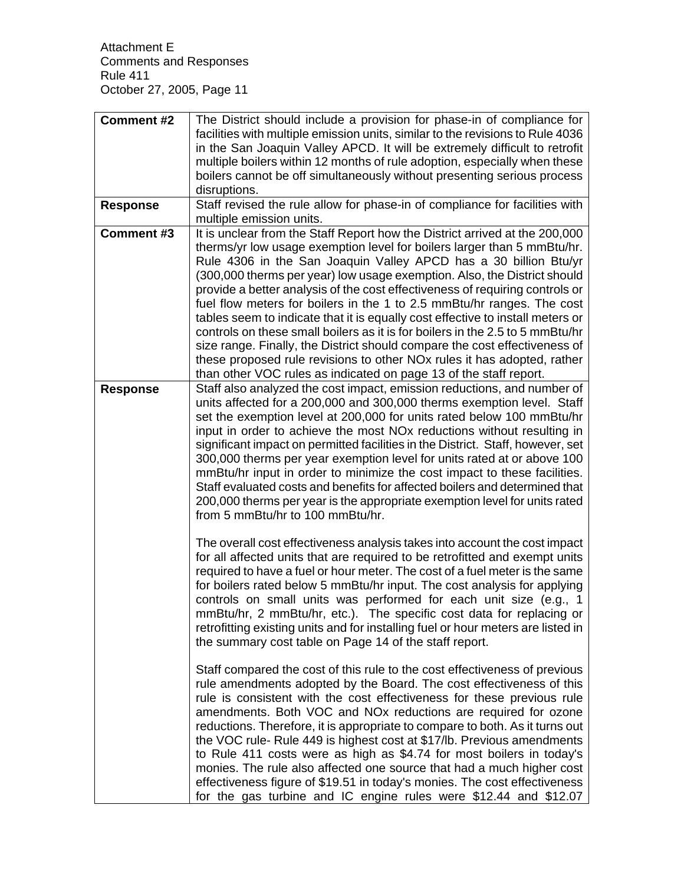| Comment #2        | The District should include a provision for phase-in of compliance for<br>facilities with multiple emission units, similar to the revisions to Rule 4036<br>in the San Joaquin Valley APCD. It will be extremely difficult to retrofit<br>multiple boilers within 12 months of rule adoption, especially when these<br>boilers cannot be off simultaneously without presenting serious process<br>disruptions.                                                                                                                                                                                                                                                                                                                                                                                                                                                                |
|-------------------|-------------------------------------------------------------------------------------------------------------------------------------------------------------------------------------------------------------------------------------------------------------------------------------------------------------------------------------------------------------------------------------------------------------------------------------------------------------------------------------------------------------------------------------------------------------------------------------------------------------------------------------------------------------------------------------------------------------------------------------------------------------------------------------------------------------------------------------------------------------------------------|
| <b>Response</b>   | Staff revised the rule allow for phase-in of compliance for facilities with<br>multiple emission units.                                                                                                                                                                                                                                                                                                                                                                                                                                                                                                                                                                                                                                                                                                                                                                       |
| <b>Comment #3</b> | It is unclear from the Staff Report how the District arrived at the 200,000<br>therms/yr low usage exemption level for boilers larger than 5 mmBtu/hr.<br>Rule 4306 in the San Joaquin Valley APCD has a 30 billion Btu/yr<br>(300,000 therms per year) low usage exemption. Also, the District should<br>provide a better analysis of the cost effectiveness of requiring controls or<br>fuel flow meters for boilers in the 1 to 2.5 mmBtu/hr ranges. The cost<br>tables seem to indicate that it is equally cost effective to install meters or<br>controls on these small boilers as it is for boilers in the 2.5 to 5 mmBtu/hr<br>size range. Finally, the District should compare the cost effectiveness of<br>these proposed rule revisions to other NO <sub>x</sub> rules it has adopted, rather<br>than other VOC rules as indicated on page 13 of the staff report. |
| <b>Response</b>   | Staff also analyzed the cost impact, emission reductions, and number of<br>units affected for a 200,000 and 300,000 therms exemption level. Staff<br>set the exemption level at 200,000 for units rated below 100 mmBtu/hr<br>input in order to achieve the most NO <sub>x</sub> reductions without resulting in<br>significant impact on permitted facilities in the District. Staff, however, set<br>300,000 therms per year exemption level for units rated at or above 100<br>mmBtu/hr input in order to minimize the cost impact to these facilities.<br>Staff evaluated costs and benefits for affected boilers and determined that<br>200,000 therms per year is the appropriate exemption level for units rated<br>from 5 mmBtu/hr to 100 mmBtu/hr.                                                                                                                   |
|                   | The overall cost effectiveness analysis takes into account the cost impact<br>for all affected units that are required to be retrofitted and exempt units<br>required to have a fuel or hour meter. The cost of a fuel meter is the same<br>for boilers rated below 5 mmBtu/hr input. The cost analysis for applying<br>controls on small units was performed for each unit size (e.g., 1<br>mmBtu/hr, 2 mmBtu/hr, etc.). The specific cost data for replacing or<br>retrofitting existing units and for installing fuel or hour meters are listed in<br>the summary cost table on Page 14 of the staff report.                                                                                                                                                                                                                                                               |
|                   | Staff compared the cost of this rule to the cost effectiveness of previous<br>rule amendments adopted by the Board. The cost effectiveness of this<br>rule is consistent with the cost effectiveness for these previous rule<br>amendments. Both VOC and NOx reductions are required for ozone<br>reductions. Therefore, it is appropriate to compare to both. As it turns out<br>the VOC rule- Rule 449 is highest cost at \$17/lb. Previous amendments<br>to Rule 411 costs were as high as \$4.74 for most boilers in today's<br>monies. The rule also affected one source that had a much higher cost<br>effectiveness figure of \$19.51 in today's monies. The cost effectiveness<br>for the gas turbine and IC engine rules were \$12.44 and \$12.07                                                                                                                    |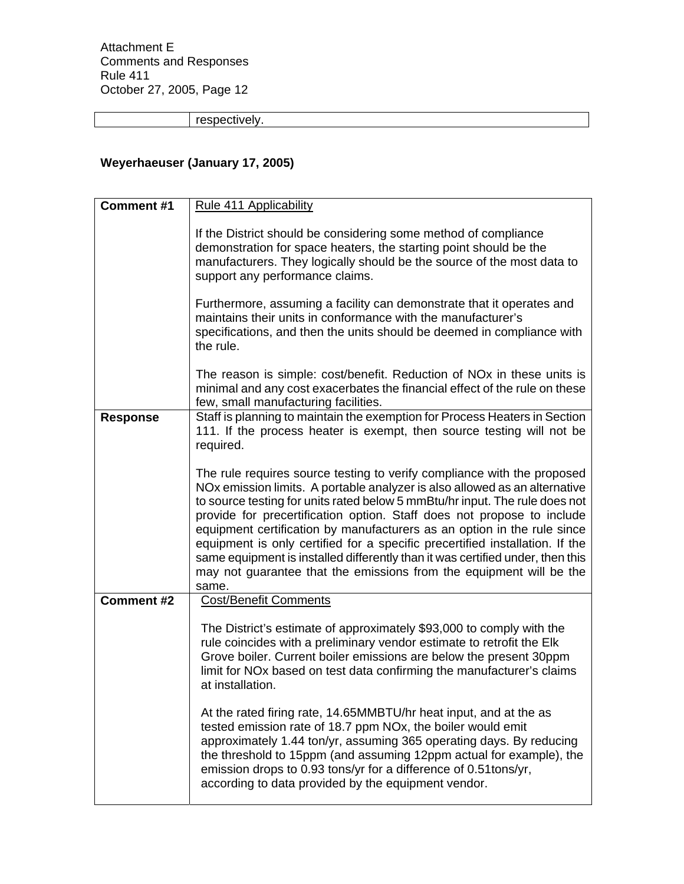respectively.

# **Weyerhaeuser (January 17, 2005)**

| <b>Comment #1</b> | Rule 411 Applicability                                                                                                                                                                                                                                                                                                                                                                                                                                                                                                                                                                                                                      |
|-------------------|---------------------------------------------------------------------------------------------------------------------------------------------------------------------------------------------------------------------------------------------------------------------------------------------------------------------------------------------------------------------------------------------------------------------------------------------------------------------------------------------------------------------------------------------------------------------------------------------------------------------------------------------|
|                   | If the District should be considering some method of compliance<br>demonstration for space heaters, the starting point should be the<br>manufacturers. They logically should be the source of the most data to<br>support any performance claims.<br>Furthermore, assuming a facility can demonstrate that it operates and<br>maintains their units in conformance with the manufacturer's<br>specifications, and then the units should be deemed in compliance with<br>the rule.                                                                                                                                                           |
|                   | The reason is simple: cost/benefit. Reduction of NO <sub>x</sub> in these units is<br>minimal and any cost exacerbates the financial effect of the rule on these<br>few, small manufacturing facilities.                                                                                                                                                                                                                                                                                                                                                                                                                                    |
| <b>Response</b>   | Staff is planning to maintain the exemption for Process Heaters in Section<br>111. If the process heater is exempt, then source testing will not be<br>required.                                                                                                                                                                                                                                                                                                                                                                                                                                                                            |
|                   | The rule requires source testing to verify compliance with the proposed<br>NOx emission limits. A portable analyzer is also allowed as an alternative<br>to source testing for units rated below 5 mmBtu/hr input. The rule does not<br>provide for precertification option. Staff does not propose to include<br>equipment certification by manufacturers as an option in the rule since<br>equipment is only certified for a specific precertified installation. If the<br>same equipment is installed differently than it was certified under, then this<br>may not guarantee that the emissions from the equipment will be the<br>same. |
| <b>Comment #2</b> | <b>Cost/Benefit Comments</b>                                                                                                                                                                                                                                                                                                                                                                                                                                                                                                                                                                                                                |
|                   | The District's estimate of approximately \$93,000 to comply with the<br>rule coincides with a preliminary vendor estimate to retrofit the Elk<br>Grove boiler. Current boiler emissions are below the present 30ppm<br>limit for NOx based on test data confirming the manufacturer's claims<br>at installation.                                                                                                                                                                                                                                                                                                                            |
|                   | At the rated firing rate, 14.65MMBTU/hr heat input, and at the as<br>tested emission rate of 18.7 ppm NOx, the boiler would emit<br>approximately 1.44 ton/yr, assuming 365 operating days. By reducing<br>the threshold to 15ppm (and assuming 12ppm actual for example), the<br>emission drops to 0.93 tons/yr for a difference of 0.51tons/yr,<br>according to data provided by the equipment vendor.                                                                                                                                                                                                                                    |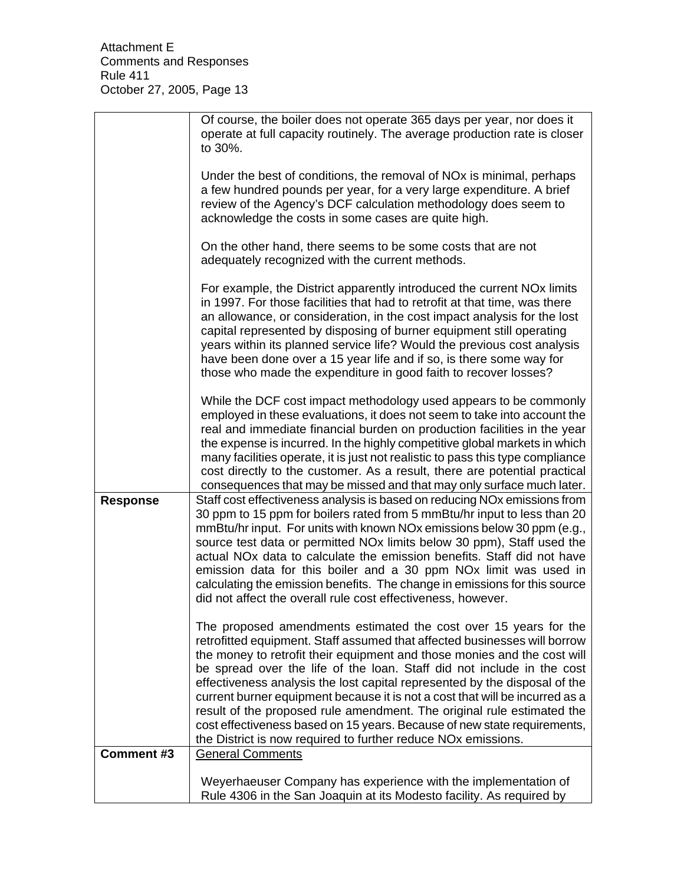|                   | Of course, the boiler does not operate 365 days per year, nor does it<br>operate at full capacity routinely. The average production rate is closer<br>to 30%.                                                                                                                                                                                                                                                                                                                                                                                                                                                                                                                            |
|-------------------|------------------------------------------------------------------------------------------------------------------------------------------------------------------------------------------------------------------------------------------------------------------------------------------------------------------------------------------------------------------------------------------------------------------------------------------------------------------------------------------------------------------------------------------------------------------------------------------------------------------------------------------------------------------------------------------|
|                   | Under the best of conditions, the removal of NO <sub>x</sub> is minimal, perhaps<br>a few hundred pounds per year, for a very large expenditure. A brief<br>review of the Agency's DCF calculation methodology does seem to<br>acknowledge the costs in some cases are quite high.                                                                                                                                                                                                                                                                                                                                                                                                       |
|                   | On the other hand, there seems to be some costs that are not<br>adequately recognized with the current methods.                                                                                                                                                                                                                                                                                                                                                                                                                                                                                                                                                                          |
|                   | For example, the District apparently introduced the current NO <sub>x</sub> limits<br>in 1997. For those facilities that had to retrofit at that time, was there<br>an allowance, or consideration, in the cost impact analysis for the lost<br>capital represented by disposing of burner equipment still operating<br>years within its planned service life? Would the previous cost analysis<br>have been done over a 15 year life and if so, is there some way for<br>those who made the expenditure in good faith to recover losses?                                                                                                                                                |
|                   | While the DCF cost impact methodology used appears to be commonly<br>employed in these evaluations, it does not seem to take into account the<br>real and immediate financial burden on production facilities in the year<br>the expense is incurred. In the highly competitive global markets in which<br>many facilities operate, it is just not realistic to pass this type compliance<br>cost directly to the customer. As a result, there are potential practical<br>consequences that may be missed and that may only surface much later.                                                                                                                                          |
| <b>Response</b>   | Staff cost effectiveness analysis is based on reducing NOx emissions from<br>30 ppm to 15 ppm for boilers rated from 5 mmBtu/hr input to less than 20<br>mmBtu/hr input. For units with known NOx emissions below 30 ppm (e.g.,<br>source test data or permitted NO <sub>x</sub> limits below 30 ppm), Staff used the<br>actual NO <sub>x</sub> data to calculate the emission benefits. Staff did not have<br>emission data for this boiler and a 30 ppm NOx limit was used in<br>calculating the emission benefits. The change in emissions for this source<br>did not affect the overall rule cost effectiveness, however.                                                            |
|                   | The proposed amendments estimated the cost over 15 years for the<br>retrofitted equipment. Staff assumed that affected businesses will borrow<br>the money to retrofit their equipment and those monies and the cost will<br>be spread over the life of the loan. Staff did not include in the cost<br>effectiveness analysis the lost capital represented by the disposal of the<br>current burner equipment because it is not a cost that will be incurred as a<br>result of the proposed rule amendment. The original rule estimated the<br>cost effectiveness based on 15 years. Because of new state requirements,<br>the District is now required to further reduce NOx emissions. |
| <b>Comment #3</b> | <b>General Comments</b>                                                                                                                                                                                                                                                                                                                                                                                                                                                                                                                                                                                                                                                                  |
|                   | Weyerhaeuser Company has experience with the implementation of<br>Rule 4306 in the San Joaquin at its Modesto facility. As required by                                                                                                                                                                                                                                                                                                                                                                                                                                                                                                                                                   |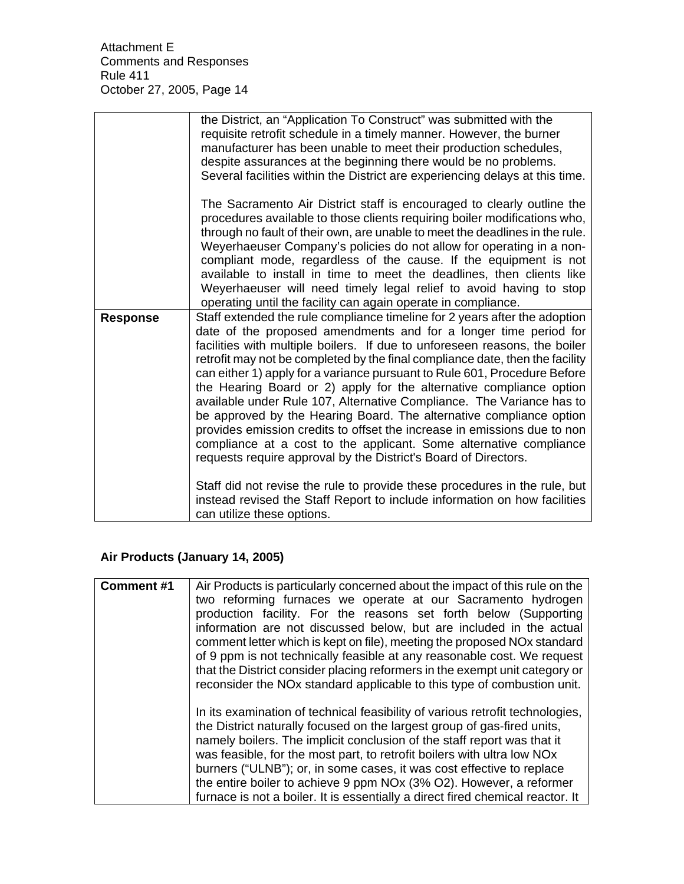|                 | the District, an "Application To Construct" was submitted with the<br>requisite retrofit schedule in a timely manner. However, the burner<br>manufacturer has been unable to meet their production schedules,<br>despite assurances at the beginning there would be no problems.<br>Several facilities within the District are experiencing delays at this time.                                                                                                                                                                                                                                                                                                                                                                                                                                                                       |
|-----------------|----------------------------------------------------------------------------------------------------------------------------------------------------------------------------------------------------------------------------------------------------------------------------------------------------------------------------------------------------------------------------------------------------------------------------------------------------------------------------------------------------------------------------------------------------------------------------------------------------------------------------------------------------------------------------------------------------------------------------------------------------------------------------------------------------------------------------------------|
|                 | The Sacramento Air District staff is encouraged to clearly outline the<br>procedures available to those clients requiring boiler modifications who,<br>through no fault of their own, are unable to meet the deadlines in the rule.<br>Weyerhaeuser Company's policies do not allow for operating in a non-<br>compliant mode, regardless of the cause. If the equipment is not<br>available to install in time to meet the deadlines, then clients like<br>Weyerhaeuser will need timely legal relief to avoid having to stop<br>operating until the facility can again operate in compliance.                                                                                                                                                                                                                                        |
| <b>Response</b> | Staff extended the rule compliance timeline for 2 years after the adoption<br>date of the proposed amendments and for a longer time period for<br>facilities with multiple boilers. If due to unforeseen reasons, the boiler<br>retrofit may not be completed by the final compliance date, then the facility<br>can either 1) apply for a variance pursuant to Rule 601, Procedure Before<br>the Hearing Board or 2) apply for the alternative compliance option<br>available under Rule 107, Alternative Compliance. The Variance has to<br>be approved by the Hearing Board. The alternative compliance option<br>provides emission credits to offset the increase in emissions due to non<br>compliance at a cost to the applicant. Some alternative compliance<br>requests require approval by the District's Board of Directors. |
|                 | Staff did not revise the rule to provide these procedures in the rule, but<br>instead revised the Staff Report to include information on how facilities<br>can utilize these options.                                                                                                                                                                                                                                                                                                                                                                                                                                                                                                                                                                                                                                                  |

# **Air Products (January 14, 2005)**

| Comment#1 | Air Products is particularly concerned about the impact of this rule on the<br>two reforming furnaces we operate at our Sacramento hydrogen<br>production facility. For the reasons set forth below (Supporting<br>information are not discussed below, but are included in the actual<br>comment letter which is kept on file), meeting the proposed NOx standard<br>of 9 ppm is not technically feasible at any reasonable cost. We request<br>that the District consider placing reformers in the exempt unit category or                                 |
|-----------|--------------------------------------------------------------------------------------------------------------------------------------------------------------------------------------------------------------------------------------------------------------------------------------------------------------------------------------------------------------------------------------------------------------------------------------------------------------------------------------------------------------------------------------------------------------|
|           | reconsider the NOx standard applicable to this type of combustion unit.                                                                                                                                                                                                                                                                                                                                                                                                                                                                                      |
|           | In its examination of technical feasibility of various retrofit technologies,<br>the District naturally focused on the largest group of gas-fired units,<br>namely boilers. The implicit conclusion of the staff report was that it<br>was feasible, for the most part, to retrofit boilers with ultra low NO <sub>x</sub><br>burners ("ULNB"); or, in some cases, it was cost effective to replace<br>the entire boiler to achieve 9 ppm NOx (3% O2). However, a reformer<br>furnace is not a boiler. It is essentially a direct fired chemical reactor. It |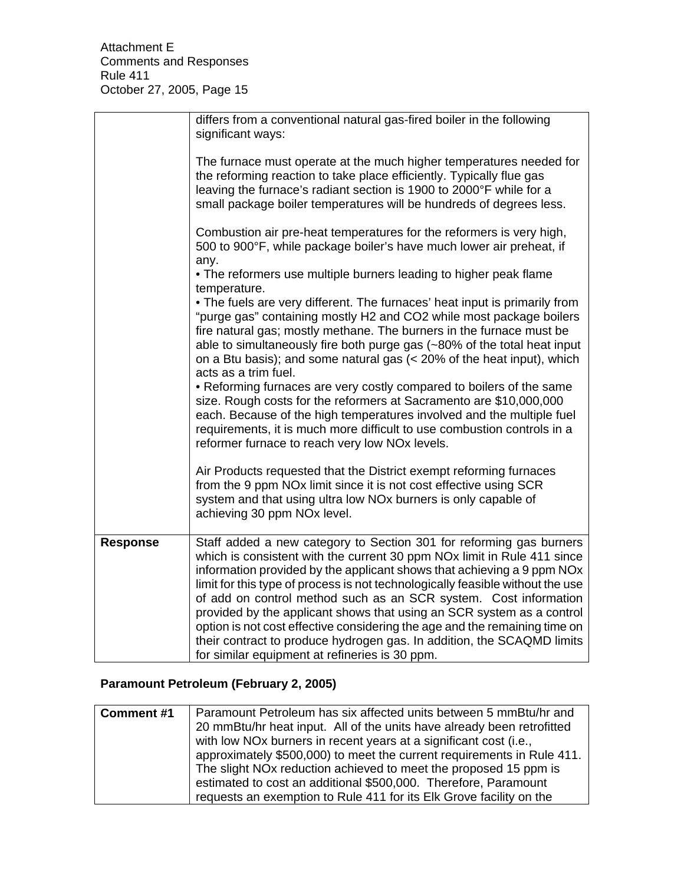|                 | differs from a conventional natural gas-fired boiler in the following<br>significant ways:                                                                                                                                                                                                                                                                                                                                                                                                                                                                                                                                                                                    |
|-----------------|-------------------------------------------------------------------------------------------------------------------------------------------------------------------------------------------------------------------------------------------------------------------------------------------------------------------------------------------------------------------------------------------------------------------------------------------------------------------------------------------------------------------------------------------------------------------------------------------------------------------------------------------------------------------------------|
|                 | The furnace must operate at the much higher temperatures needed for<br>the reforming reaction to take place efficiently. Typically flue gas<br>leaving the furnace's radiant section is 1900 to 2000°F while for a<br>small package boiler temperatures will be hundreds of degrees less.                                                                                                                                                                                                                                                                                                                                                                                     |
|                 | Combustion air pre-heat temperatures for the reformers is very high,<br>500 to 900°F, while package boiler's have much lower air preheat, if<br>any.                                                                                                                                                                                                                                                                                                                                                                                                                                                                                                                          |
|                 | • The reformers use multiple burners leading to higher peak flame<br>temperature.                                                                                                                                                                                                                                                                                                                                                                                                                                                                                                                                                                                             |
|                 | . The fuels are very different. The furnaces' heat input is primarily from<br>"purge gas" containing mostly H2 and CO2 while most package boilers<br>fire natural gas; mostly methane. The burners in the furnace must be<br>able to simultaneously fire both purge gas (~80% of the total heat input<br>on a Btu basis); and some natural gas $\left($ < 20% of the heat input), which<br>acts as a trim fuel.                                                                                                                                                                                                                                                               |
|                 | • Reforming furnaces are very costly compared to boilers of the same<br>size. Rough costs for the reformers at Sacramento are \$10,000,000<br>each. Because of the high temperatures involved and the multiple fuel<br>requirements, it is much more difficult to use combustion controls in a<br>reformer furnace to reach very low NOx levels.                                                                                                                                                                                                                                                                                                                              |
|                 | Air Products requested that the District exempt reforming furnaces<br>from the 9 ppm NO <sub>x</sub> limit since it is not cost effective using SCR<br>system and that using ultra low NOx burners is only capable of<br>achieving 30 ppm NOx level.                                                                                                                                                                                                                                                                                                                                                                                                                          |
| <b>Response</b> | Staff added a new category to Section 301 for reforming gas burners<br>which is consistent with the current 30 ppm NO <sub>x</sub> limit in Rule 411 since<br>information provided by the applicant shows that achieving a 9 ppm NOx<br>limit for this type of process is not technologically feasible without the use<br>of add on control method such as an SCR system. Cost information<br>provided by the applicant shows that using an SCR system as a control<br>option is not cost effective considering the age and the remaining time on<br>their contract to produce hydrogen gas. In addition, the SCAQMD limits<br>for similar equipment at refineries is 30 ppm. |

# **Paramount Petroleum (February 2, 2005)**

| <b>Comment #1</b> | Paramount Petroleum has six affected units between 5 mmBtu/hr and             |
|-------------------|-------------------------------------------------------------------------------|
|                   | 20 mmBtu/hr heat input. All of the units have already been retrofitted        |
|                   | with low NO <sub>x</sub> burners in recent years at a significant cost (i.e., |
|                   | approximately \$500,000) to meet the current requirements in Rule 411.        |
|                   | The slight NO <sub>x</sub> reduction achieved to meet the proposed 15 ppm is  |
|                   | estimated to cost an additional \$500,000. Therefore, Paramount               |
|                   | requests an exemption to Rule 411 for its Elk Grove facility on the           |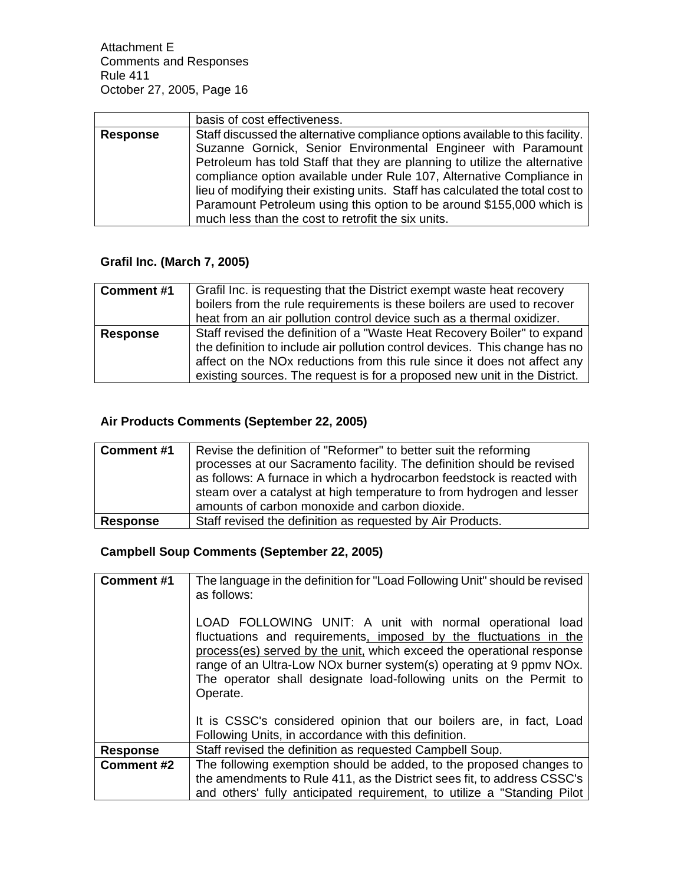|                 | basis of cost effectiveness.                                                   |
|-----------------|--------------------------------------------------------------------------------|
| <b>Response</b> | Staff discussed the alternative compliance options available to this facility. |
|                 | Suzanne Gornick, Senior Environmental Engineer with Paramount                  |
|                 | Petroleum has told Staff that they are planning to utilize the alternative     |
|                 | compliance option available under Rule 107, Alternative Compliance in          |
|                 | lieu of modifying their existing units. Staff has calculated the total cost to |
|                 | Paramount Petroleum using this option to be around \$155,000 which is          |
|                 | much less than the cost to retrofit the six units.                             |

# **Grafil Inc. (March 7, 2005)**

| <b>Comment #1</b> | Grafil Inc. is requesting that the District exempt waste heat recovery                                                                           |
|-------------------|--------------------------------------------------------------------------------------------------------------------------------------------------|
|                   | boilers from the rule requirements is these boilers are used to recover<br>heat from an air pollution control device such as a thermal oxidizer. |
| <b>Response</b>   | Staff revised the definition of a "Waste Heat Recovery Boiler" to expand                                                                         |
|                   | the definition to include air pollution control devices. This change has no                                                                      |
|                   | affect on the NO <sub>x</sub> reductions from this rule since it does not affect any                                                             |
|                   | existing sources. The request is for a proposed new unit in the District.                                                                        |

# **Air Products Comments (September 22, 2005)**

| <b>Comment #1</b> | Revise the definition of "Reformer" to better suit the reforming<br>processes at our Sacramento facility. The definition should be revised<br>as follows: A furnace in which a hydrocarbon feedstock is reacted with<br>steam over a catalyst at high temperature to from hydrogen and lesser<br>amounts of carbon monoxide and carbon dioxide. |
|-------------------|-------------------------------------------------------------------------------------------------------------------------------------------------------------------------------------------------------------------------------------------------------------------------------------------------------------------------------------------------|
| <b>Response</b>   | Staff revised the definition as requested by Air Products.                                                                                                                                                                                                                                                                                      |

# **Campbell Soup Comments (September 22, 2005)**

| <b>Comment #1</b> | The language in the definition for "Load Following Unit" should be revised<br>as follows:<br>LOAD FOLLOWING UNIT: A unit with normal operational load<br>fluctuations and requirements, imposed by the fluctuations in the<br>process(es) served by the unit, which exceed the operational response<br>range of an Ultra-Low NOx burner system(s) operating at 9 ppmv NOx.<br>The operator shall designate load-following units on the Permit to<br>Operate. |
|-------------------|--------------------------------------------------------------------------------------------------------------------------------------------------------------------------------------------------------------------------------------------------------------------------------------------------------------------------------------------------------------------------------------------------------------------------------------------------------------|
|                   | It is CSSC's considered opinion that our boilers are, in fact, Load<br>Following Units, in accordance with this definition.                                                                                                                                                                                                                                                                                                                                  |
| <b>Response</b>   | Staff revised the definition as requested Campbell Soup.                                                                                                                                                                                                                                                                                                                                                                                                     |
| <b>Comment #2</b> | The following exemption should be added, to the proposed changes to                                                                                                                                                                                                                                                                                                                                                                                          |
|                   | the amendments to Rule 411, as the District sees fit, to address CSSC's                                                                                                                                                                                                                                                                                                                                                                                      |
|                   | and others' fully anticipated requirement, to utilize a "Standing Pilot                                                                                                                                                                                                                                                                                                                                                                                      |